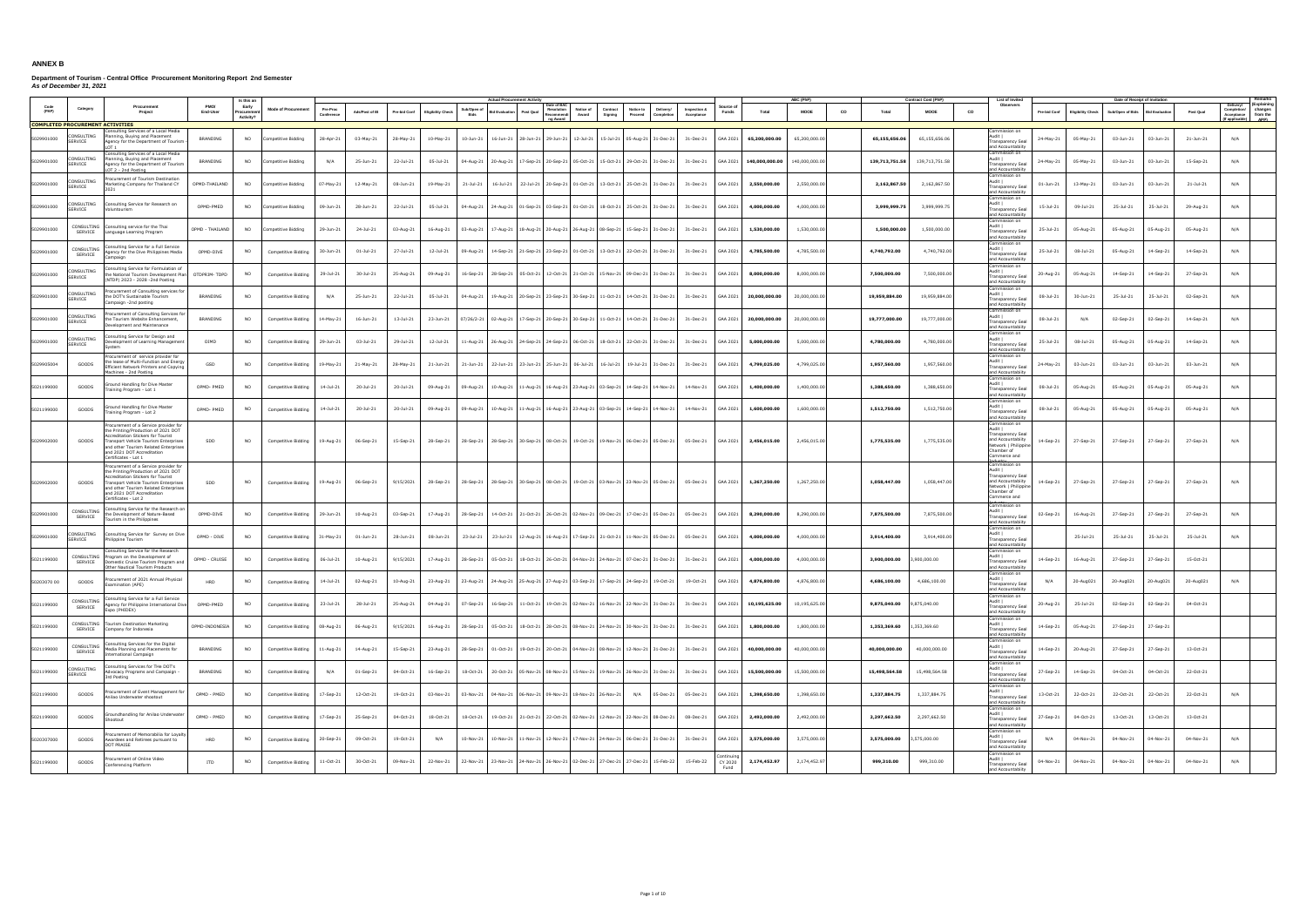|             |                                                       |                                                                                                                                                                                                                                                           |                             |                                 |                            |                       |                 |               |                          |                           |                      |                                                                |                                           |                                                                                           |                            |                 |                |                |           |                | ontract Cost (PhP) |                                                                                                                                      |               |                          | Date of Receipt of Invitation |                      |           |                                                                                                      |
|-------------|-------------------------------------------------------|-----------------------------------------------------------------------------------------------------------------------------------------------------------------------------------------------------------------------------------------------------------|-----------------------------|---------------------------------|----------------------------|-----------------------|-----------------|---------------|--------------------------|---------------------------|----------------------|----------------------------------------------------------------|-------------------------------------------|-------------------------------------------------------------------------------------------|----------------------------|-----------------|----------------|----------------|-----------|----------------|--------------------|--------------------------------------------------------------------------------------------------------------------------------------|---------------|--------------------------|-------------------------------|----------------------|-----------|------------------------------------------------------------------------------------------------------|
| (PAP)       | Category                                              | Procuremen<br>Project                                                                                                                                                                                                                                     | End-User                    | Early<br>Procureme<br>Activity? | <b>Mode of Procurement</b> | Pre-Pro<br>Conference | Ads/Post of IB  | Pre-bid Conf  | <b>Eligibility Check</b> | Sub/Open c<br><b>Bids</b> | <b>Bid Evaluatio</b> | ate of BA<br>Resolution<br>Post Qual<br>Recommendi<br>ng Award | Notice of<br>Contract<br>Award<br>Signing | Notice to<br>Delivery/<br>Proceed<br>Completion                                           | Inspection &<br>Acceptance | Funds           | Total          | <b>MOOE</b>    | <b>CO</b> | Total          | <b>MOOE</b>        | Observers<br>co                                                                                                                      | Pre-bid Cont  | <b>Eligibility Check</b> | Sub/Open of Bids              | <b>Bid Evaluatio</b> | Post Qual | (Explaining<br>Delivery/<br>Completion/ changes<br>Acceptance<br>from the<br>(If applicable)<br>APP) |
| 5029901000  | <b>COMPLETED PROCUREMENT ACTIVITIES</b><br>CONSULTING | isulting Services of a Local Media<br>lanning, Buying and Placement                                                                                                                                                                                       | <b>BRANDING</b>             | NO                              | ompetitive Bidding         | 28-Apr-21             | 03-May-21       | 28-May-21     | 10-May-21                | 10-Jun-21                 | 16-Jun-21            |                                                                |                                           | 28-Jun-21 29-Jun-21 12-Jul-21 15-Jul-21 05-Aug-21 31-Dec-21                               | 31-Dec-21                  | GAA 2021        | 65,200,000.00  | 65,200,000.00  |           | 65,155,656.06  | 65,155,656.06      | Commission on<br>Audit I                                                                                                             | 24-May-21     | 05-May-21                | 03-Jun-21                     | 03-Jun-21            | 21-Jun-21 | N/A                                                                                                  |
| 5029901000  | SERVICE<br>ONSULTING                                  | Agency for the Department of Tourism<br>Consulting Services of a Local Media<br>anning, Buying and Placement                                                                                                                                              |                             | NO.                             | mpetitive Biddina          | N/A                   | 25-Jun-21       | 22-Jul-21     | 05-Jul-21                |                           | 20-Aug-21            |                                                                |                                           | 17-Sep-21 20-Sep-21 05-Oct-21 15-Oct-21 29-Oct-21 31-Dec-21 31-Dec-21                     |                            | GAA 2021        | 140,000,000.00 | 140.000.000.00 |           | 139,713,751.58 | 139,713,751.58     | Transparency Seal<br>and Accountabiity<br>Commission on<br>Audit I                                                                   |               | 05-May-21                | 03-Jun-21                     | 03-Jun-21            |           | N/A                                                                                                  |
|             | SERVICE<br>ONSULTING                                  | Agency for the Department of Tourism<br>OT 2 - 2nd Posting<br>ocurement of Tourism Destination                                                                                                                                                            | BRANDING                    |                                 |                            |                       |                 |               |                          | 04-Aug-21                 |                      |                                                                |                                           |                                                                                           |                            |                 |                |                |           |                |                    | Transparency Seal<br>and Accountabiity<br>Commission on<br>Audit I                                                                   | 24-May-21     |                          |                               |                      | 15-Sep-21 |                                                                                                      |
| 5029901000  | SERVICE<br>ONSULTING                                  | arketing Company for Thailand CY<br>2021<br>Consulting Service for Research on                                                                                                                                                                            | OPMD-THAILAND               | <b>NO</b>                       | ompetitive Bidding         | 07-May-21             | 12-May-21       | 08-Jun-21     | 19-May-21                | $21 - Jul - 21$           | 16-Jul-21            |                                                                |                                           | 22-Jul-21 20-Sep-21 01-Oct-21 13-Oct-21 25-Oct-21 31-Dec-21                               | 31-Dec-21                  | GAA 2021        | 2,550,000.00   | 2,550,000.00   |           | 2,162,867.50   | 2,162,867.50       | <b>Transparency Sea</b><br>and Accountabiity<br>Commission on<br>Audit                                                               | $01 - Jun-21$ | 13-May-21                | 03-Jun-21                     | 03-Jun-21            | 21-Jul-21 | N/A                                                                                                  |
| 5029901000  | SERVICE<br>CONSULTING                                 | pluntourism<br>onsulting service for the Thai                                                                                                                                                                                                             | OPMD-PMED                   | NO                              | ompetitive Bidding         | 09-Jun-21             | 28-Jun-21       | 22-Jul-21     | 05-Jul-21                | 04-Aug-21                 | 24-Aug-21            |                                                                |                                           | 01-Sep-21 03-Sep-21 01-Oct-21 18-Oct-21 25-Oct-21 31-Dec-21                               | 31-Dec-21                  | GAA 2021        | 4,000,000.00   | 4,000,000.00   |           | 3,999,999.7    | 3,999,999.75       | <b>Transparency Sea</b><br>and Accountabilty<br>Commission on<br>Audit I                                                             | 15-Jul-21     | 09-Jul-21                | 25-Jul-21                     | 25-Jul-21            | 29-Aug-21 | N/A                                                                                                  |
| 5029901000  | SERVICE                                               | anguage Learning Program<br>nsulting Service for a Full Service                                                                                                                                                                                           | OPMD - THAILAND             | <b>NO</b>                       | ompetitive Biddina         | 29-Jun-21             | 24-Jul-21       | 03-Aug-21     | 16-Aug-21                |                           | 03-Aug-21 17-Aug-21  |                                                                |                                           | 18-Aug-21 20-Aug-21 26-Aug-21 08-Sep-21 15-Sep-21 31-Dec-21                               | 31-Dec-21                  | GAA 2021        | 1,530,000.00   | 1,530,000.00   |           | 1,500,000.00   | 1,500,000.00       | Transparency Seal<br>and Accountabiity<br>Commission on                                                                              | 25-Jul-21     | 05-Aug-21                | 05-Aug-21                     | 05-Aug-21            | 05-Aug-21 | N/A                                                                                                  |
| 5029901000  | CONSULTING<br>SERVICE                                 | gency for the Dive Philippines Media<br>ampaign<br>onsulting Service for Formulation of                                                                                                                                                                   | OPMD-DIVE                   | NO.                             | Competitive Bidding        | 30-Jun-21             | $01 - Jul - 21$ | 27-Jul-21     | 12-Jul-21                | 09-Aug-21                 | 14-Sep-21            |                                                                |                                           | 21-Sep-21 23-Sep-21 01-Oct-21 13-Oct-21 22-Oct-21 31-Dec-21                               | 31-Dec-21                  | GAA 2021        | 4,785,500.00   | 4,785,500.00   |           | 4,740,792.00   | 4,740,792.00       | Audit I<br><b>Transparency Sea</b><br>and Accountabiity<br>Commission on                                                             | 25-Jul-21     | 08-Jul-21                | 05-Aug-21                     | 14-Sep-21            | 14-Sep-21 | N/A                                                                                                  |
| 5029901000  | ONSULTING<br>SERVICE                                  | e National Tourism Development Plan  OTDPRIM- TDPD<br>NTDP) 2023 - 2028 -2nd Posting                                                                                                                                                                      |                             | <b>NO</b>                       | Competitive Bidding        | 29-Jul-21             | 30-Jul-21       | 25-Aug-21     | 09-Aug-21                | 16-Sep-21                 | 28-Sep-21            |                                                                |                                           | 05-Oct-21 12-Oct-21 21-Oct-21 15-Nov-21 09-Dec-21 31-Dec-21                               | 31-Dec-21                  | GAA 2021        | 8,000,000.00   | 8,000,000.00   |           | 7,500,000.00   | 7,500,000.00       | Audit  <br><b>Transparency Sea</b><br>and Accountabiity<br>Commission on                                                             | 20-Aug-21     | 05-Aug-21                | 14-Sep-21                     | 14-Sep-21            | 27-Sep-21 | N/A                                                                                                  |
| 5029901000  | ONSULTING<br>SERVICE                                  | ocurement of Consulting services fo<br>e DOT's Sustainable Tourism<br>ampaign -2nd posting                                                                                                                                                                | <b>BRANDING</b>             | NO                              | Competitive Bidding        | N/A                   | 25-Jun-21       | 22-Jul-21     | 05-Jul-21                | 04-Aug-21                 | 19-Aug-21            |                                                                |                                           | 20-Sep-21 23-Sep-21 30-Sep-21 11-Oct-21 14-Oct-21 31-Dec-21                               | 31-Dec-21                  | GAA 2021        | 20,000,000.00  | 20,000,000.00  |           | 19,959,884.00  | 19,959,884.00      | Audit I<br>Transparency Seal<br>and Accountabiity<br>ommission on                                                                    | 08-Jul-21     | 30-Jun-21                | 25-Jul-21                     | 25-Jul-21            | 02-Sep-21 | N/A                                                                                                  |
| 5029901000  | ONSULTING<br>SERVICE                                  | ocurement of Consulting Services for<br>he Tourism Website Enhancement.<br>Development and Maintenance                                                                                                                                                    | <b>BRANDING</b>             | <b>NO</b>                       | Competitive Biddina        | 14-May-21             | 16-Jun-21       | $13 -$ Jul-21 | 23-Jun-21                |                           | 07/26/2-21 02-Aug-21 |                                                                |                                           | 17-Sep-21 20-Sep-21 30-Sep-21 11-Oct-21 14-Oct-21 31-Dec-21                               | 31-Dec-21                  | GAA 2021        | 20,000,000.00  | 20,000,000,00  |           | 19,777,000.00  | 19,777,000.00      | Audit I<br><b>Transparency Seal</b><br>and Accountabiity<br>Commission on                                                            | 08-Jul-21     | N/A                      | 02-Sep-21                     | 02-Sep-21            | 14-Sep-21 | N/A                                                                                                  |
| 5029901000  | ONSULTING<br>SERVICE                                  | onsulting Service for Design and<br>evelopment of Learning Managemer<br>vstem                                                                                                                                                                             | OIMD                        | <b>NO</b>                       | Competitive Bidding        | 29-Jun-21             | 03-Jul-21       | 29-Jul-21     | 12-Jul-21                | 11-Aug-21                 | 26-Aug-21            |                                                                | 24-Sep-21 24-Sep-21 06-Oct-21 18-Oct-21   | 22-Oct-21 31-Dec-21                                                                       | 31-Dec-21                  | GAA 2021        | 5,000,000.00   | 5,000,000.00   |           | 4,780,000.00   | 4,780,000.00       | Audit I<br><b>Transparency Sea</b><br>and Accountabilty                                                                              | 25-Jul-21     | 08-Jul-21                | 05-Aug-21                     | 05-Aug-21            | 14-Sep-21 | N/A                                                                                                  |
| 5029905004  | GOODS                                                 | ocurement of service provider for<br>e lease of Multi-Function and Energy<br>Efficient Network Printers and Copying<br>Machines - 2nd Posting                                                                                                             | GSD                         | <b>NO</b>                       | Competitive Bidding        | 19-May-21             | 21-May-21       | 28-May-21     | 21-Jun-21                | 21-Jun-21                 | 22-Jun-21            | 23-Jun-21 25-Jun-21 06-Jul-21 16-Jul-21                        |                                           | 19-Jul-21 31-Dec-21                                                                       | 31-Dec-21                  | GAA 2021        | 4,799,025.00   | 4,799,025.00   |           | 1,957,560.00   | 1,957,560.00       | Commission on<br>Audit I<br>Transparency Seal<br>and Accountabilty                                                                   | 24-May-21     | 03-Jun-21                | 03-Jun-21                     | 03-Jun-21            | 03-Jun-21 | N/A                                                                                                  |
| 5021199000  | GOODS                                                 | ound Handling for Dive Master<br>aining Program - Lot 1                                                                                                                                                                                                   | OPMD-PMED                   | <b>NO</b>                       | Competitive Bidding        | 14-Jul-21             | 20-Jul-21       | 20-Jul-21     | 09-Aug-21                |                           | 09-Aug-21 10-Aug-21  |                                                                |                                           | 11-Aug-21 16-Aug-21 23-Aug-21 03-Sep-21 14-Sep-21 14-Nov-21                               | 14-Nov-21                  | GAA 2021        | 1,400,000.00   | 1,400,000.00   |           | 1,388,650.00   | 1,388,650.00       | Commission on<br>Audit I<br>Transparency Seal<br>and Accountabiity                                                                   | 08-Jul-21     | 05-Aug-21                | 05-Aug-21                     | 05-Aug-21            | 05-Aug-21 | N/A                                                                                                  |
| 5021199000  | GOODS                                                 | ound Handling for Dive Master<br>aining Program - Lot 2                                                                                                                                                                                                   | OPMD-PMED                   | <b>NO</b>                       | Competitive Bidding        | 14-Jul-21             | 20-Jul-21       | 20-Jul-21     | 09-Aug-21                | 09-Aug-21                 | 10-Aug-21            |                                                                |                                           | 11-Aug-21   16-Aug-21   23-Aug-21   03-Sep-21   14-Sep-21   14-Nov-21                     | 14-Nov-21                  | GAA 2021        | 1,600,000.00   | 1,600,000.00   |           | 1,512,750.00   | 1,512,750.00       | ommission on<br>Audit I<br><b>Transparency Sea</b><br>and Accountabiity                                                              | 08-Jul-21     | 05-Aug-21                | 05-Aug-21                     | 05-Aug-2             | 05-Aug-21 | N/A                                                                                                  |
| 5029902000  | GOODS                                                 | ocurement of a Service provider for<br>e Printing/Production of 2021 DOT<br>Accreditation Stickers for Tourist<br>Fransport Vehicle Tourism Enterprises<br>and other Tourism Related Enterprises<br>and 2021 DOT Accreditation<br>Certificates - Lot 1    | SDD                         | <b>NO</b>                       | Competitive Bidding        | 19-Aug-21             | 06-Sep-21       | 15-Sep-21     | 28-Sep-21                |                           |                      |                                                                |                                           | 28-Sep-21 28-Sep-21 30-Sep-21 08-Oct-21 19-Oct-21 19-Nov-21 06-Dec-21 05-Dec-21           | 05-Dec-21                  | GAA 2021        | 2,456,015.00   | 2,456,015,00   |           | 1,775,535.00   | 1,775,535.00       | Commission on<br>Audit I<br>Transparency Seal<br>and Accountabiity<br>Network   Philippin<br>Chamber of<br>Commerce and<br>Toduckson | 14-Sep-21     | 27-Sep-21                | 27-Sep-21                     | 27-Sep-21            | 27-Sep-21 | N/A                                                                                                  |
| 5029902000  | GOODS                                                 | Procurement of a Service provider for<br>the Printing/Production of 2021 DOT<br>ccreditation Stickers for Tourist<br>Fransport Vehicle Tourism Enterprises<br>and other Tourism Related Enterprises<br>and 2021 DOT Accreditation<br>Certificates - Lot 2 | SDD                         | NO.                             | Competitive Bidding        | 19-Aug-21             | 06-Sep-21       | 9/15/2021     | 28-Sep-21                |                           |                      |                                                                |                                           | 28-Sep-21 28-Sep-21 30-Sep-21 08-Oct-21 19-Oct-21 03-Nov-21 23-Nov-21 05-Dec-21 05-Dec-21 |                            | GAA 2021        | 1,267,250.00   | 1,267,250.00   |           | 1.058.447.00   | 1,058,447.00       | Commission on<br>Audit  <br><b>Transparency Sea</b><br>and Accountabiity<br>Network   Philippin<br>Chamber of<br>Commerce and        | 14-Sep-21     | 27-Sep-21                | 27-Sep-21                     | 27-Sep-21            | 27-Sep-21 | N/A                                                                                                  |
| 5029901000  | CONSULTING<br>SERVICE                                 | onsulting Service for the Research or<br>he Development of Nature-Based<br>burism in the Philippines                                                                                                                                                      | OPMD-DIVE                   | NO                              | Competitive Bidding        | 29-Jun-21             | 10-Aug-21       | 03-Sep-21     | 17-Aug-21                | 28-Sep-21                 | 14-Oct-21            | 21-Oct-21 26-Oct-21 02-Nov-21 09-Dec-21                        |                                           | 17-Dec-21 05-Dec-21                                                                       | 05-Dec-21                  | GAA 2021        | 8,290,000.00   | 8,290,000.00   |           | 7,875,500.00   | 7,875,500.00       | Commission on<br>Audit I<br>Transparency Seal<br>and Accountabiity                                                                   | 02-Sep-21     | 16-Aug-21                | 27-Sep-21                     | 27-Sep-21            | 27-Sep-21 | N/A                                                                                                  |
| 5029901000  | ONSULTING<br>ERVICE                                   | onsulting Service for Survey on Dive<br>ilippine Tourism                                                                                                                                                                                                  | OPMD - DIVE                 | <b>NO</b>                       | Competitive Biddina        | 31-May-21             | 01-Jun-21       | 28-Jun-21     | 08-Jun-21                | 23-Jul-21                 |                      |                                                                |                                           | 23-Jul-21 2-Aug-21 16-Aug-21 17-Sep-21 21-Oct-21 11-Nov-21 05-Dec-21                      | 05-Dec-21                  | GAA 2021        | 4,000,000.00   | 4.000.000.00   |           | 3,914,400.00   | 3,914,400.00       | Commission on<br>Audit I<br>Transparency Seal<br>and Accountabiity                                                                   |               | 25-Jul-21                | 25-Jul-21                     | 25-Jul-21            | 25-Jul-21 | N/A                                                                                                  |
| 5021199000  | CONSULTING<br>SERVICE                                 | onsulting Service for the Research<br>ogram on the Development of<br>mestic Cruise Tourism Program an<br>Other Nautical Tourism Products                                                                                                                  | OPMD - CRUISE               | <b>NO</b>                       | Competitive Bidding        | 06-Jul-21             | 10-Aug-21       | 9/15/2021     | 17-Aug-21                |                           |                      |                                                                |                                           | 28-Sep-21 05-Oct-21 18-Oct-21 26-Oct-21 04-Nov-21 24-Nov-21 07-Dec-21 31-Dec-21           | 31-Dec-21                  | GAA 2021        | 4,000,000.00   | 4,000,000.00   |           | 3,900,000.00   | ,900,000.00        | Commission on<br>Audit I<br><b>Transparency Sea</b><br>and Accountabiity                                                             | 14-Sep-21     | 16-Aug-21                | 27-Sep-21                     | 27-Sep-21            | 15-Oct-21 |                                                                                                      |
| 50203070 00 | <b>GOODS</b>                                          | ocurement of 2021 Annual Physical<br>amination (APE)                                                                                                                                                                                                      | <b>HRD</b>                  | NO.                             | Competitive Bidding        | 14-Jul-21             | 02-Aug-21       | 10-Aug-21     | 23-Aug-21                |                           |                      |                                                                |                                           | 23-Aug-21 24-Aug-21 25-Aug-21 27-Aug-21 03-Sep-21 17-Sep-21 24-Sep-21 19-Oct-21           | 19-Oct-21                  | GAA 2021        | 4,876,800.00   | 4,876,800.00   |           | 4,686,100.00   | 4,686,100.00       | Commission on<br>Audit  <br><b>Transparency Sea</b><br>and Accountabiity                                                             | N/A           | 20-Aug021                | 20-Aug021                     | 20-Aug021            | 20-Aug021 | N/A                                                                                                  |
| 5021199000  | CONSULTING<br>SERVICE                                 | Consulting Service for a Full Service<br>gency for Philippine International Dive<br>Expo (PHIDEX)                                                                                                                                                         | OPMD-PMED                   | <b>NO</b>                       | Competitive Bidding        | 23-Jul-21             | 28-Jul-21       | 25-Aug-21     | 04-Aug-21                |                           | 07-Sep-21 16-Sep-21  |                                                                |                                           | 11-Oct-21   19-Oct-21   02-Nov-21   16-Nov-21   22-Nov-21   31-Dec-21                     | 31-Dec-21                  | GAA 2021        | 10.195.625.00  | 10,195,625.00  |           | 9,875,040.00   | 9,875,040.00       | Commission on<br>Audit I<br>Transparency Seal<br>and Accountabiity                                                                   | 20-Aug-21     | 25-Jul-21                | 02-Sep-21                     | 02-Sep-21            | 04-Oct-21 |                                                                                                      |
| 5021199000  | CONSULTING<br>SERVICE                                 | <b>Tourism Destination Marketing</b><br>Company for Indonesia                                                                                                                                                                                             | OPMD-INDONESIA              | <b>NO</b>                       | Competitive Bidding        | 08-Aug-21             | 06-Aug-21       | 9/15/2021     | 16-Aug-21                | 28-Sep-21                 | 05-Oct-21            |                                                                |                                           | 18-Oct-21 28-Oct-21 08-Nov-21 24-Nov-21 30-Nov-21 31-Dec-21                               | 31-Dec-21                  | GAA 2021        | 1,800,000.00   | 1,800,000,00   |           | 1,353,369.60   | 1,353,369.60       | Commission on<br>Audit I<br><b>Transparency Seal</b><br>and Accountabiity                                                            | 14-Sep-21     | 05-Aug-21                | 27-Sep-21                     | 27-Sep-2:            |           |                                                                                                      |
| 5021199000  | CONSULTING<br>SERVICE                                 | onsulting Services for the Digital<br>Media Planning and Placements for<br>ternational Campaign                                                                                                                                                           | BRANDING                    | <b>NO</b>                       | Competitive Bidding        | $11$ -Aug-21          | 14-Aug-21       | 15-Sep-21     | 23-Aug-21                |                           |                      |                                                                |                                           | 28-Sep-21 01-Oct-21 19-Oct-21 20-Oct-21 04-Nov-21 08-Nov-21 12-Nov-21 31-Dec-21           | 31-Dec-21                  | GAA 2021        | 40,000,000.00  | 40,000,000.00  |           | 40,000,000.00  | 40,000,000.00      | Commission on<br>Audit  <br><b>Transparency Sea</b><br>and Accountabiity                                                             | 14-Sep-21     | 20-Aug-21                | 27-Sep-21                     | 27-Sep-21            | 13-Oct-21 |                                                                                                      |
| 5021199000  | ONSULTING<br>SERVICE                                  | Consulting Services for THe DOT's<br>Advocacy Programs and Campaign -<br>3rd Posting                                                                                                                                                                      | BRANDING                    | <b>NO</b>                       | Competitive Bidding        | N/A                   | 01-Sep-21       | 04-Oct-21     | 16-Sep-21                |                           |                      |                                                                |                                           | 18-Oct-21 20-Oct-21 05-Nov-21 08-Nov-21 15-Nov-21 19-Nov-21 26-Nov-21 31-Dec-21           | 31-Dec-21                  | GAA 2021        | 15,500,000.00  | 15,500,000.00  |           | 15,498,564.58  | 15,498,564.58      | Commission on<br>Audit I<br>Transparency Seal<br>and Accountabiity                                                                   | 27-Sep-21     | 14-Sep-21                | 04-Oct-21                     | 04-Oct-21            | 22-Oct-21 |                                                                                                      |
| 5021199000  | GOODS                                                 | ocurement of Event Management fo<br>nilao Underwater shootout                                                                                                                                                                                             | OPMD - PMED                 | <b>NO</b>                       | Competitive Biddina        | 17-Sep-21             | 12-Oct-21       | 19-Oct-21     | 03-Nov-21                |                           |                      | 03-Nov-21 04-Nov-21 06-Nov-21 09-Nov-21 18-Nov-21 26-Nov-21    |                                           | N/A<br>05-Dec-21                                                                          | 05-Dec-21                  | GAA 2021        | 1,398,650.00   | 1,398,650.00   |           | 1,337,884.75   | 1,337,884.75       | Commission on<br>Audit I<br><b>Transparency Seal</b><br>and Accountabiity                                                            | 13-Oct-21     | 22-Oct-21                | 22-Oct-21                     | 22-Oct-21            | 22-Oct-21 | N/A                                                                                                  |
| 5021199000  | GOODS                                                 | roundhandling for Anilao Underwater<br><b>nootout</b>                                                                                                                                                                                                     | OPMD - PMED                 | <b>NO</b>                       | Competitive Bidding        | 17-Sep-21             | 25-Sep-21       | 04-Oct-21     | 18-Oct-21                | 18-Oct-21                 | 19-Oct-21            |                                                                |                                           | 21-Oct-21 22-Oct-21 02-Nov-21 12-Nov-21 22-Nov-21 08-Dec-21                               | 08-Dec-21                  | GAA 2021        | 2,492,000.00   | 2,492,000.00   |           | 2,297,662.50   | 2,297,662.50       | Commission on<br>Audit  <br><b>Transparency Sea</b><br>and Accountabiity                                                             | 27-Sep-21     | 04-Oct-21                | 13-Oct-21                     | 13-Oct-21            | 13-Oct-21 |                                                                                                      |
| 5020307000  | GOODS                                                 | curement of Memorabilia for Lovalty<br>Awardees and Retirees pursuant to<br>DOT PRAISE                                                                                                                                                                    | HRD                         | NO                              | Competitive Bidding        | 20-Sep-21             | 09-Oct-21       | 19-Oct-21     | N/A                      | 10-Nov-21                 | 10-Nov-21            |                                                                |                                           | 11-Nov-21 12-Nov-21 17-Nov-21 24-Nov-21 06-Dec-21 31-Dec-21                               | 31-Dec-21                  | GAA 2021        | 3,575,000.00   | 3,575,000.00   |           | 3,575,000.00   | 3,575,000.00       | Commission on<br>Audit  <br>Transparency Seal<br>and Accountabiity                                                                   | N/A           | 04-Nov-21                | 04-Nov-21                     | 04-Nov-21            | 04-Nov-21 | N/A                                                                                                  |
| 5021199000  | GOODS                                                 | ocurement of Online Video<br>Conferencing Platform                                                                                                                                                                                                        | $\ensuremath{\mathsf{ITD}}$ | <b>NO</b>                       | Competitive Bidding        | 11-Oct-21             | 30-Oct-21       | 09-Nov-21     | 22-Nov-21                |                           |                      |                                                                |                                           | 22-Nov-21 23-Nov-21 24-Nov-21 26-Nov-21 02-Dec-21 27-Dec-21 27-Dec-21 15-Feb-22           | 15-Feb-22                  | CY 2020<br>Fund | 2,174,452.97   | 2,174,452.97   |           | 999,310.00     | 999,310.00         | Commission on<br>Audit  <br><b>Transparency Seal</b><br>and Accountabiity                                                            | 04-Nov-21     | 04-Nov-21                | 04-Nov-21                     | 04-Nov-21            | 04-Nov-21 | N/A                                                                                                  |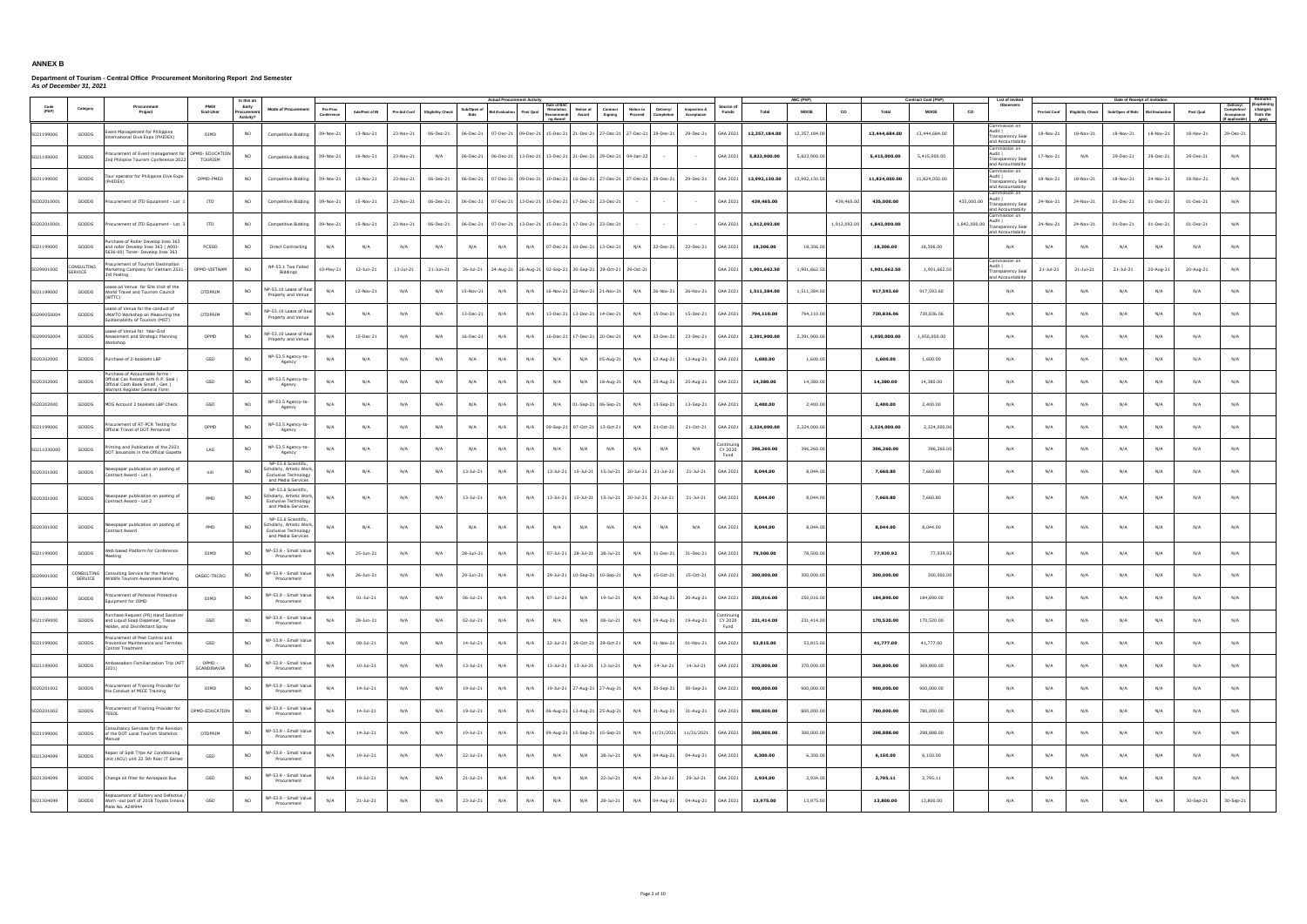|             |                             |                                                                                                                                           |                       |                                  |                                                                                                       |                        |                 |              |                   |                     | <b>Actual Procurement Activ</b> |                                                             |                                                |                     |                                                                                   |                            |                   |               |                         |              |               |                                    | List of Invite                                                                            |               |                          |                                                   |              |           |                                                                                                       |
|-------------|-----------------------------|-------------------------------------------------------------------------------------------------------------------------------------------|-----------------------|----------------------------------|-------------------------------------------------------------------------------------------------------|------------------------|-----------------|--------------|-------------------|---------------------|---------------------------------|-------------------------------------------------------------|------------------------------------------------|---------------------|-----------------------------------------------------------------------------------|----------------------------|-------------------|---------------|-------------------------|--------------|---------------|------------------------------------|-------------------------------------------------------------------------------------------|---------------|--------------------------|---------------------------------------------------|--------------|-----------|-------------------------------------------------------------------------------------------------------|
| (PAP)       | Category                    | Procurement<br>Project                                                                                                                    | PMO/<br>End-User      | Early<br>Procuremer<br>Activity? | <b>Mode of Procurement</b>                                                                            | Pre-Proc<br>Conference | Ads/Post of IB  | Pre-bid Conf | Eligibility Check | Sub/Open of<br>Bids | d Evaluatio                     | Date of BA<br>Post Qual                                     | Resolution<br>Notice of<br>Award<br>tecommendi | Contract<br>Signing | <b>Notice to</b><br>Delivery/<br>Proceed<br>Completion                            | Inspection &<br>Acceptance | Source o<br>Funds | Total         | ABC (PhP<br><b>MOOE</b> | co           | Total         | Contract Cost (PhP)<br><b>MOOE</b> | Observers<br>CO                                                                           | Pre-bid Conf  | <b>Eligibility Check</b> | Date of Receipt of Invitation<br>Sub/Open of Bids | id Evaluatio | Post Qual | (Explainin<br>Delivery/<br>changes<br>Completion/ changes<br>Acceptance from the<br>fapplicable) APP) |
| 5021199000  | GOODS                       | ent Management for Philippine<br>nternational Dive Expo (PHIDEX)                                                                          | OIMD                  | N <sub>O</sub>                   | Competitive Bidding                                                                                   | 09-Nov-21              | 13-Nov-21       | 23-Nov-21    | 06-Dec-21         |                     |                                 |                                                             |                                                |                     | 06-Dec-21 07-Dec-21 09-Dec-21 15-Dec-21 21-Dec-21 27-Dec-21 27-Dec-21 29-Dec-21   | 29-Dec-21                  | GAA 2021          | 12,357,184.00 | 12,357,184.00           |              | 13,444,684.00 | 13,444,684.00                      | Commission on<br>Audit I<br><b>Transparency Sea</b><br>and Accountabiity                  | 18-Nov-21     | 18-Nov-21                | 18-Nov-21                                         | 18-Nov-21    | 18-Nov-21 | 29-Dec-21                                                                                             |
| 5021199000  | GOODS                       | ocurement of Event management for OPMD- EDUCATION<br>Ind Philipine Tourism Conference 2022                                                | TOURISM               | <b>NO</b>                        | Competitive Bidding                                                                                   | 09-Nov-21              | 16-Nov-21       | 23-Nov-21    | N/A               | 06-Dec-21           |                                 | 06-Dec-21 13-Dec-21 13-Dec-21 21-Dec-21 29-Dec-21 04-Jan-22 |                                                |                     | $\sim$ 100 $\mu$                                                                  |                            | GAA 2021          | 5,823,900.00  | 5,823,900.00            |              | 5,415,000.00  | 5,415,000.00                       | Commission on<br>Audit  <br><b>Transparency Sea</b><br>and Accountabiity                  | 17-Nov-21     | N/A                      | 29-Dec-21                                         | 29-Dec-21    | 29-Dec-21 | N/A                                                                                                   |
| 5021199000  | GOODS                       | our operator for Philippine Dive Expo<br>HIDEX)                                                                                           | OPMD-PMED             | NO                               | Competitive Bidding                                                                                   | 09-Nov-21              | 13-Nov-21       | 23-Nov-21    | 06-Dec-21         | 06-Dec-21           |                                 |                                                             |                                                |                     | 07-Dec-21   09-Dec-21   10-Dec-21   16-Dec-21   27-Dec-21   27-Dec-21   29-Dec-21 | 29-Dec-21                  | GAA 2021          | 13,992,130.50 | 13,992,130.50           |              | 11,824,050.00 | 11,824,050.00                      | Commission on<br>Audit I<br>Transparency Seal<br>and Accountabiity                        | 18-Nov-21     | 18-Nov-21                | 18-Nov-21                                         | 24-Nov-21    | 18-Nov-21 | N/A                                                                                                   |
| 50202010001 | GOODS                       | rocurement of ITD Equipment - Lot                                                                                                         | ITD                   | NO.                              | <b>Competitive Bidding</b>                                                                            | 09-Nov-21              | 15-Nov-21       | 23-Nov-21    | 06-Dec-21         |                     |                                 | 06-Dec-21 07-Dec-21 13-Dec-21 15-Dec-21 17-Dec-21 23-Dec-21 |                                                |                     |                                                                                   |                            | GAA 2021          | 439,465.00    |                         | 439,465.00   | 435,000.00    |                                    | Commission on<br>Audit I<br>435,000.00<br><b>Transparency Seal</b><br>and Accountabiity   | 24-Nov-21     | 24-Nov-21                | 01-Dec-21                                         | 01-Dec-21    | 01-Dec-21 | N/A                                                                                                   |
| 50202010001 | GOODS                       | ocurement of ITD Equipment - Lot                                                                                                          | <b>ITD</b>            | NO                               | <b>Competitive Bidding</b>                                                                            | 09-Nov-21              | 15-Nov-21       | 23-Nov-21    | 06-Dec-21         |                     |                                 | 06-Dec-21 07-Dec-21 13-Dec-21 15-Dec-21 17-Dec-21 23-Dec-21 |                                                |                     |                                                                                   |                            | GAA 2021          | 1,912,092.00  |                         | 1,912,092.00 | 1,842,000.00  |                                    | Commission on<br>Audit  <br>1,842,000.00<br><b>Transparency Seal</b><br>and Accountabiity | 24-Nov-21     | 24-Nov-21                | 01-Dec-21                                         | 01-Dec-21    | 01-Dec-21 | N/A                                                                                                   |
| 5021199000  | GOODS                       | urchase of Roller Develop Ineo 363<br>and roller Develop Ineo 363 ( A00J-<br>5636-00) Toner- Develop Ineo 363                             | PCSSD                 | NO                               | <b>Direct Contracting</b>                                                                             | N/A                    | N/A             | N/A          | N/A               | N/A                 | N/A                             | N/A                                                         | 07-Dec-21 10-Dec-21 13-Dec-21                  |                     | N/A<br>22-Dec-21                                                                  | 22-Dec-21                  | GAA 2021          | 18,306.00     | 18,306.00               |              | 18,306.00     | 18,306.00                          | N/A                                                                                       | N/A           | N/A                      | N/A                                               | N/A          | N/A       | N/A                                                                                                   |
| 5029901000  | ONSULTING<br><b>SERVICE</b> | ocurement of Tourism Destination<br>larketing Company for Vietnam 2021<br>3rd Posting                                                     | OPMD-VIETNAM          | <b>NO</b>                        | NP-53.1 Two Failed<br>Biddings                                                                        | 10-May-21              | 12-Jun-21       | 13-Jul-21    | 21-Jun-21         | 26-Jul-21           |                                 | 24-Aug-21 26-Aug-21 02-Sep-21 30-Sep-21 29-Oct-21 29-Oct-21 |                                                |                     |                                                                                   |                            | GAA 2021          | 1,901,662.50  | 1,901,662.50            |              | 1,901,662.50  | 1,901,662.50                       | ommission on<br>Audit I<br>Transparency Seal<br>and Accountabiity                         | $21 -$ Jul-21 | 21-Jul-21                | $21 - Jul - 21$                                   | 20-Aug-21    | 20-Aug-21 | N/A                                                                                                   |
| 5021199000  | GOODS                       | ase od Venue for Site Visit of the<br>Vorld Travel and Tourism Council<br>WTTC)                                                           | OTDPRIM               | NO                               | NP-53.10 Lease of Real<br>Property and Venue                                                          | N/A                    | 12-Nov-21       | N/A          | N/A               | 15-Nov-21           | N/A                             | N/A                                                         | 16-Nov-21 22-Nov-21 21-Nov-21                  |                     | N/A<br>26-Nov-21                                                                  | 26-Nov-21                  | GAA 2021          | 1,511,384.00  | 1,511,384.00            |              | 917,593.60    | 917,593.60                         | N/A                                                                                       | N/A           | N/A                      | N/A                                               | N/A          | N/A       | N/A                                                                                                   |
| 50299050004 | GOODS                       | ase of Venue for the conduct of<br>UNWTO Workshop on Measuring the<br>ustainability of Tourism (MST)                                      | OTDPRIM               | NO                               | P-53.10 Lease of Real<br>Property and Venue                                                           | N/A                    | N/A             | N/A          | N/A               | 13-Dec-21           | N/A                             | N/A                                                         | 13-Dec-21 13-Dec-21 14-Dec-21                  |                     | 15-Dec-21<br>N/A                                                                  | 15-Dec-21                  | GAA 2021          | 794,110.00    | 794,110.00              |              | 730,836.06    | 730,836.06                         | N/A                                                                                       | N/A           | N/A                      | N/A                                               | N/A          | N/A       | N/A                                                                                                   |
| 50299050004 | GOODS                       | ease of Venue for Year-End<br>ssessment and Strategic Planning<br>orkshop                                                                 | OPMD                  | NO                               | P-53.10 Lease of Real<br>Property and Venue                                                           | N/A                    | 15-Dec-21       | N/A          | N/A               | 16-Dec-21           | N/A                             | N/A                                                         | 16-Dec-21 17-Dec-21 20-Dec-21                  |                     | N/A<br>23-Dec-21                                                                  | 23-Dec-21                  | GAA 2021          | 2,391,900.00  | 2,391,900.00            |              | 1,950,000.00  | 1,950,000.00                       | N/A                                                                                       | N/A           | N/A                      | N/A                                               | N/A          | N/A       | N/A                                                                                                   |
| 5020302000  | GOODS                       | urchase of 2-booklets LBP                                                                                                                 | GSD                   | NO.                              | NP-53.5 Agency-to-<br>Agency                                                                          | N/A                    | N/A             | N/A          | N/A               | N/A                 | N/A                             | N/A                                                         | N/A<br>N/A                                     | 05-Aug-21           | N/A<br>12-Aug-21                                                                  | 12-Aug-21                  | GAA 2021          | 1,600.00      | 1,600.00                |              | 1,600.00      | 1,600.00                           | N/A                                                                                       | N/A           | N/A                      | N/A                                               | N/A          | N/A       | N/A                                                                                                   |
| 5020302000  | GOODS                       | urchase of Accountable forms<br>Official Cas Receipt with R.P. Seal  <br>Official Cash Book Small, Gen I<br>Varrant Register General Form | GSD                   | NO                               | NP-53.5 Agency-to-<br>Agency                                                                          | N/A                    | N/A             | N/A          | N/A               | N/A                 | N/A                             | N/A                                                         | N/A<br>N/A                                     | 18-Aug-21           | N/A<br>25-Aug-21                                                                  | 25-Aug-21                  | GAA 2021          | 14,380.00     | 14,380.00               |              | 14,380.00     | 14,380.00                          | N/A                                                                                       | N/A           | N/A                      | N/A                                               | N/A          | N/A       | N/A                                                                                                   |
| 5020302000  | GOODS                       | MDS Account 2 booklets LBP Check                                                                                                          | GSD                   | N <sub>O</sub>                   | NP-53.5 Agency-to-<br>Agency                                                                          | N/A                    | N/A             | N/A          | N/A               | N/A                 | N/A                             | N/A                                                         | N/A                                            | 01-Sep-21 06-Sep-21 | N/A<br>13-Sep-21                                                                  | 13-Sep-21                  | GAA 2021          | 2,400.00      | 2,400.00                |              | 2,400.00      | 2,400.00                           | N/A                                                                                       | N/A           | N/A                      | N/A                                               | N/A          | N/A       | N/A                                                                                                   |
| 5021199000  | GOODS                       | ocurement of RT-PCR Testing for<br>Official Travel of DOT Personnel                                                                       | OPMD                  | NO.                              | NP-53.5 Agency-to-<br>Agency                                                                          | N/A                    | N/A             | N/A          | N/A               | N/A                 | N/A                             | N/A                                                         | 09-Sep-21 07-Oct-21 13-Oct-21                  |                     | N/A<br>21-Oct-21                                                                  | 21-Oct-21                  | GAA 2021          | 2,324,000.00  | 2,324,000.00            |              | 2,324,000.00  | 2,324,000.00                       | N/A                                                                                       | N/A           | N/A                      | N/A                                               | N/A          | N/A       | N/A                                                                                                   |
| 50211030000 | GOODS                       | nting and Publication of the 2021<br>OT Issuances in the Official Gazette                                                                 | LAS                   | NO.                              | NP-53.5 Agency-to-<br>Agency                                                                          | N/A                    | N/A             | N/A          | N/A               | N/A                 | N/A                             | N/A                                                         | N/A<br>N/A                                     | N/A                 | N/A<br>N/A                                                                        | N/A                        | CY 2020<br>Fund   | 396,260.00    | 396,260.00              |              | 396,260.00    | 396,260.00                         | N/A                                                                                       | N/A           | N/A                      | N/A                                               | N/A          | N/A       | N/A                                                                                                   |
| 5020301000  | GOODS                       | ewspaper publication on posting of<br>ontract Award - Lot 1                                                                               | niti                  | NO.                              | NP-53.6 Scientific,<br>cholarly, Artistic Work,<br><b>Exclusive Technology</b><br>and Media Services  | N/A                    | N/A             | N/A          | N/A               | $13 - Jul - 21$     | N/A                             | N/A                                                         |                                                |                     | 13-Jul-21 15-Jul-21 15-Jul-21 20-Jul-21 21-Jul-21                                 | 21-Jul-21                  | GAA 2021          | 8.044.00      | 8.044.00                |              | 7.660.80      | 7,660,80                           | N/A                                                                                       | N/A           | N/A                      | N/A                                               | N/A          | N/A       | N/A                                                                                                   |
| 5020301000  | GOODS                       | ewspaper publication on posting of<br>ontract Award - Lot 2                                                                               | PMD                   | <b>NO</b>                        | NP-53.6 Scientific<br>cholarly, Artistic Work,<br><b>Exclusive Technology</b><br>and Media Services   | N/A                    | N/A             | N/A          | N/A               | 13-Jul-21           | N/A                             | N/A                                                         |                                                |                     | 13-Jul-21 15-Jul-21 15-Jul-21 20-Jul-21 21-Jul-21                                 | 21-Jul-21                  | GAA 2021          | 8,044.00      | 8,044.00                |              | 7,660.80      | 7,660.80                           | N/A                                                                                       | N/A           | N/A                      | N/A                                               | N/A          | N/A       | N/A                                                                                                   |
| 5020301000  | GOODS                       | lewspaper publication on posting of<br>Contract Award                                                                                     | PMD                   | NO.                              | NP-53.6 Scientific,<br>icholarly, Artistic Work,<br><b>Exclusive Technology</b><br>and Media Services | N/A                    | N/A             | N/A          | N/A               | N/A                 | N/A                             | N/A                                                         | N/A<br>N/A                                     | N/A                 | N/A<br>N/A                                                                        | N/A                        | GAA 2021          | 8,044.00      | 8,044.00                |              | 8,044.00      | 8,044.00                           | N/A                                                                                       | N/A           | N/A                      | N/A                                               | N/A          | N/A       | N/A                                                                                                   |
| 5021199000  | GOODS                       | leb based Platform for Conference<br>eetino                                                                                               | OIMD                  | NO.                              | IP-53.9 - Small Value<br>Procurement                                                                  | N/A                    | 25-Jun-21       | N/A          | N/A               | 28-Jun-21           | N/A                             | N/A                                                         | 07-Jul-21                                      | 28-Jul-21 28-Jul-21 | N/A<br>$31 - Dec-21$                                                              | 31-Dec-21                  | GAA 2021          | 78,500.00     | 78,500.00               |              | 77,939.92     | 77,939.92                          | N/A                                                                                       | N/A           | N/A                      | N/A                                               | N/A          | N/A       | N/A                                                                                                   |
| 5029901000  | SERVICE                     | CONSULTING Consulting Service for the Marine<br>Wildlife Tourism Awareness Briefing                                                       | OASEC-TRCRG           | <b>NO</b>                        | VP-53.9 - Small Value<br>Procurement                                                                  | N/A                    | 26-Jun-21       | N/A          | N/A               | 29-Jun-21           | N/A                             | N/A                                                         | 29-Jul-21 10-Sep-21 10-Sep-21                  |                     | N/A<br>15-Oct-21                                                                  | 15-Oct-21                  | GAA 2021          | 300,000.00    | 300,000,00              |              | 300,000.00    | 300,000,00                         | N/A                                                                                       | N/A           | N/A                      | N/A                                               | N/A          | N/A       | N/A                                                                                                   |
| 5021199000  | GOODS                       | curement of Personal Protective<br>quipment for OIMD                                                                                      | OIMD                  | NO.                              | NP-53.9 - Small Value<br>Procurement                                                                  | N/A                    | $01 - Jul - 21$ | N/A          | N/A               | 06-Jul-21           | N/A                             | N/A                                                         | 07-Jul-21<br>N/A                               | 19-Jul-21           | N/A<br>20-Aug-21                                                                  | 20-Aug-21                  | GAA 2021          | 250,016.00    | 250,016.00              |              | 184,890.00    | 184,890.00                         | N/A                                                                                       | N/A           | N/A                      | N/A                                               | N/A          | N/A       | N/A                                                                                                   |
| 5021199000  | GOODS                       | irchase Request (PR) Hand Sanitize<br>and Liquid Soap Dispenser, Tissue<br>older, and Disinfectant Spray                                  | GSD                   | NO.                              | NP-53.9 - Small Value<br>Procurement                                                                  | N/A                    | 28-Jun-21       | N/A          | N/A               | 02-Jul-21           | N/A                             | N/A                                                         | N/A<br>N/A                                     | 08-Jul-21           | N/A<br>19-Aug-21                                                                  | 19-Aug-21                  | CY 2020<br>Fund   | 231,414.00    | 231,414.00              |              | 170,520.00    | 170,520.00                         | N/A                                                                                       | N/A           | N/A                      | N/A                                               | N/A          | N/A       | N/A                                                                                                   |
| 5021199000  | GOODS                       | ocurement of Pest Control and<br>Preventive Maintenance and Termites<br>Control Treatment                                                 | GSD                   | <b>NO</b>                        | VP-53.9 - Small Value<br>Procurement                                                                  | N/A                    | 08-Jul-21       | N/A          | N/A               | 14-Jul-21           | N/A                             | N/A                                                         | 22-Jul-21 29-Oct-21 29-Oct-21                  |                     | N/A<br>01-Nov-21                                                                  | 01-Nov-21                  | GAA 2021          | 53,815.00     | 53,815.00               |              | 41,777.00     | 41,777.00                          | N/A                                                                                       | N/A           | N/A                      | N/A                                               | N/A          | N/A       | N/A                                                                                                   |
| 5021199000  | GOODS                       | mbassadors Familiarization Trip (AFT<br>021)                                                                                              | OPMD -<br>SCANDINAVIA | <b>NO</b>                        | NP-53.9 - Small Value<br>Procurement                                                                  | N/A                    | 10-Jul-21       | N/A          | N/A               | 13-Jul-21           | N/A                             | N/A                                                         | 13-Jul-21  13-Jul-21  13-Jul-21                |                     | $14 -$ Jul-21<br>N/A                                                              | 14-Jul-21                  | GAA 2021          | 370,000.00    | 370,000.00              |              | 369,800.00    | 369,800.00                         | N/A                                                                                       | N/A           | N/A                      | N/A                                               | N/A          | N/A       | N/A                                                                                                   |
| 5020201002  | GOODS                       | ocurement of Training Provider for<br>the Conduct of MICE Training                                                                        | OIMD                  | NO.                              | VP-53.9 - Small Value<br>Procurement                                                                  | N/A                    | 14-Jul-21       | N/A          | N/A               | 19-Jul-21           | N/A                             | N/A                                                         | 19-Jul-21 27-Aug-21 27-Aug-21                  |                     | N/A<br>30-Sep-21                                                                  | 30-Sep-21                  | GAA 2021          | 900,000.00    | 900,000.00              |              | 900,000.00    | 900,000.00                         | N/A                                                                                       | N/A           | N/A                      | N/A                                               | N/A          | N/A       | N/A                                                                                                   |
| 5020201002  | GOODS                       | rocurement of Training Provider for<br>FSOL                                                                                               | OPMD-EDUCATION        | <b>NO</b>                        | VP-53.9 - Small Value<br>Procurement                                                                  | N/A                    | 14-Jul-21       | N/A          | N/A               | 19-Jul-21           | N/A                             | N/A                                                         | 06-Aug-21 13-Aug-21 25-Aug-21                  |                     | N/A<br>31-Aug-21                                                                  | 31-Aug-21                  | GAA 2021          | 800,000.00    | 800,000.00              |              | 780,000.00    | 780,000.00                         | N/A                                                                                       | N/A           | N/A                      | N/A                                               | N/A          | N/A       | N/A                                                                                                   |
| 5021199000  | GOODS                       | onsultancy Services for the Revision<br>f the DOT Local Tourism Statistics                                                                | OTDPRIM               | <b>NO</b>                        | NP-53.9 - Small Value<br>Procurement                                                                  | N/A                    | 14-Jul-21       | N/A          | N/A               | 19-Jul-21           | N/A                             | N/A                                                         | 09-Aug-21 15-Sep-21 15-Sep-21                  |                     | N/A                                                                               | 11/31/2021 11/31/2021      | GAA 2021          | 300,000.00    | 300,000.00              |              | 298,888.00    | 298,888.00                         | N/A                                                                                       | N/A           | N/A                      | N/A                                               | N/A          | N/A       | N/A                                                                                                   |
| 5021304099  | GOODS                       | Repair of Split TYpe Air Conditioning<br>Jnit (ACU) unit 22 5th floor IT Server                                                           | GSD                   | NO.                              | NP-53.9 - Small Value<br>Procurement                                                                  | N/A                    | 19-Jul-21       | N/A          | N/A               | 22-Jul-21           | N/A                             | N/A                                                         | N/A<br>N/A                                     | 28-Jul-21           | N/A<br>04-Aug-21                                                                  | 04-Aug-21                  | GAA 2021          | 6,300.00      | 6,300.00                |              | 6,150.00      | 6,150.00                           | N/A                                                                                       | N/A           | N/A                      | N/A                                               | N/A          | N/A       | N/A                                                                                                   |
| 5021304099  | GOODS                       | Change oil filter for Aerospace Bus                                                                                                       | GSD                   | NO                               | VP-53.9 - Small Value<br>Procurement                                                                  | N/A                    | 19-Jul-21       | N/A          | N/A               | 21-Jul-21           | N/A                             | N/A                                                         | N/A<br>N/A                                     | 22-Jul-21           | 29-Jul-21<br>N/A                                                                  | 29-Jul-21                  | GAA 2021          | 2,934.00      | 2,934.00                |              | 2,795.11      | 2,795.11                           | N/A                                                                                       | N/A           | N/A                      | N/A                                               | N/A          | N/A       | N/A                                                                                                   |
| 5021304099  | GOODS                       | eplacement of Battery and Defective<br>Worn -out part of 2018 Toyota Innova<br>Plate No. A2W944                                           | GSD                   | NO.                              | NP-53.9 - Small Value<br>Procurement                                                                  | N/A                    | $21 - Jul - 21$ | N/A          | N/A               | 23-Jul-21           | N/A                             | N/A                                                         | N/A<br>N/A                                     | 28-Jul-21           | N/A<br>04-Aug-21                                                                  | 04-Aug-21                  | GAA 2021          | 13,975.00     | 13,975.00               |              | 13,800.00     | 13,800.00                          | N/A                                                                                       | N/A           | N/A                      | N/A                                               | N/A          | 30-Sep-21 | 30-Sep-21                                                                                             |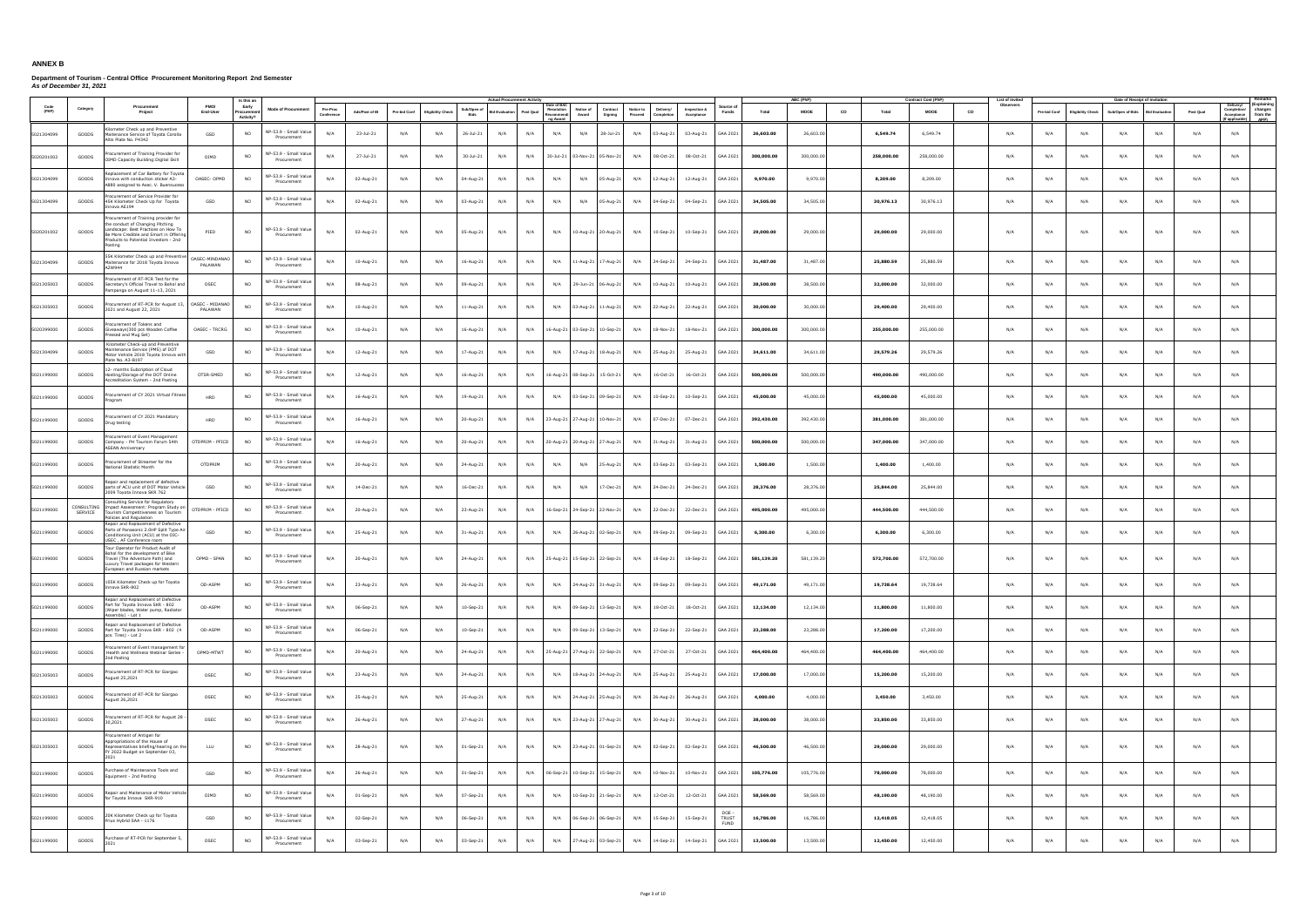|               |                              |                                                                                                                                                                                                           |                            | Is this a                       |                                      |                        |                |              |                          |                     | <b>Actual Procurement Activ</b> |           |                                                   |                                           |                      |                         |                            |                                     |            | <b>ABC (PhF</b> |    |            | Contract Cost (PhP) | <b>List of Invite</b> |              |                          | Date of Receipt of Invitation |                      |           |                                                                                                           |
|---------------|------------------------------|-----------------------------------------------------------------------------------------------------------------------------------------------------------------------------------------------------------|----------------------------|---------------------------------|--------------------------------------|------------------------|----------------|--------------|--------------------------|---------------------|---------------------------------|-----------|---------------------------------------------------|-------------------------------------------|----------------------|-------------------------|----------------------------|-------------------------------------|------------|-----------------|----|------------|---------------------|-----------------------|--------------|--------------------------|-------------------------------|----------------------|-----------|-----------------------------------------------------------------------------------------------------------|
| Code<br>(PAP) | Category                     | Procurement<br>Project                                                                                                                                                                                    | PMO/<br>End-User           | Early<br>Procureme<br>Activity? | <b>Mode of Procurement</b>           | Pre-Proc<br>Conference | Ads/Post of IB | Pre-bid Conf | <b>Eligibility Check</b> | Sub/Open of<br>Bids | lid Evaluation                  | Post Qual | Date of BAO<br>Resolution<br>Recommend<br>a Award | Notice of<br>Contract<br>Award<br>Signing | Notice to<br>Proceed | Delivery/<br>Completion | Inspection &<br>Acceptance | Source o<br>Funds                   | Total      | <b>MOOE</b>     | co | Total      | <b>MOOE</b>         | Observers<br>CO       | Pre-bid Conf | <b>Eligibility Check</b> | Sub/Open of Bids              | <b>Bid Evaluatio</b> | Post Qual | (Explaining<br>Delivery/<br>changes<br>Completion/<br>Acceptance from the<br><b>APP)</b><br>f applicable) |
| 5021304099    | GOODS                        | ometer Check up and Preventive<br>Maitenance Service of Toyota Corolla<br>Altis Plate No. P4342                                                                                                           | GSD                        | N <sub>O</sub>                  | VP-53.9 - Small Value<br>Procurement | N/A                    | 23-Jul-21      | N/A          | N/A                      | 26-Jul-21           | N/A                             | N/A       | N/A                                               | N/A<br>$28 - Jul - 21$                    | N/A                  | 03-Aug-21               | 03-Aug-21                  | GAA 2021                            | 26,603.00  | 26,603.00       |    | 6.549.74   | 6,549.74            | N/A                   | N/A          | N/A                      | N/A                           | N/A                  | N/A       | N/A                                                                                                       |
| 5020201002    | GOODS                        | ocurement of Training Provider fo<br>OIMD Capacity Building:Digital Skill                                                                                                                                 | OIMD                       | N <sub>O</sub>                  | VP-53.9 - Small Value<br>Procurement | N/A                    | 27-Jul-21      | N/A          | N/A                      | 30-Jul-21           | N/A                             | N/A       |                                                   | 30-Jul-21 03-Nov-21 05-Nov-21             | N/A                  | 08-Oct-21               | 08-Oct-21                  | GAA 2021                            | 300,000.00 | 300,000.00      |    | 258,000.00 | 258,000.00          | N/A                   | N/A          | N/A                      | N/A                           | N/A                  | N/A       | N/A                                                                                                       |
| 5021304099    | GOODS                        | eplacement of Car Battery for Toyota<br>nova with conduction sticker A3-<br>880 assigned to Asec. V. Buensuceso                                                                                           | OASEC- OPMD                | NO.                             | VP-53.9 - Small Value<br>Procurement | N/A                    | 02-Aug-21      | N/A          | N/A                      | 04-Aug-21           | N/A                             | N/A       | N/A                                               | N/A<br>05-Aug-21                          | N/A                  | 12-Aug-21               | 12-Aug-21                  | GAA 2021                            | 9,970.00   | 9,970.00        |    | 8,209.00   | 8,209.00            | N/A                   | N/A          | N/A                      | N/A                           | N/A                  | N/A       | N/A                                                                                                       |
| 5021304099    | GOODS                        | ocurement of Service Provider for<br>45K Kilometer Check Up for Toyota<br>nova AE194                                                                                                                      | GSD                        | NO.                             | VP-53.9 - Small Value<br>Procurement | N/A                    | 02-Aug-21      | N/A          | N/A                      | 03-Aug-21           | N/A                             | N/A       | N/A                                               | N/A<br>05-Aug-21                          | N/A                  | 04-Sep-21               | 04-Sep-21                  | GAA 2021                            | 34,505.00  | 34,505.00       |    | 30,976.13  | 30,976.13           | N/A                   | N/A          | N/A                      | N/A                           | N/A                  | N/A       | N/A                                                                                                       |
| 5020201002    | GOODS                        | rocurement of Training provider for<br>he conduct of Changing Pitching<br>Landscape: Best Practices on How To<br>Be More Credible and Smart in Offering<br>roducts to Potential Investors - 2nd<br>osting | PIED                       | NO.                             | NP-53.9 - Small Value<br>Procurement | N/A                    | 02-Aug-21      | N/A          | N/A                      | 05-Aug-21           | N/A                             | N/A       | N/A                                               | 10-Aug-21 20-Aug-21                       | N/A                  | 10-Sep-21               | 10-Sep-21                  | GAA 2021                            | 29,000.00  | 29,000.00       |    | 29,000.00  | 29,000.00           | N/A                   | N/A          | N/A                      | N/A                           | N/A                  | N/A       | N/A                                                                                                       |
| 5021304099    | GOODS                        | 5K Kilometer Check up and Preventive<br>Maitenance for 2018 Toyota Innova<br>A2W944                                                                                                                       | OASEC-MINDANA<br>PALAWAN   | NO.                             | VP-53.9 - Small Value<br>Procurement | N/A                    | 10-Aug-21      | N/A          | N/A                      | 16-Aug-21           | N/A                             | N/A       | N/A                                               | 11-Aug-21 17-Aug-21                       | N/A                  | 24-Sep-21               | 24-Sep-21                  | GAA 2021                            | 31,487.00  | 31,487.00       |    | 25,880.59  | 25,880.59           | N/A                   | N/A          | N/A                      | N/A                           | N/A                  | N/A       | N/A                                                                                                       |
| 5021305003    | GOODS                        | curement of RT-PCR Test for the<br>Secretary's Official Travel to Bohol and<br>ampanga on August 11-13, 2021                                                                                              | OSEC                       | <b>NO</b>                       | VP-53.9 - Small Value<br>Procurement | N/A                    | 08-Aug-21      | N/A          | N/A                      | 09-Aug-21           | N/A                             | N/A       | N/A                                               | 29-Jun-21<br>06-Aug-21                    | N/A                  | 10-Aug-21               | 10-Aug-21                  | GAA 2021                            | 38,500.00  | 38,500.00       |    | 32,000.00  | 32,000.00           | N/A                   | N/A          | N/A                      | N/A                           | N/A                  | N/A       | N/A                                                                                                       |
| 5021305003    | GOODS                        | ocurement of RT-PCR for August 13,<br>2021 and August 22, 2021                                                                                                                                            | OASEC - MIDANAO<br>PALAWAN | <b>NO</b>                       | VP-53.9 - Small Value<br>Procurement | N/A                    | 10-Aug-21      | N/A          | N/A                      | 11-Aug-21           | N/A                             | N/A       | N/A                                               | 03-Aug-21 11-Aug-21                       | N/A                  | 22-Aug-21               | 22-Aug-21                  | GAA 2021                            | 30,000.00  | 30,000,00       |    | 29,400.00  | 29,400.00           | N/A                   | N/A          | N/A                      | N/A                           | N/A                  | N/A       | N/A                                                                                                       |
| 5020399000    | GOODS                        | rocurement of Tokens and<br>iveaways(300 pcs Wooden Coffee<br>ssed and Mug Set)                                                                                                                           | OASEC - TRCRG              | <b>NO</b>                       | VP-53.9 - Small Value<br>Procurement | N/A                    | 10-Aug-21      | N/A          | N/A                      | 16-Aug-21           | N/A                             | N/A       |                                                   | 16-Aug-21 03-Sep-21 10-Sep-21             | N/A                  | 18-Nov-21               | 18-Nov-21                  | GAA 2021                            | 300,000.00 | 300,000.00      |    | 255,000.00 | 255,000.00          | N/A                   | N/A          | N/A                      | N/A                           | N/A                  | N/A       | N/A                                                                                                       |
| 5021304099    | GOODS                        | Kilometer Check-up and Preventiv<br>aintenance Service (PMS) of DOT<br>fotor Vehicle 2018 Toyota Innova with<br>late No. A3-B197                                                                          | GSD                        | NO.                             | VP-53.9 - Small Value<br>Procurement | N/A                    | 12-Aug-21      | N/A          | N/A                      | 17-Aug-21           | N/A                             | N/A       | N/A                                               | 7-Aug-21 18-Aug-21                        | N/A                  | 25-Aug-21               | 25-Aug-21                  | GAA 2021                            | 34,611.00  | 34,611.00       |    | 29,579.26  | 29,579.26           | N/A                   | N/A          | N/A                      | N/A                           | N/A                  | N/A       | N/A                                                                                                       |
| 5021199000    | GOODS                        | 2- months Subcription of Cloud<br>Hosting/Storage of the DOT Online<br>ccreditation System - 2nd Posting                                                                                                  | OTSR-SMED                  | <b>NO</b>                       | IP-53.9 - Small Value<br>Procurement | N/A                    | 12-Aug-21      | N/A          | N/A                      | 16-Aug-21           | N/A                             | N/A       |                                                   | 16-Aug-21 08-Sep-21 15-Oct-21             | N/A                  | 16-Oct-21               | 16-Oct-21                  | GAA 2021                            | 500,000.00 | 500,000.00      |    | 490,000.00 | 490,000.00          | N/A                   | N/A          | N/A                      | N/A                           | N/A                  | N/A       | N/A                                                                                                       |
| 5021199000    | GOODS                        | ocurement of CY 2021 Virtual Fitness<br>oqram                                                                                                                                                             | HRD                        | N <sub>O</sub>                  | NP-53.9 - Small Value<br>Procurement | N/A                    | 16-Aug-21      | N/A          | N/A                      | 19-Aug-21           | N/A                             | N/A       | N/A                                               | 03-Sep-21 09-Sep-21                       | N/A                  | 10-Sep-21               | 10-Sep-21                  | GAA 2021                            | 45,000.00  | 45,000.00       |    | 45,000.00  | 45,000.00           | N/A                   | N/A          | N/A                      | N/A                           | N/A                  | N/A       | N/A                                                                                                       |
| 5021199000    | GOODS                        | rocurement of CY 2021 Mandatory<br>orug testing                                                                                                                                                           | HRD                        | NO.                             | VP-53.9 - Small Value<br>Procurement | N/A                    | 16-Aug-21      | N/A          | N/A                      | 20-Aug-21           | N/A                             | N/A       |                                                   | 23-Aug-21 27-Aug-21 10-Nov-21             | N/A                  | 07-Dec-21               | 07-Dec-21                  | GAA 2021                            | 392,430.00 | 392,430.00      |    | 381,000.00 | 381,000.00          | N/A                   | N/A          | N/A                      | N/A                           | N/A                  | N/A       | N/A                                                                                                       |
| 5021199000    | GOODS                        | ocurement of Event Management<br>Company - PH Tourism Forum 54th<br><b>SEAN Anniversary</b>                                                                                                               | OTDPRIM - PFICD            | <b>NO</b>                       | IP-53.9 - Small Value<br>Procurement | N/A                    | 16-Aug-21      | N/A          | N/A                      | 20-Aug-21           | N/A                             | N/A       |                                                   | 20-Aug-21 20-Aug-21 27-Aug-21             | N/A                  | 31-Aug-21               | 31-Aug-21                  | GAA 2021                            | 500,000.00 | 500,000,00      |    | 347,000.00 | 347,000.00          | N/A                   | N/A          | N/A                      | N/A                           | N/A                  | N/A       | N/A                                                                                                       |
| 5021199000    | GOODS                        | ocurement of Streamer for the<br>ational Statistic Month                                                                                                                                                  | OTDPRIM                    | <b>NO</b>                       | IP-53.9 - Small Value<br>Procurement | N/A                    | 20-Aug-21      | N/A          | N/A                      | 24-Aug-21           | N/A                             | N/A       | N/A                                               | 25-Aug-21<br>N/A                          | N/A                  | 03-Sep-21               | 03-Sep-21                  | GAA 2021                            | 1,500.00   | 1,500.00        |    | 1,400.00   | 1,400.00            | N/A                   | N/A          | N/A                      | N/A                           | N/A                  | N/A       | N/A                                                                                                       |
| 5021199000    | GOODS                        | tepair and replacement of defective<br>parts of ACU unit of DOT Motor Vehicle<br>2009 Tovota Innova SKR 762                                                                                               | GSD                        | NO.                             | VP-53.9 - Small Value<br>Procurement | N/A                    | 14-Dec-21      | N/A          | N/A                      | 16-Dec-21           | N/A                             | N/A       | N/A                                               | N/A<br>17-Dec-21                          | N/A                  | 24-Dec-21               | 24-Dec-21                  | GAA 2021                            | 28,376.00  | 28,376.00       |    | 25,844.00  | 25,844.00           | N/A                   | N/A          | N/A                      | N/A                           | N/A                  | N/A       | N/A                                                                                                       |
| 5021199000    | CONSULTING<br><b>SERVICE</b> | onsulting Service for Regulatory<br>mpact Assessment: Program Study on<br>ourism Competitiveness on Tourism<br>olicies and Regulation                                                                     | OTDPRIM - PFICD            | <b>NO</b>                       | IP-53.9 - Small Value<br>Procurement | N/A                    | 20-Aug-21      | N/A          | N/A                      | 23-Aug-21           | N/A                             | N/A       |                                                   | 16-Sep-21 24-Sep-21 22-Nov-21             | N/A                  | 22-Dec-21               | 22-Dec-21                  | GAA 2021                            | 495,000.00 | 495,000.00      |    | 444,500.00 | 444,500.00          | N/A                   | N/A          | N/A                      | N/A                           | N/A                  | N/A       | N/A                                                                                                       |
| 5021199000    | GOODS                        | epair and Replacement of Defective<br>Parts of Panasonic 2.0HP Split Type Air<br>Conditioning Unit (ACU) at the OIC-<br>SEC, AF Conference room                                                           | GSD                        | NO.                             | IP-53.9 - Small Value<br>Procurement | N/A                    | 25-Aug-21      | N/A          | N/A                      | 31-Aug-21           | N/A                             | N/A       | N/A                                               | 26-Aug-21 02-Sep-21                       | N/A                  | 09-Sep-21               | 09-Sep-21                  | GAA 2021                            | 6,300.00   | 6,300.00        |    | 6,300.00   | 6,300.00            | N/A                   | N/A          | N/A                      | N/A                           | N/A                  | N/A       | N/A                                                                                                       |
| 5021199000    | GOODS                        | our Operator for Product Audit of<br>ohol for the development of Bike<br>Travel (The Adventure Path) and<br>uxury Travel packages for Western<br>uropean and Russian markets                              | OPMD - SPAN                | <b>NO</b>                       | NP-53.9 - Small Value<br>Procurement | N/A                    | 20-Aug-21      | N/A          | N/A                      | 24-Aug-21           | N/A                             |           |                                                   | N/A 25-Aug-21 15-Sep-21 22-Sep-21         | N/A                  | 18-Sep-21               | 18-Sep-21                  | GAA 2021                            | 581,139.20 | 581,139.20      |    | 572,700.00 | 572,700.00          | N/A                   | N/A          | N/A                      | N/A                           | N/A                  | N/A       | N/A                                                                                                       |
| 5021199000    | GOODS                        | 105K Kilometer Check up for Toyota<br>Innova SKR-802                                                                                                                                                      | OD-ASPM                    | N <sub>O</sub>                  | NP-53.9 - Small Value<br>Procurement | N/A                    | 23-Aug-21      | N/A          | N/A                      | 26-Aug-21           | N/A                             | N/A       |                                                   | N/A 24-Aug-21 31-Aug-21                   |                      |                         | N/A 09-Sep-21 09-Sep-21    | GAA 2021                            | 49,171.00  | 49,171.00       |    | 19,738.64  | 19,738.64           | N/A                   | N/A          | N/A                      | N/A                           | N/A                  | N/A       | N/A                                                                                                       |
| 5021199000    | GOODS                        | epair and Replacement of Defective<br>Part for Tovota Innova SKR - 802<br>(Wiper blades, Water pump, Radiator<br>ssembly) - Lot 1                                                                         | OD-ASPM                    | NO.                             | VP-53.9 - Small Value<br>Procurement | N/A                    | 06-Sep-21      | N/A          | N/A                      | 10-Sep-21           | N/A                             | N/A       | N/A                                               | 09-Sep-21 13-Sep-21                       | N/A                  | 18-Oct-21               | 18-Oct-21                  | GAA 2021                            | 12,134.00  | 12,134.00       |    | 11,800.00  | 11,800.00           | N/A                   | N/A          | N/A                      | N/A                           | N/A                  | N/A       | N/A                                                                                                       |
| 5021199000    | GOODS                        | epair and Replacement of Defective<br>Part for Toyota Innova SKR - 802 (4<br>cs. Tires) - Lot 2                                                                                                           | OD-ASPM                    | <b>NO</b>                       | VP-53.9 - Small Value<br>Procurement | N/A                    | 06-Sep-21      | N/A          | N/A                      | 10-Sep-21           | N/A                             | N/A       | N/A                                               | 09-Sep-21 13-Sep-21                       | N/A                  | 22-Sep-21               | 22-Sep-21                  | GAA 2021                            | 23,288.00  | 23,288.00       |    | 17,200.00  | 17,200.00           | N/A                   | N/A          | N/A                      | N/A                           | N/A                  | N/A       | N/A                                                                                                       |
| 5021199000    | GOODS                        | ocurement of Event management for<br>Health and Wellness Webinar Series -<br>d Posting                                                                                                                    | OPMD-MTWT                  | <b>NO</b>                       | VP-53.9 - Small Value<br>Procurement | N/A                    | 20-Aug-21      | N/A          | N/A                      | 24-Aug-21           | N/A                             | N/A       |                                                   | 25-Aug-21 27-Aug-21 22-Sep-21             | N/A                  | 27-Oct-21               | 27-Oct-21                  | GAA 2021                            | 464,400.00 | 464,400.00      |    | 464,400.00 | 464,400.00          | N/A                   | N/A          | N/A                      | N/A                           | N/A                  | N/A       | N/A                                                                                                       |
| 5021305003    | GOODS                        | ocurement of RT-PCR for Siargao<br>gust 25,2021                                                                                                                                                           | OSEC                       | NO.                             | VP-53.9 - Small Value<br>Procurement | N/A                    | 23-Aug-21      | N/A          | N/A                      | 24-Aug-21           | N/A                             | N/A       | N/A                                               | 18-Aug-21 24-Aug-21                       | N/A                  | 25-Aug-21               | 25-Aug-21                  | GAA 2021                            | 17,000.00  | 17,000.00       |    | 15,200.00  | 15,200.00           | N/A                   | N/A          | N/A                      | N/A                           | N/A                  | N/A       | N/A                                                                                                       |
| 5021305003    | GOODS                        | ocurement of RT-PCR for Siargao<br>uqust 26,2021                                                                                                                                                          | OSEC                       | NO                              | IP-53.9 - Small Value<br>Procurement | N/A                    | 25-Aug-21      | N/A          | N/A                      | 25-Aug-21           | N/A                             | N/A       | N/A                                               | 24-Aug-21 25-Aug-21                       | N/A                  | 26-Aug-21               | 26-Aug-21                  | GAA 2021                            | 4,000.00   | 4,000.00        |    | 3,450.00   | 3,450.00            | N/A                   | N/A          | N/A                      | N/A                           | N/A                  | N/A       | N/A                                                                                                       |
| 5021305003    | GOODS                        | ocurement of RT-PCR for August 28<br>0.2021                                                                                                                                                               | OSEC                       | N <sub>O</sub>                  | NP-53.9 - Small Value<br>Procurement | N/A                    | 26-Aug-21      | N/A          | N/A                      | 27-Aug-21           | N/A                             | N/A       | N/A                                               | 23-Aug-21 27-Aug-21                       | N/A                  | 30-Aug-21               | 30-Aug-21                  | GAA 2021                            | 38,000.00  | 38,000.00       |    | 33,850.00  | 33,850.00           | N/A                   | N/A          | N/A                      | N/A                           | N/A                  | N/A       | N/A                                                                                                       |
| 5021305003    | GOODS                        | rocurement of Antigen for<br>opropriations of the House of<br>epresentatives briefing/hearing on the<br>Y 2022 Budget on September 03,<br>1021                                                            | LLU                        | NO                              | NP-53.9 - Small Value<br>Procurement | N/A                    | 28-Aug-21      | N/A          | N/A                      | 01-Sep-21           | N/A                             | N/A       | N/A                                               | 23-Aug-21 01-Sep-21                       | N/A                  | 02-Sep-21               | 02-Sep-21                  | GAA 2021                            | 46,500.00  | 46,500.00       |    | 29,000.00  | 29,000.00           | N/A                   | N/A          | N/A                      | N/A                           | N/A                  | N/A       | N/A                                                                                                       |
| 5021199000    | GOODS                        | urchase of Maintenance Tools and<br>quipment - 2nd Posting                                                                                                                                                | GSD                        | NO.                             | VP-53.9 - Small Value<br>Procurement | N/A                    | 26-Aug-21      | N/A          | N/A                      | 01-Sep-21           | N/A                             | N/A       |                                                   | 06-Sep-21 10-Sep-21 15-Sep-21             | N/A                  | 10-Nov-21               | 10-Nov-21                  | GAA 2021                            | 105,776.00 | 105,776.00      |    | 78,000.00  | 78,000.00           | N/A                   | N/A          | N/A                      | N/A                           | N/A                  | N/A       | N/A                                                                                                       |
| 5021199000    | GOODS                        | tepair and Maitenance of Motor Vehicle<br>r Tovota Innova SKR-910                                                                                                                                         | OIMD                       | NO                              | IP-53.9 - Small Value<br>Procurement | N/A                    | 01-Sep-21      | N/A          | N/A                      | 07-Sep-21           | N/A                             | N/A       | N/A                                               | 10-Sep-21 21-Sep-21                       | N/A                  | 12-Oct-21               | 12-Oct-21                  | GAA 2021                            | 58,569.00  | 58,569.00       |    | 48,190.00  | 48,190.00           | N/A                   | N/A          | N/A                      | N/A                           | N/A                  | N/A       | N/A                                                                                                       |
| 5021199000    | GOODS                        | 20K Kilometer Check up for Toyota<br>Prius Hybrid SAA - 1176                                                                                                                                              | GSD                        | N <sub>O</sub>                  | VP-53.9 - Small Value<br>Procurement | N/A                    | 02-Sep-21      | N/A          | N/A                      | 06-Sep-21           | N/A                             | N/A       | N/A                                               | 06-Sep-21 06-Sep-21                       | N/A                  | 15-Sep-21               | 15-Sep-21                  | DOE-<br><b>TRUST</b><br><b>FUND</b> | 16,786.00  | 16,786.00       |    | 12,418.05  | 12,418.05           | N/A                   | N/A          | N/A                      | N/A                           | N/A                  | N/A       | N/A                                                                                                       |
| 5021199000    | GOODS                        | urchase of RT-PCR for September 5,                                                                                                                                                                        | OSEC                       | NO.                             | VP-53.9 - Small Value<br>Procurement | N/A                    | 03-Sep-21      | N/A          | N/A                      | 03-Sep-21           | N/A                             | N/A       | N/A                                               | 27-Aug-21 03-Sep-21                       | N/A                  | 14-Sep-21               | 14-Sep-21                  | GAA 2021                            | 13,500.00  | 13,500.00       |    | 12,450.00  | 12,450.00           | N/A                   | N/A          | N/A                      | N/A                           | N/A                  | N/A       | N/A                                                                                                       |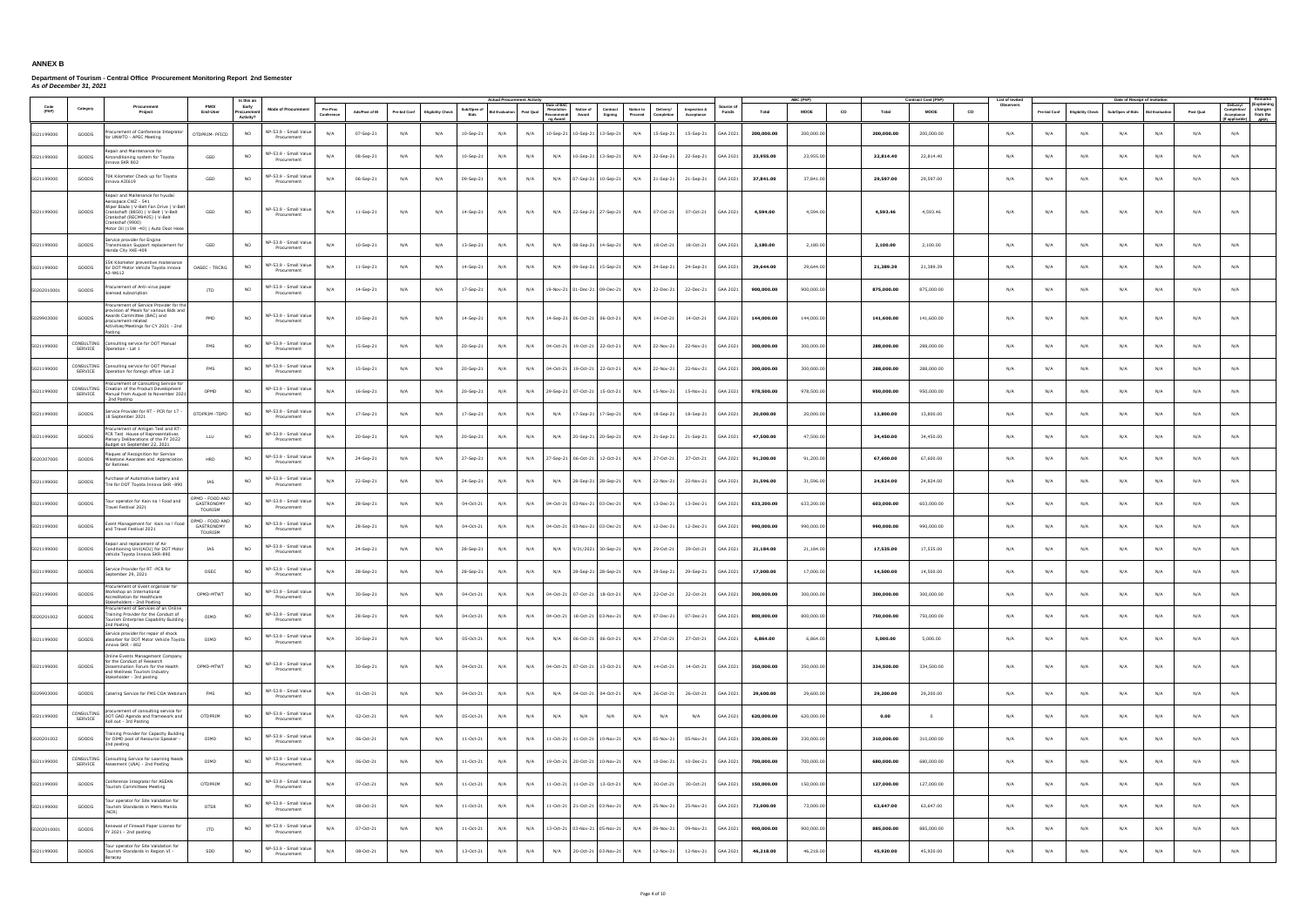|               |                              |                                                                                                                                                                                                                                        |                                                 | Is this ar                       |                                      |                        |                |              |                          |                     | <b>Actual Procurement Activit</b> |           |                                                                          |                     |                                                 |                            |                   |            | ABC (PhP    |    |            | <b>Contract Cost (PhP)</b> | List of Invite  |              |                          | Date of Receipt of Invitation |                       |           |                                                                                                        |
|---------------|------------------------------|----------------------------------------------------------------------------------------------------------------------------------------------------------------------------------------------------------------------------------------|-------------------------------------------------|----------------------------------|--------------------------------------|------------------------|----------------|--------------|--------------------------|---------------------|-----------------------------------|-----------|--------------------------------------------------------------------------|---------------------|-------------------------------------------------|----------------------------|-------------------|------------|-------------|----|------------|----------------------------|-----------------|--------------|--------------------------|-------------------------------|-----------------------|-----------|--------------------------------------------------------------------------------------------------------|
| Code<br>(PAP) | Category                     | Procuremen<br>Project                                                                                                                                                                                                                  | PMO/<br>End-User                                | Early<br>Procuremer<br>Activity? | <b>Mode of Procurement</b>           | Pre-Proc<br>Conference | Ads/Post of IB | Pre-bid Conf | <b>Eligibility Check</b> | Sub/Open of<br>Bids | lid Evaluation                    | Post Qual | Date of BA<br>Resolution<br>Notice of<br>Recommendi<br>Award<br>ng Award | Contract<br>Signing | Notice to<br>Delivery/<br>Proceed<br>Completion | Inspection &<br>Acceptance | Source o<br>Funds | Total      | <b>MOOE</b> | co | Total      | <b>MOOE</b>                | Observers<br>CO | Pre-bid Conf | <b>Eligibility Check</b> | Sub/Open of Bids              | <b>Bid Evaluation</b> | Post Qual | (Explaining<br>Delivery/<br>Completion/ changes<br>Acceptance from the<br><b>APP)</b><br>f applicable) |
| 5021199000    | GOODS                        | ocurement of Conference Integrator<br>or UNWTO - APEC Meeting                                                                                                                                                                          | OTDPRIM- PFICD                                  | <b>NO</b>                        | NP-53.9 - Small Value<br>Procurement | N/A                    | 07-Sep-21      | N/A          | N/A                      | 10-Sep-21           | N/A                               | N/A       | 10-Sep-21 10-Sep-21                                                      | 13-Sep-21           | N/A<br>15-Sep-21                                | 15-Sep-21                  | GAA 2021          | 200,000.00 | 200,000,00  |    | 200,000.00 | 200,000.00                 | N/A             | N/A          | N/A                      | N/A                           | N/A                   | N/A       | N/A                                                                                                    |
| 5021199000    | GOODS                        | epair and Maintenance for<br>Airconditioning system for Toyota<br>inova SKR 802                                                                                                                                                        | GSD                                             | <b>NO</b>                        | VP-53.9 - Small Value<br>Procurement | N/A                    | 08-Sep-21      | N/A          | N/A                      | 10-Sep-21           | N/A                               | N/A       | N/A                                                                      | 10-Sep-21 13-Sep-21 | N/A<br>22-Sep-21                                | 22-Sep-21                  | GAA 2021          | 23,955.00  | 23,955.00   |    | 22,814.40  | 22,814.40                  | N/A             | N/A          | N/A                      | N/A                           | N/A                   | N/A       | N/A                                                                                                    |
| 5021199000    | GOODS                        | 70K Kilometer Check up for Toyota<br>nnova A3I619                                                                                                                                                                                      | GSD                                             | N <sub>O</sub>                   | VP-53.9 - Small Value<br>Procurement | N/A                    | 06-Sep-21      | N/A          | N/A                      | 09-Sep-21           | N/A                               | N/A       | N/A<br>07-Sep-21                                                         | $10-Sep-21$         | N/A<br>21-Sep-21                                | 21-Sep-21                  | GAA 2021          | 37,841.00  | 37,841.00   |    | 29,597.00  | 29,597.00                  | N/A             | N/A          | N/A                      | N/A                           | N/A                   | N/A       | N/A                                                                                                    |
| 5021199000    | GOODS                        | Repair and Maitenance for hyudai<br>Aerospace CWZ - 541<br>Niper Blade   V-Belt Fan Drive   V-Belt<br>Crankshaft (8850)   V-Belt   V-Belt<br>Crankshaf (RECM9405)   V-Belt<br>Crankshaf (9900)<br>Motor Oil (15W -40)   Auto Door Hose | GSD                                             | <b>NO</b>                        | NP-53.9 - Small Value<br>Procurement | N/A                    | 11-Sep-21      | N/A          | N/A                      | 14-Sep-21           | N/A                               | N/A       | N/A                                                                      | 22-Sep-21 27-Sep-21 | N/A<br>07-Oct-21                                | 07-Oct-21                  | GAA 2021          | 4,594.00   | 4,594.00    |    | 4,593.46   | 4,593.46                   | N/A             | N/A          | N/A                      | N/A                           | N/A                   | N/A       | N/A                                                                                                    |
| 5021199000    | GOODS                        | ervice provider for Engine<br>ansmission Support replacement for<br>londa City XKE-409                                                                                                                                                 | GSD                                             | <b>NO</b>                        | NP-53.9 - Small Value<br>Procurement | N/A                    | $10-Sep-21$    | N/A          | N/A                      | 13-Sep-21           | N/A                               | N/A       | N/A                                                                      | 08-Sep-21 14-Sep-21 | 18-Oct-21<br>N/A                                | 18-Oct-21                  | GAA 2021          | 2.180.00   | 2,180.00    |    | 2,100.00   | 2,100.00                   | N/A             | N/A          | N/A                      | N/A                           | N/A                   | N/A       | N/A                                                                                                    |
| 5021199000    | GOODS                        | 55K Kilometer preventive maitenance<br>or DOT Motor Vehicle Toyota innova<br>3-W612                                                                                                                                                    | OASEC - TRCRG                                   | <b>NO</b>                        | NP-53.9 - Small Value<br>Procurement | N/A                    | 11-Sep-21      | N/A          | N/A                      | 14-Sep-21           | N/A                               | N/A       | N/A                                                                      | 09-Sep-21 15-Sep-21 | N/A<br>24-Sep-21                                | 24-Sep-21                  | GAA 2021          | 29,644.00  | 29,644,00   |    | 21,389.39  | 21,389.39                  | N/A             | N/A          | N/A                      | N/A                           | N/A                   | N/A       | N/A                                                                                                    |
| 50202010001   | GOODS                        | ocurement of Anti-virus paper<br>ensed subscription                                                                                                                                                                                    | <b>ITD</b>                                      | <b>NO</b>                        | NP-53.9 - Small Value<br>Procurement | N/A                    | 14-Sep-21      | N/A          | N/A                      | 17-Sep-21           | N/A                               | N/A       | 19-Nov-21 01-Dec-21 09-Dec-21                                            |                     | N/A<br>22-Dec-21                                | 22-Dec-21                  | GAA 2021          | 900,000.00 | 900,000.00  |    | 875,000.00 | 875,000.00                 | N/A             | N/A          | N/A                      | N/A                           | N/A                   | N/A       | N/A                                                                                                    |
| 5029903000    | GOODS                        | Procurement of Service Provider for the<br>ovision of Meals for various Bids and<br>Awards Committee (BAC) and<br>procurement-related<br>Activities/Meetings for CY 2021 - 2nd<br>Posting                                              | PMD                                             | N <sub>O</sub>                   | NP-53.9 - Small Value<br>Procurement | N/A                    | 10-Sep-21      | N/A          | N/A                      | 14-Sep-21           | N/A                               | N/A       | 14-Sep-21 06-Oct-21 06-Oct-21                                            |                     | N/A<br>14-Oct-21                                | 14-Oct-21                  | GAA 2021          | 144,000.00 | 144,000.00  |    | 141,600.00 | 141,600.00                 | N/A             | N/A          | N/A                      | N/A                           | N/A                   | N/A       | N/A                                                                                                    |
| 5021199000    | SERVICE                      | CONSULTING Consulting service for DOT Manual<br>Operation - Lot 1                                                                                                                                                                      | FMS                                             | N <sub>O</sub>                   | NP-53.9 - Small Value<br>Procurement | N/A                    | 15-Sep-21      | N/A          | N/A                      | 20-Sep-21           | N/A                               | N/A       | 04-Oct-21 19-Oct-21 22-Oct-21                                            |                     | N/A<br>22-Nov-21                                | 22-Nov-21                  | GAA 2021          | 300,000.00 | 300,000,00  |    | 288,000.00 | 288,000.00                 | N/A             | N/A          | N/A                      | N/A                           | N/A                   | N/A       | N/A                                                                                                    |
| 5021199000    | SERVICE                      | CONSULTING Consulting service for DOT Manual<br>Operation for foreign office- Lot 2                                                                                                                                                    | <b>FMS</b>                                      | <b>NO</b>                        | NP-53.9 - Small Value<br>Procurement | N/A                    | 15-Sep-21      | N/A          | N/A                      | 20-Sep-21           | N/A                               | N/A       | 04-Oct-21 19-Oct-21 22-Oct-21                                            |                     | N/A<br>22-Nov-21                                | 22-Nov-21                  | GAA 2021          | 300,000.00 | 300,000.00  |    | 288,000.00 | 288,000.00                 | N/A             | N/A          | N/A                      | N/A                           | N/A                   | N/A       | N/A                                                                                                    |
| 5021199000    | CONSULTING<br><b>SERVICE</b> | ocurement of Consulting Service for<br>Creation of the Product Development<br>1921 Annual from August to November<br>2nd Posting                                                                                                       | OPMD                                            | <b>NO</b>                        | VP-53.9 - Small Value<br>Procurement | N/A                    | 16-Sep-21      | N/A          | N/A                      | 20-Sep-21           | N/A                               | N/A       | 29-Sep-21 07-Oct-21 15-Oct-21                                            |                     | N/A<br>15-Nov-21                                | 15-Nov-21                  | GAA 2021          | 978,500.00 | 978,500.00  |    | 950,000.00 | 950,000.00                 | N/A             | N/A          | N/A                      | N/A                           | N/A                   | N/A       | N/A                                                                                                    |
| 5021199000    | GOODS                        | ervice Provider for RT - PCR for 17 -<br>8 September 2021                                                                                                                                                                              | OTDPRIM -TDPD                                   | <b>NO</b>                        | VP-53.9 - Small Value<br>Procurement | N/A                    | 17-Sep-21      | N/A          | N/A                      | 17-Sep-21           | N/A                               | N/A       | N/A                                                                      | 17-Sep-21 17-Sep-21 | N/A<br>18-Sep-21                                | 18-Sep-21                  | GAA 2021          | 20,000.00  | 20,000,00   |    | 13,800.00  | 13,800.00                  | N/A             | N/A          | N/A                      | N/A                           | N/A                   | N/A       | N/A                                                                                                    |
| 5021199000    | GOODS                        | ocurement of Antigen Test and RT-<br>PCR Test House of Representatives<br>lenary Deliberations of the FY 2022<br>udget on September 22, 2021                                                                                           | LLU                                             | N <sub>O</sub>                   | NP-53.9 - Small Value<br>Procurement | N/A                    | 20-Sep-21      | N/A          | N/A                      | 20-Sep-21           | N/A                               | N/A       | N/A<br>20-Sep-21                                                         | 20-Sep-21           | N/A<br>21-Sep-21                                | 21-Sep-21                  | GAA 2021          | 47,500.00  | 47,500.00   |    | 34,450.00  | 34,450.00                  | N/A             | N/A          | N/A                      | N/A                           | N/A                   | N/A       | N/A                                                                                                    |
| 5020307000    | GOODS                        | laques of Recognition for Service<br>filestone Awardees and Appreciation<br>for Retirees                                                                                                                                               | HRD                                             | <b>NO</b>                        | VP-53.9 - Small Value<br>Procurement | N/A                    | 24-Sep-21      | N/A          | N/A                      | 27-Sep-21           | N/A                               | N/A       | 27-Sep-21 06-Oct-21 12-Oct-21                                            |                     | N/A<br>27-Oct-21                                | 27-Oct-21                  | GAA 2021          | 91,200.00  | 91,200.00   |    | 67,600.00  | 67,600.00                  | N/A             | N/A          | N/A                      | N/A                           | N/A                   | N/A       | N/A                                                                                                    |
| 5021199000    | GOODS                        | urchase of Automotive battery and<br>Fire for DOT Toyota Innova SKR -890                                                                                                                                                               | IAS                                             | <b>NO</b>                        | IP-53.9 - Small Value<br>Procurement | N/A                    | 22-Sep-21      | N/A          | N/A                      | 24-Sep-21           | N/A                               | N/A       | N/A                                                                      | 28-Sep-21 28-Sep-21 | N/A<br>22-Nov-21                                | 22-Nov-21                  | GAA 2021          | 31,596.00  | 31,596.00   |    | 24,824.00  | 24,824.00                  | N/A             | N/A          | N/A                      | N/A                           | N/A                   | N/A       | N/A                                                                                                    |
| 5021199000    | GOODS                        | ur operator for Kain na ! Food and<br>ravel Festival 2021                                                                                                                                                                              | OPMD - FOOD AND<br>GASTRONOMY<br><b>TOURISM</b> | <b>NO</b>                        | NP-53.9 - Small Value<br>Procurement | N/A                    | 28-Sep-21      | N/A          | N/A                      | 04-Oct-21           | N/A                               | N/A       | 04-Oct-21 03-Nov-21 03-Dec-21                                            |                     | N/A<br>13-Dec-21                                | 13-Dec-21                  | GAA 2021          | 633,200.00 | 633,200.00  |    | 603,000.00 | 603,000.00                 | N/A             | N/A          | N/A                      | N/A                           | N/A                   | N/A       | N/A                                                                                                    |
| 5021199000    | GOODS                        | Event Management for Kain na ! Food<br>and Travel Festival 2021                                                                                                                                                                        | OPMD - FOOD AND<br>GASTRONOMY<br><b>TOURISM</b> | <b>NO</b>                        | NP-53.9 - Small Value<br>Procurement | N/A                    | 28-Sep-21      | N/A          | N/A                      | 04-Oct-21           | N/A                               | N/A       | 04-Oct-21 03-Nov-21 03-Dec-21                                            |                     | N/A<br>12-Dec-21                                | 12-Dec-21                  | GAA 2021          | 990,000.00 | 990,000.00  |    | 990,000.00 | 990,000.00                 | N/A             | N/A          | N/A                      | N/A                           | N/A                   | N/A       | N/A                                                                                                    |
| 5021199000    | GOODS                        | epair and replacement of Air<br>Conditioning Unit(ACU) for DOT Moto<br>Vehicle Toyota Innova SKR-890                                                                                                                                   | IAS                                             | NO                               | NP-53.9 - Small Value<br>Procurement | N/A                    | 24-Sep-21      | N/A          | N/A                      | 28-Sep-21           | N/A                               | N/A       | N/A                                                                      | 9/31/2021 30-Sep-21 | N/A<br>29-Oct-21                                | 29-Oct-21                  | GAA 2021          | 21,184.00  | 21,184.00   |    | 17,535.00  | 17,535.00                  | N/A             | N/A          | N/A                      | N/A                           | N/A                   | N/A       | N/A                                                                                                    |
| 5021199000    | GOODS                        | Service Provider for RT -PCR for<br>September 29, 2021                                                                                                                                                                                 | OSEC                                            | <b>NO</b>                        | VP-53.9 - Small Value<br>Procurement | N/A                    | 28-Sep-21      | N/A          | N/A                      | 28-Sep-21           | N/A                               | N/A       |                                                                          |                     | N/A 28-Sep-21 28-Sep-21 N/A 29-Sep-21           | 29-Sep-21                  | GAA 2021          | 17,000.00  | 17,000.00   |    | 14,500.00  | 14,500.00                  | N/A             | N/A          | N/A                      | N/A                           | N/A                   | N/A       | N/A                                                                                                    |
| 5021199000    | GOODS                        | ocurement or Event organizer for<br>Workshop on International<br>Accreditation for Healthcare<br>Stakeholders - 2nd Posting                                                                                                            | OPMD-MTWT                                       | <b>NO</b>                        | NP-53.9 - Small Value<br>Procurement | N/A                    | 30-Sep-21      | N/A          | N/A                      | 04-Oct-21           | N/A                               | N/A       | 04-Oct-21 07-Oct-21 18-Oct-21                                            |                     | N/A<br>22-Oct-21                                | 22-Oct-21                  | GAA 2021          | 300,000.00 | 300,000.00  |    | 300,000.00 | 300,000.00                 | N/A             | N/A          | N/A                      | N/A                           | N/A                   | N/A       | N/A                                                                                                    |
| 5020201002    | GOODS                        | rocurement of Services of an Online<br>raining Provider for the Conduct of<br>ourism Enterprise Capability Building<br>Ind Posting                                                                                                     | OIMD                                            | NO                               | VP-53.9 - Small Value<br>Procurement | N/A                    | 28-Sep-21      | N/A          | N/A                      | 04-Oct-21           | N/A                               | N/A       | 04-Oct-21 18-Oct-21 03-Nov-21                                            |                     | N/A<br>07-Dec-21                                | 07-Dec-21                  | GAA 2021          | 800,000.00 | 800,000.00  |    | 750,000.00 | 750,000.00                 | N/A             | N/A          | N/A                      | N/A                           | N/A                   | N/A       | N/A                                                                                                    |
| 5021199000    | GOODS                        | Service provider for repair of shock<br>absorber for DOT Motor Vehicle Toyota<br>ova SKR - 802                                                                                                                                         | OIMD                                            | <b>NO</b>                        | NP-53.9 - Small Value<br>Procurement | N/A                    | 30-Sep-21      | N/A          | N/A                      | 05-Oct-21           | N/A                               | N/A       | N/A                                                                      | 06-Oct-21 06-Oct-21 | N/A<br>27-Oct-21                                | 27-Oct-21                  | GAA 2021          | 6,864.00   | 6,864.00    |    | 5,000.00   | 5,000.00                   | N/A             | N/A          | N/A                      | N/A                           | N/A                   | N/A       | N/A                                                                                                    |
| 5021199000    | GOODS                        | Online Events Management Company<br>r the Conduct of Research<br>issemination Forum for the Health<br>and Wellness Tourism Industry<br>Stakeholder - 3rd posting                                                                       | OPMD-MTWT                                       | <b>NO</b>                        | NP-53.9 - Small Value<br>Procurement | N/A                    | 30-Sep-21      | N/A          | N/A                      | 04-Oct-21           | N/A                               | N/A       | 04-Oct-21 07-Oct-21 13-Oct-21                                            |                     | N/A<br>14-Oct-21                                | 14-Oct-21                  | GAA 2021          | 350,000.00 | 350,000.00  |    | 334,500.00 | 334,500.00                 | N/A             | N/A          | N/A                      | N/A                           | N/A                   | N/A       | N/A                                                                                                    |
| 5029903000    | GOODS                        | Catering Service for FMS COA Webinars                                                                                                                                                                                                  | FMS                                             | NO                               | NP-53.9 - Small Value<br>Procurement | N/A                    | 01-Oct-21      | N/A          | N/A                      | 04-Oct-21           | N/A                               | N/A       | N/A<br>04-Oct-21                                                         | 04-Oct-21           | N/A<br>26-Oct-21                                | 26-Oct-21                  | GAA 2021          | 29,600.00  | 29,600.00   |    | 29,200.00  | 29,200.00                  | N/A             | N/A          | N/A                      | N/A                           | N/A                   | N/A       | N/A                                                                                                    |
| 5021199000    | CONSULTING<br>SERVICE        | procurement of consulting service for<br>DOT GAD Agenda and framework and<br>Roll out - 3rd Posting                                                                                                                                    | OTDPRIM                                         | <b>NO</b>                        | VP-53.9 - Small Value<br>Procurement | N/A                    | 02-Oct-21      | N/A          | N/A                      | 05-Oct-21           | N/A                               | N/A       | N/A<br>N/A                                                               | N/A                 | N/A<br>N/A                                      | N/A                        | GAA 2021          | 620,000.00 | 620,000.00  |    | 0.00       | $\overline{0}$             | N/A             | N/A          | N/A                      | N/A                           | N/A                   | N/A       | N/A                                                                                                    |
| 5020201002    | GOODS                        | ining Provider for Capacity Building<br>for OIMD pool of Resource Speaker -<br>2nd posting                                                                                                                                             | OIMD                                            | <b>NO</b>                        | NP-53.9 - Small Value<br>Procurement | N/A                    | 06-Oct-21      | N/A          | N/A                      | 11-Oct-21           | N/A                               | N/A       | 11-Oct-21 11-Oct-21                                                      | 10-Nov-21           | N/A<br>05-Nov-21                                | 05-Nov-21                  | GAA 2021          | 330,000.00 | 330,000.00  |    | 310,000.00 | 310,000.00                 | N/A             | N/A          | N/A                      | N/A                           | N/A                   | N/A       | N/A                                                                                                    |
| 5021199000    | SERVICE                      | CONSULTING Consulting Service for Learning Needs<br>Assesment (LNA) - 2nd Posting                                                                                                                                                      | OIMD                                            | <b>NO</b>                        | NP-53.9 - Small Value<br>Procurement | N/A                    | 06-Oct-21      | N/A          | N/A                      | 11-Oct-21           | N/A                               |           | N/A 19-Oct-21 20-Oct-21 10-Nov-21                                        |                     | N/A<br>10-Dec-21                                | 10-Dec-21                  | GAA 2021          | 700,000.00 | 700,000.00  |    | 680,000.00 | 680,000.00                 | N/A             | N/A          | N/A                      | N/A                           | N/A                   | N/A       | N/A                                                                                                    |
| 5021199000    | GOODS                        | onference Integrator for ASEAN<br>ourism Committees Meeting                                                                                                                                                                            | OTDPRIM                                         | <b>NO</b>                        | VP-53.9 - Small Value<br>Procurement | N/A                    | 07-Oct-21      | N/A          | N/A                      | $11-Oct-21$         | N/A                               | N/A       | 11-Oct-21 11-Oct-21 13-Oct-21                                            |                     | 30-Oct-21<br>N/A                                | 30-Oct-21                  | GAA 2021          | 150,000.00 | 150,000.00  |    | 127,000.00 | 127,000.00                 | N/A             | N/A          | N/A                      | N/A                           | N/A                   | N/A       | N/A                                                                                                    |
| 5021199000    | GOODS                        | ur operator for Site Validation for<br>Tourism Standards in Metro Manila<br>(NCR)                                                                                                                                                      | OTSR                                            | <b>NO</b>                        | VP-53.9 - Small Value<br>Procurement | N/A                    | 08-Oct-21      | N/A          | N/A                      | $11-Oct-21$         | N/A                               | N/A       | 11-Oct-21 21-Oct-21 03-Nov-21                                            |                     | N/A<br>25-Nov-21                                | 25-Nov-21                  | GAA 2021          | 73,000.00  | 73,000.00   |    | 63,647.00  | 63,647.00                  | N/A             | N/A          | N/A                      | N/A                           | N/A                   | N/A       | N/A                                                                                                    |
| 50202010001   | GOODS                        | enewal of Firewall Paper License for<br>Y 2021 - 2nd posting                                                                                                                                                                           | ITD                                             | NO                               | IP-53.9 - Small Value<br>Procurement | N/A                    | 07-Oct-21      | N/A          | N/A                      | 11-Oct-21           | N/A                               | N/A       | 13-Oct-21 03-Nov-21 05-Nov-21                                            |                     | N/A<br>09-Nov-21                                | 09-Nov-21                  | GAA 2021          | 900,000.00 | 900,000.00  |    | 885,000.00 | 885,000.00                 | N/A             | N/A          | N/A                      | N/A                           | N/A                   | N/A       | N/A                                                                                                    |
| 5021199000    | GOODS                        | our operator for Site Validation for<br>Tourism Standards in Region VI -<br>Boracay                                                                                                                                                    | SDD                                             | <b>NO</b>                        | NP-53.9 - Small Value<br>Procurement | N/A                    | 08-Oct-21      | N/A          | N/A                      | 13-Oct-21           | N/A                               | N/A       | N/A                                                                      | 20-Oct-21 03-Nov-21 | N/A<br>12-Nov-21                                | 12-Nov-21                  | GAA 2021          | 46,218.00  | 46,218.00   |    | 45,920.00  | 45,920.00                  | N/A             | N/A          | N/A                      | N/A                           | N/A                   | N/A       | N/A                                                                                                    |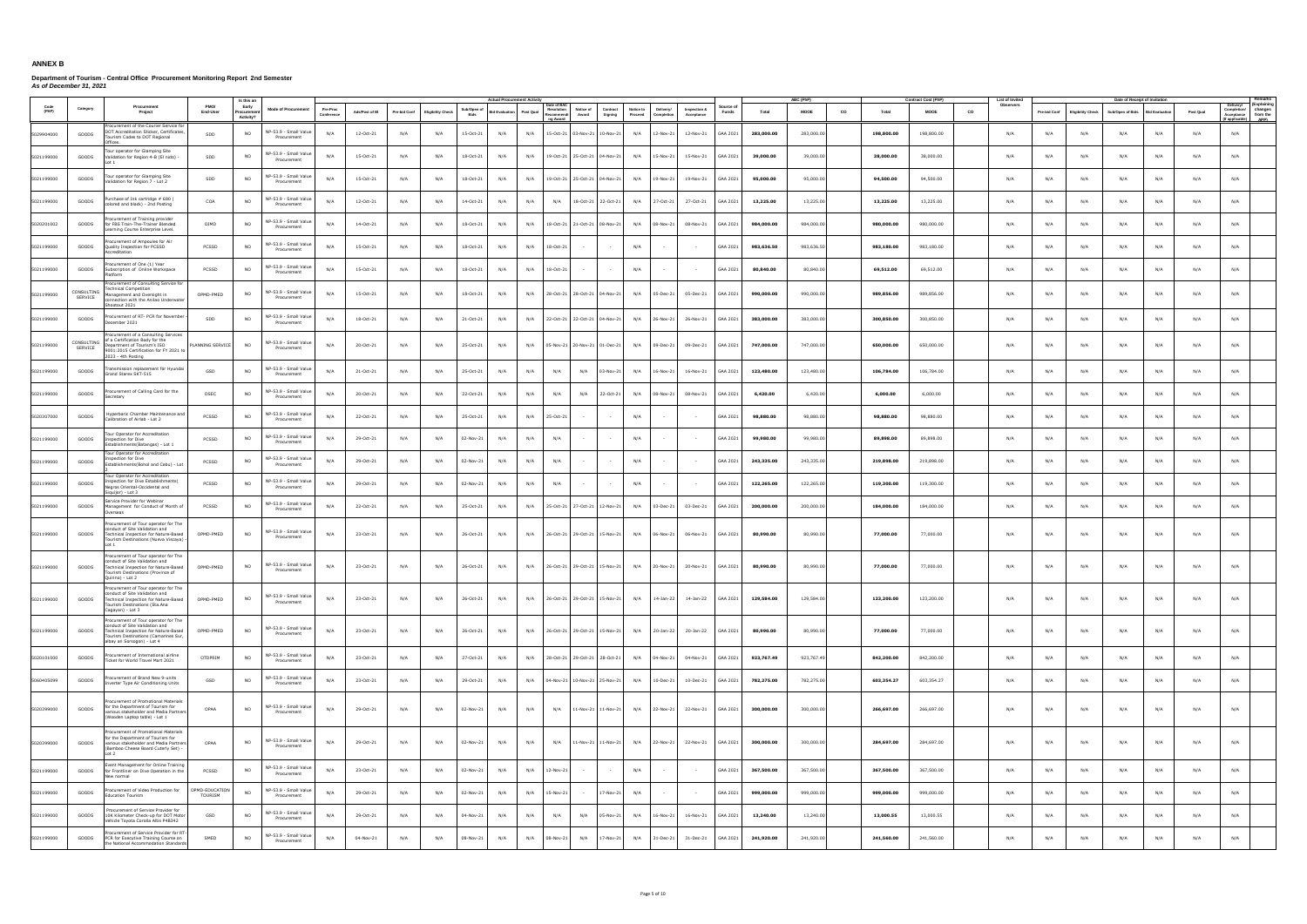|            |                       |                                                                                                                                                                    |                           | Is this ar                        |                                      |                        |                |              |                          |                     | <b>Actual Procurement Activit</b> |                                                                 |                                           |                                                 |                            |                   |            | ABC (PhP)   |    |            | <b>Contract Cost (PhP)</b> | List of Invite  |              |                          | Date of Receipt of Invitation |                      |           |                                                                                                 |
|------------|-----------------------|--------------------------------------------------------------------------------------------------------------------------------------------------------------------|---------------------------|-----------------------------------|--------------------------------------|------------------------|----------------|--------------|--------------------------|---------------------|-----------------------------------|-----------------------------------------------------------------|-------------------------------------------|-------------------------------------------------|----------------------------|-------------------|------------|-------------|----|------------|----------------------------|-----------------|--------------|--------------------------|-------------------------------|----------------------|-----------|-------------------------------------------------------------------------------------------------|
| (PAP)      | Category              | Procurement<br>Project                                                                                                                                             | <b>PMO/</b><br>End-User   | Early<br>Procurement<br>Activity? | <b>Mode of Procurement</b>           | Pre-Proc<br>Conference | Ads/Post of IB | Pre-bid Conf | <b>Eligibility Check</b> | Sub/Open of<br>Bids | <b>Bid Evaluation</b>             | Date of BA<br>Resolution<br>Post Qual<br>Recommendi<br>ng Award | Notice of<br>Contract<br>Award<br>Signing | Notice to<br>Delivery/<br>Proceed<br>Completion | Inspection &<br>Acceptance | Source o<br>Funds | Total      | <b>MOOE</b> | co | Total      | <b>MOOE</b>                | Observers<br>co | Pre-bid Conf | <b>Eligibility Check</b> | Sub/Open of Bids              | <b>Bid Evaluatio</b> | Post Qual | (Explaining<br>Delivery/<br>Completion/ changes<br>Acceptance from the<br>APP)<br>f applicable) |
| 5029904000 | GOODS                 | ocurement of the Courier Service for<br>DOT Accreditation Sticker, Certificates,<br>ourism Codes to DOT Regional<br>)ffices.                                       | SDD                       | <b>NO</b>                         | NP-53.9 - Small Value<br>Procurement | N/A                    | 12-Oct-21      | N/A          | N/A                      | 15-Oct-21           | N/A                               | N/A                                                             | 15-Oct-21 03-Nov-21<br>10-Nov-21          | N/A<br>12-Nov-21                                | 12-Nov-21                  | GAA 2021          | 283,000.00 | 283,000,00  |    | 198,800.00 | 198,800.00                 | N/A             | N/A          | N/A                      | N/A                           | N/A                  | N/A       | N/A                                                                                             |
| 5021199000 | GOODS                 | our operator for Glamping Site<br>Validation for Region 4-B (El nido) -                                                                                            | SDD                       | <b>NO</b>                         | NP-53.9 - Small Value<br>Procurement | N/A                    | 15-Oct-21      | N/A          | N/A                      | 18-Oct-21           | N/A                               | N/A                                                             | 19-Oct-21 25-Oct-21 04-Nov-21             | N/A<br>15-Nov-21                                | 15-Nov-21                  | GAA 2021          | 39,000.00  | 39,000.00   |    | 38,000.00  | 38,000.00                  | N/A             | N/A          | N/A                      | N/A                           | N/A                  | N/A       | N/A                                                                                             |
| 5021199000 | GOODS                 | our operator for Glamping Site<br>/alidation for Region 7 - Lot 2                                                                                                  | SDD                       | <b>NO</b>                         | NP-53.9 - Small Value<br>Procurement | N/A                    | 15-Oct-21      | N/A          | N/A                      | 18-Oct-21           | N/A                               | N/A                                                             | 19-Oct-21 25-Oct-21 04-Nov-21             | N/A<br>19-Nov-21                                | 19-Nov-21                  | GAA 2021          | 95,000.00  | 95,000.00   |    | 94,500.00  | 94,500.00                  | N/A             | N/A          | N/A                      | N/A                           | N/A                  | N/A       | N/A                                                                                             |
| 5021199000 | GOODS                 | rchase of Ink cartridge # 680 (<br>ored and black) - 2nd Posting                                                                                                   | COA                       | <b>NO</b>                         | NP-53.9 - Small Value<br>Procurement | N/A                    | 12-Oct-21      | N/A          | N/A                      | 14-Oct-21           | N/A                               | N/A<br>N/A                                                      | 18-Oct-21 22-Oct-21                       | N/A<br>27-Oct-21                                | 27-Oct-21                  | GAA 2021          | 13,225.00  | 13,225.00   |    | 13,225.00  | 13,225.00                  | N/A             | N/A          | N/A                      | N/A                           | N/A                  | N/A       | N/A                                                                                             |
| 5020201002 | GOODS                 | ocurement of Training provider<br>for FBS Train-The-Trainer Blended<br>arning Course Enterprise Level.                                                             | OIMD                      | <b>NO</b>                         | NP-53.9 - Small Value<br>Procurement | N/A                    | 14-Oct-21      | N/A          | N/A                      | 18-Oct-21           | N/A                               | N/A                                                             | 18-Oct-21 21-Oct-21 08-Nov-21             | N/A<br>08-Nov-21                                | 08-Nov-21                  | GAA 2021          | 984,000.00 | 984,000.00  |    | 980,000.00 | 980,000.00                 | N/A             | N/A          | N/A                      | N/A                           | N/A                  | N/A       | N/A                                                                                             |
| 5021199000 | GOODS                 | ocurement of Ampoules for Air<br>Quality Inspection for PCSSD<br>Accreditation                                                                                     | PCSSD                     | <b>NO</b>                         | NP-53.9 - Small Value<br>Procurement | N/A                    | 15-Oct-21      | N/A          | N/A                      | 18-Oct-21           | N/A                               | N/A<br>18-Oct-21                                                | $\sim$                                    | N/A                                             |                            | GAA 2021          | 983,636.50 | 983,636.50  |    | 983,180.00 | 983,180.00                 | N/A             | N/A          | N/A                      | N/A                           | N/A                  | N/A       | N/A                                                                                             |
| 5021199000 | GOODS                 | ocurement of One (1) Year<br>Subscription of Online Workspace<br>Platform                                                                                          | PCSSD                     | <b>NO</b>                         | NP-53.9 - Small Value<br>Procurement | N/A                    | 15-Oct-21      | N/A          | N/A                      | 18-Oct-21           | N/A                               | N/A<br>18-Oct-21                                                | $\sim$                                    | N/A                                             |                            | GAA 2021          | 80,840.00  | 80,840.00   |    | 69,512.00  | 69,512.00                  | N/A             | N/A          | N/A                      | N/A                           | N/A                  | N/A       | N/A                                                                                             |
| 5021199000 | CONSULTING<br>SERVICE | ocurement of Consulting Service for<br><b>Fechnical Competition</b><br>anagement and Oversight in<br>nnection with the Anilao Underwate                            | OPMD-PMED                 | <b>NO</b>                         | NP-53.9 - Small Value<br>Procurement | N/A                    | 15-Oct-21      | N/A          | N/A                      | 18-Oct-21           | N/A                               | N/A                                                             | 28-Oct-21 28-Oct-21 04-Nov-21             | N/A<br>05-Dec-21                                | 05-Dec-21                  | GAA 2021          | 990,000.00 | 990,000.00  |    | 989,856.00 | 989,856.00                 | N/A             | N/A          | N/A                      | N/A                           | N/A                  | N/A       | N/A                                                                                             |
| 5021199000 | GOODS                 | hootout 2021<br>ocurement of RT- PCR for November<br>ecember 2021                                                                                                  | SDD                       | <b>NO</b>                         | NP-53.9 - Small Value<br>Procurement | N/A                    | 18-Oct-21      | N/A          | N/A                      | 21-Oct-21           | N/A                               | N/A                                                             | 22-Oct-21 22-Oct-21 04-Nov-21             | N/A<br>26-Nov-21                                | 26-Nov-21                  | GAA 2021          | 383,000.00 | 383,000.00  |    | 300,850.00 | 300,850.00                 | N/A             | N/A          | N/A                      | N/A                           | N/A                  | N/A       | N/A                                                                                             |
| 5021199000 | CONSULTING<br>SERVICE | rocurement of a Consulting Services<br>of a Certification Body for the<br>Department of Tourism's ISO<br>001:2015 Certification for FY 2021 to                     | PLANNING SERVICE          | <b>NO</b>                         | NP-53.9 - Small Value<br>Procurement | N/A                    | 20-Oct-21      | N/A          | N/A                      | 25-Oct-21           | N/A                               | N/A                                                             | 05-Nov-21 20-Nov-21 01-Dec-21             | N/A<br>09-Dec-21                                | 09-Dec-21                  | GAA 2021          | 747,000.00 | 747,000.00  |    | 650,000.00 | 650,000.00                 | N/A             | N/A          | N/A                      | N/A                           | N/A                  | N/A       | N/A                                                                                             |
| 5021199000 | GOODS                 | 2023 - 4th Posting<br>ansmission replacement for Hyundai<br>Grand Starex SKT-515                                                                                   | GSD                       | <b>NO</b>                         | NP-53.9 - Small Value<br>Procurement | N/A                    | 21-Oct-21      | N/A          | N/A                      | 25-Oct-21           | N/A                               | N/A<br>N/A                                                      | N/A<br>03-Nov-21                          | N/A<br>16-Nov-21                                | 16-Nov-21                  | GAA 2021          | 123,480.00 | 123,480.00  |    | 106,784.00 | 106,784.00                 | N/A             | N/A          | N/A                      | N/A                           | N/A                  | N/A       | N/A                                                                                             |
| 5021199000 | GOODS                 | ocurement of Calling Card for the<br>ecretary                                                                                                                      | OSEC                      | <b>NO</b>                         | NP-53.9 - Small Value<br>Procurement | N/A                    | 20-Oct-21      | N/A          | N/A                      | 22-Oct-21           | N/A                               | N/A<br>N/A                                                      | 22-Oct-21<br>N/A                          | N/A<br>08-Nov-21                                | 08-Nov-21                  | GAA 2021          | 6,420.00   | 6,420.00    |    | 6,000.00   | 6,000,00                   | N/A             | N/A          | N/A                      | N/A                           | N/A                  | N/A       | N/A                                                                                             |
| 5020307000 | GOODS                 | vperbaric Chamber Maintenance and<br>Calibration of Airlab - Lot 2                                                                                                 | PCSSD                     | NO.                               | NP-53.9 - Small Value<br>Procurement | N/A                    | 22-Oct-21      | N/A          | N/A                      | 25-Oct-21           | N/A                               | 25-Oct-21<br>N/A                                                |                                           | N/A                                             |                            | GAA 2021          | 98,880.00  | 98,880.00   |    | 98,880.00  | 98,880.00                  | N/A             | N/A          | N/A                      | N/A                           | N/A                  | N/A       | N/A                                                                                             |
| 5021199000 | GOODS                 | our Operator for Accreditation<br>spection for Dive<br>Establishments(Batangas) - Lot 1                                                                            | PCSSD                     | <b>NO</b>                         | NP-53.9 - Small Value<br>Procurement | N/A                    | 29-Oct-21      | N/A          | N/A                      | 02-Nov-21           | N/A                               | N/A<br>N/A                                                      | $\sim$ $-$<br>$\sim$                      | N/A<br>$\sim$                                   |                            | GAA 2021          | 99,980.00  | 99,980.00   |    | 89,898.00  | 89,898.00                  | N/A             | N/A          | N/A                      | N/A                           | N/A                  | N/A       | N/A                                                                                             |
| 5021199000 | GOODS                 | Four Operator for Accreditation<br>spection for Dive<br>tablishments(Bohol and Cebu) - Lot                                                                         | PCSSD                     | <b>NO</b>                         | NP-53.9 - Small Value<br>Procurement | N/A                    | 29-Oct-21      | N/A          | N/A                      | 02-Nov-21           | N/A                               | N/A<br>N/A                                                      | $\sim$                                    | N/A                                             |                            | GAA 2021          | 243,335.00 | 243,335.00  |    | 219,898.00 | 219,898,00                 | N/A             | N/A          | N/A                      | N/A                           | N/A                  | N/A       | N/A                                                                                             |
| 5021199000 | GOODS                 | our Operator for Accreditation<br>spection for Dive Establishments(<br>egros Oriental-Occidental and                                                               | PCSSD                     | <b>NO</b>                         | NP-53.9 - Small Value<br>Procurement | N/A                    | 29-Oct-21      | N/A          | N/A                      | 02-Nov-21           | N/A                               | N/A<br>N/A                                                      |                                           | N/A                                             |                            | GAA 2021          | 122,265.00 | 122,265.00  |    | 119,300.00 | 119,300.00                 | N/A             | N/A          | N/A                      | N/A                           | N/A                  | N/A       | N/A                                                                                             |
| 5021199000 | GOODS                 | quijor) - Lot 3<br>ervice Provider for Webinar<br>Management for Conduct of Month o<br>Jverseas                                                                    | PCSSD                     | <b>NO</b>                         | P-53.9 - Small Value<br>Procurement  | N/A                    | 22-Oct-21      | N/A          | N/A                      | 25-Oct-21           | N/A                               | N/A                                                             | 25-Oct-21 27-Oct-21 12-Nov-21             | N/A<br>03-Dec-21                                | 03-Dec-21                  | GAA 2021          | 200,000.00 | 200,000.00  |    | 184,000.00 | 184,000.00                 | N/A             | N/A          | N/A                      | N/A                           | N/A                  | N/A       | N/A                                                                                             |
| 5021199000 | GOODS                 | ocurement of Tour operator for The<br>onduct of Site Validation and<br>Technical Inspection for Nature-Based<br>ourism Destinations (Nueva Viscaya)                | OPMD-PMED                 | <b>NO</b>                         | NP-53.9 - Small Value<br>Procurement | N/A                    | 23-Oct-21      | N/A          | N/A                      | 26-Oct-21           | N/A                               | N/A                                                             | 26-Oct-21 29-Oct-21 15-Nov-21             | N/A                                             | 06-Nov-21   06-Nov-21      | GAA 2021          | 80,990.00  | 80,990.00   |    | 77,000.00  | 77,000.00                  | N/A             | N/A          | N/A                      | N/A                           | N/A                  | N/A       | N/A                                                                                             |
| 5021199000 | GOODS                 | l ot 1<br>ocurement of Tour operator for The<br>onduct of Site Validation and<br>Technical Inspection for Nature-Based<br>Fourism Destinations (Province of        | OPMD-PMED                 | <b>NO</b>                         | NP-53.9 - Small Value<br>Procurement | N/A                    | 23-Oct-21      | N/A          | N/A                      | 26-Oct-21           | N/A                               | N/A                                                             | 26-Oct-21 29-Oct-21 15-Nov-21             | N/A                                             | 20-Nov-21 20-Nov-21        | GAA 2021          | 80,990.00  | 80,990.00   |    | 77,000.00  | 77,000.00                  | N/A             | N/A          | N/A                      | N/A                           | N/A                  | N/A       | N/A                                                                                             |
| 5021199000 | GOODS                 | Quirino) - Lot 2<br>Procurement of Tour operator for The<br>nduct of Site Validation and<br>Fechnical Inspection for Nature-Based                                  | OPMD-PMED                 | <b>NO</b>                         | NP-53.9 - Small Value<br>Procurement | N/A                    | 23-Oct-21      | N/A          | N/A                      | 26-Oct-21           | N/A                               | N/A                                                             | 26-Oct-21 29-Oct-21 15-Nov-21             | N/A<br>14-Jan-22                                | 14-Jan-22                  | GAA 2021          | 129,584.00 | 129,584.00  |    | 123,200.00 | 123,200.00                 | N/A             | N/A          | N/A                      | N/A                           | N/A                  | N/A       | N/A                                                                                             |
|            |                       | Fourism Destinations (Sta.Ana<br>Caqayan) - Lot 3<br>ocurement of Tour operator for The<br>nduct of Site Validation and                                            |                           |                                   |                                      |                        |                |              |                          |                     |                                   |                                                                 |                                           |                                                 |                            |                   |            |             |    |            |                            |                 |              |                          |                               |                      |           |                                                                                                 |
| 5021199000 | GOODS                 | Technical Inspection for Nature-Based<br>ourism Destinations (Camarines Sur,<br>Ibay an Sorsogon) - Lot 4                                                          | OPMD-PMED                 | <b>NO</b>                         | NP-53.9 - Small Value<br>Procurement | N/A                    | 23-Oct-21      | N/A          | N/A                      | 26-Oct-21           | N/A                               | N/A                                                             | 26-Oct-21 29-Oct-21 15-Nov-21             | N/A<br>20-Jan-22                                | 20-Jan-22                  | GAA 2021          | 80,990.00  | 80,990.00   |    | 77,000.00  | 77,000.00                  | N/A             | N/A          | N/A                      | N/A                           | N/A                  | N/A       | N/A                                                                                             |
| 5020101000 | GOODS                 | ocurement of International airline<br>Ficket for World Travel Mart 2021                                                                                            | OTDPRIM                   | <b>NO</b>                         | NP-53.9 - Small Value<br>Procurement | N/A                    | 23-Oct-21      | N/A          | N/A                      | 27-Oct-21           | N/A                               | N/A                                                             | 28-Oct-21 29-Oct-21 28-Oct-21             | N/A<br>04-Nov-21                                | 04-Nov-21                  | GAA 2021          | 923,767.49 | 923,767.49  |    | 842,200.00 | 842,200.00                 | N/A             | N/A          | N/A                      | N/A                           | N/A                  | N/A       | N/A                                                                                             |
| 5060405099 | GOODS                 | ocurement of Brand New 9-units<br>verter Type Air Conditioning Units                                                                                               | GSD                       | <b>NO</b>                         | NP-53.9 - Small Value<br>Procurement | N/A                    | 23-Oct-21      | N/A          | N/A                      | 29-Oct-21           | N/A                               | N/A                                                             | 04-Nov-21 10-Nov-21 25-Nov-21             | N/A<br>10-Dec-21                                | 10-Dec-21                  | GAA 2021          | 782,275.00 | 782,275.00  |    | 603,354.27 | 603,354.27                 | N/A             | N/A          | N/A                      | N/A                           | N/A                  | N/A       | N/A                                                                                             |
| 5020399000 | GOODS                 | ocurement of Promotional Materials<br>for the Department of Tourism for<br>arious stakeholder and Media Partners<br>Wooden Laptop table) - Lot 1                   | OPAA                      | <b>NO</b>                         | NP-53.9 - Small Value<br>Procurement | N/A                    | 29-Oct-21      | N/A          | N/A                      | 02-Nov-21           | N/A                               | N/A<br>N/A                                                      | 11-Nov-21 11-Nov-21                       | N/A<br>22-Nov-21                                | 22-Nov-21                  | GAA 2021          | 300,000.00 | 300,000.00  |    | 266,697.00 | 266,697.00                 | N/A             | N/A          | N/A                      | N/A                           | N/A                  | N/A       | N/A                                                                                             |
| 5020399000 | GOODS                 | rocurement of Promotional Materials<br>for the Department of Tourism for<br>various stakeholder and Media Partners<br>(Bamboo Cheese Board Cuterly Set) -<br>Lot 2 | OPAA                      | <b>NO</b>                         | NP-53.9 - Small Value<br>Procurement | N/A                    | 29-Oct-21      | N/A          | N/A                      | 02-Nov-21           | N/A                               | N/A<br>N/A                                                      | 11-Nov-21 11-Nov-21                       | N/A<br>22-Nov-21                                | 22-Nov-21                  | GAA 2021          | 300,000.00 | 300,000.00  |    | 284,697.00 | 284,697.00                 | N/A             | N/A          | N/A                      | N/A                           | N/A                  | N/A       | N/A                                                                                             |
| 5021199000 | GOODS                 | Event Management for Online Training<br>for Frontliner on Dive Operation in the<br>ew normal                                                                       | PCSSD                     | <b>NO</b>                         | NP-53.9 - Small Value<br>Procurement | N/A                    | 23-Oct-21      | N/A          | N/A                      | 02-Nov-21           | N/A                               | N/A<br>12-Nov-21                                                |                                           | N/A                                             |                            | GAA 2021          | 367,500.00 | 367,500.00  |    | 367,500.00 | 367,500.00                 | N/A             | N/A          | N/A                      | N/A                           | N/A                  | N/A       | N/A                                                                                             |
| 5021199000 | GOODS                 | ocurement of Video Production for<br><b>Education Tourism</b>                                                                                                      | OPMD-EDUCATION<br>TOURISM | <b>NO</b>                         | NP-53.9 - Small Value<br>Procurement | N/A                    | 29-Oct-21      | N/A          | N/A                      | 02-Nov-21           | N/A                               | N/A<br>15-Nov-21                                                | $17 - Nov-21$<br>$\sim$                   | N/A                                             |                            | GAA 2021          | 999,000.00 | 999,000.00  |    | 999,000.00 | 999,000.00                 | N/A             | N/A          | N/A                      | N/A                           | N/A                  | N/A       | N/A                                                                                             |
| 5021199000 | GOODS                 | rocurement of Service Provider for<br>10K Kilometer Check-up for DOT Motor<br>ehicle Toyota Corolla Altis P4B342                                                   | GSD                       | <b>NO</b>                         | VP-53.9 - Small Value<br>Procurement | N/A                    | 29-Oct-21      | N/A          | N/A                      | 04-Nov-21           | N/A                               | N/A<br>N/A                                                      | N/A<br>05-Nov-21                          | N/A<br>16-Nov-21                                | 16-Nov-21                  | GAA 2021          | 13,240.00  | 13,240.00   |    | 13,000.55  | 13,000.55                  | N/A             | N/A          | N/A                      | N/A                           | N/A                  | N/A       | N/A                                                                                             |
| 5021199000 | GOODS                 | ocurement of Service Provider for RT-<br>PCR for Executive Training Course on<br>the National Accommodation Standards                                              | SMED                      | <b>NO</b>                         | NP-53.9 - Small Value<br>Procurement | N/A                    | 04-Nov-21      | N/A          | N/A                      | 08-Nov-21           | N/A                               | N/A<br>08-Nov-21                                                | N/A<br>17-Nov-21                          | N/A<br>31-Dec-21                                | 31-Dec-21                  | GAA 2021          | 241,920.00 | 241,920.00  |    | 241,560.00 | 241,560.00                 | N/A             | N/A          | N/A                      | N/A                           | N/A                  | N/A       | N/A                                                                                             |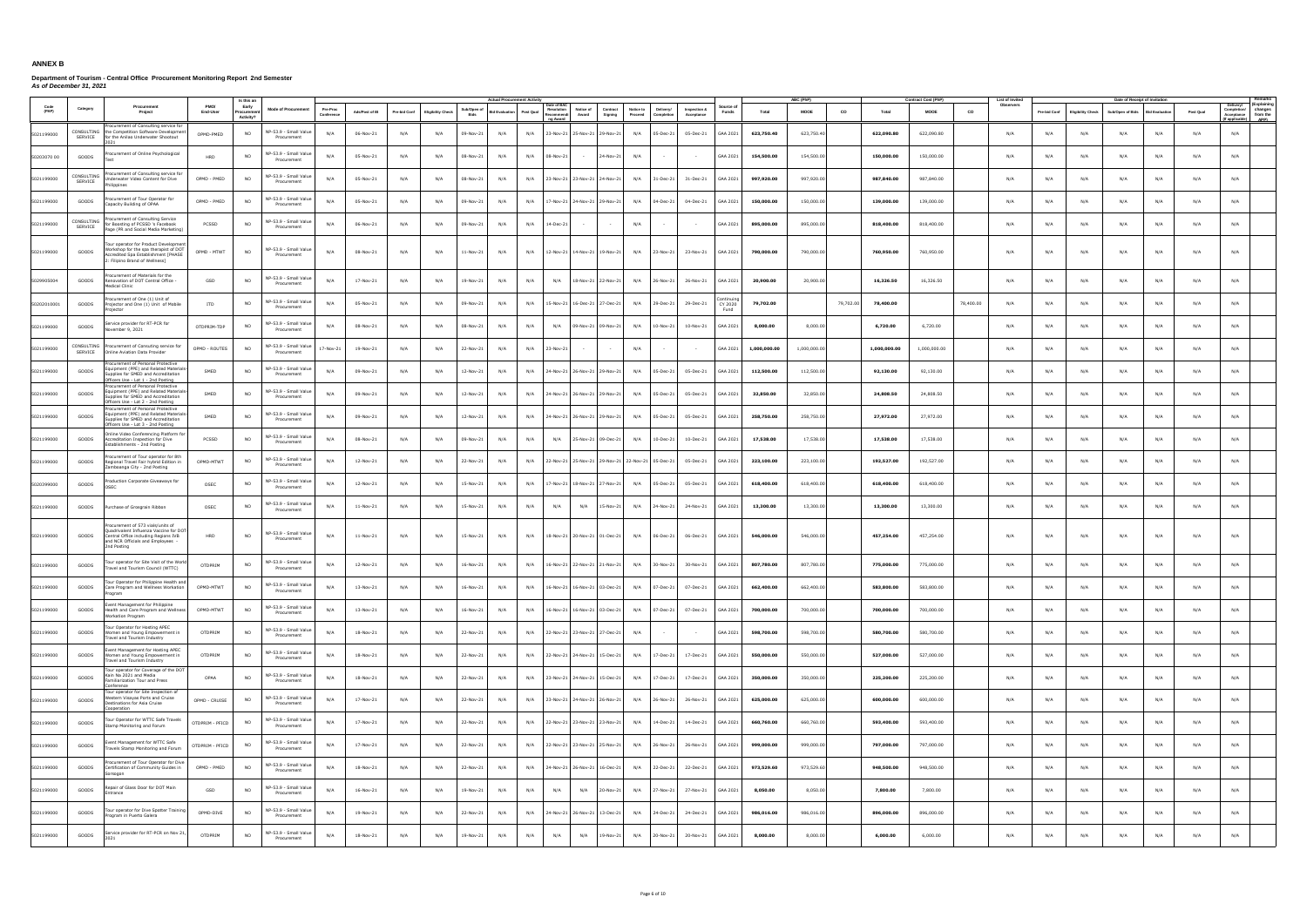|             |                       |                                                                                                                                                                       |                  | Is this a                       |                                      |                        |                |              |                          |                     | <b>Actual Procurement Activ</b> |           |                                                    |                                                                            |                                    |           |                            |                   |              | <b>ABC (PhF</b> |           |              | Contract Cost (PhP) | <b>List of Invite</b> |              |                          | Date of Receipt of Invitation |                      |           |                                                                                                           |
|-------------|-----------------------|-----------------------------------------------------------------------------------------------------------------------------------------------------------------------|------------------|---------------------------------|--------------------------------------|------------------------|----------------|--------------|--------------------------|---------------------|---------------------------------|-----------|----------------------------------------------------|----------------------------------------------------------------------------|------------------------------------|-----------|----------------------------|-------------------|--------------|-----------------|-----------|--------------|---------------------|-----------------------|--------------|--------------------------|-------------------------------|----------------------|-----------|-----------------------------------------------------------------------------------------------------------|
| (PAP)       | Category              | Procurement<br>Project                                                                                                                                                | PMO/<br>End-User | Early<br>Procureme<br>Activity? | <b>Mode of Procurement</b>           | Pre-Proc<br>Conference | Ads/Post of IB | Pre-bid Conf | <b>Eligibility Check</b> | Sub/Open of<br>Bids | lid Evaluation                  | Post Qual | Date of BAO<br>Resolution<br>Recommendi<br>a Award | Notice of<br>Contract<br>Award<br>Signing                                  | Notice to<br>Proceed<br>Completion | Delivery/ | Inspection &<br>Acceptance | Source o<br>Funds | Total        | <b>MOOE</b>     | co        | Total        | <b>MOOE</b>         | Observers<br>CO       | Pre-bid Conf | <b>Eligibility Check</b> | Sub/Open of Bids              | <b>Bid Evaluatio</b> | Post Qual | (Explaining<br>Delivery/<br>changes<br>Completion/<br>Acceptance from the<br><b>APP)</b><br>f applicable) |
| 5021199000  | CONSULTING<br>SERVICE | curement of Consulting service for<br>the Competition Software Development<br>for the Anilao Underwater Shootout                                                      | OPMD-PMED        | <b>NO</b>                       | NP-53.9 - Small Value<br>Procurement | N/A                    | 06-Nov-21      | N/A          | N/A                      | 09-Nov-21           | N/A                             | N/A       |                                                    | 23-Nov-21 25-Nov-21 29-Nov-21                                              | N/A<br>05-Dec-21                   |           | 05-Dec-21                  | GAA 2021          | 623,750.40   | 623,750.40      |           | 622,090.80   | 622,090.80          | N/A                   | N/A          | N/A                      | N/A                           | N/A                  | N/A       | N/A                                                                                                       |
| 50203070 00 | GOODS                 | ocurement of Online Psychological                                                                                                                                     | HRD              | N <sub>O</sub>                  | VP-53.9 - Small Value<br>Procurement | N/A                    | 05-Nov-21      | N/A          | N/A                      | 08-Nov-21           | N/A                             | N/A       | 08-Nov-21                                          | 24-Nov-21<br>$\sim$                                                        | N/A                                |           |                            | GAA 2021          | 154,500.00   | 154,500.00      |           | 150,000.00   | 150,000.00          | N/A                   | N/A          | N/A                      | N/A                           | N/A                  | N/A       | N/A                                                                                                       |
| 5021199000  | CONSULTING<br>SERVICE | curement of Consulting service fo<br>nderwater Video Content for Dive<br>lippines                                                                                     | OPMD - PMED      | NO.                             | VP-53.9 - Small Value<br>Procurement | N/A                    | 05-Nov-21      | N/A          | N/A                      | 08-Nov-21           | N/A                             | N/A       |                                                    | 23-Nov-21 23-Nov-21 24-Nov-21                                              | N/A                                | 31-Dec-21 | 31-Dec-21                  | GAA 2021          | 997,920.00   | 997,920.00      |           | 987,840.00   | 987,840.00          | N/A                   | N/A          | N/A                      | N/A                           | N/A                  | N/A       | N/A                                                                                                       |
| 5021199000  | GOODS                 | curement of Tour Operator for<br>apacity Building of OPAA                                                                                                             | OPMD - PMED      | <b>NO</b>                       | VP-53.9 - Small Value<br>Procurement | N/A                    | 05-Nov-21      | N/A          | N/A                      | 09-Nov-21           | N/A                             | N/A       |                                                    | 17-Nov-21 24-Nov-21 29-Nov-21                                              | N/A<br>04-Dec-21                   |           | 04-Dec-21                  | GAA 2021          | 150,000.00   | 150,000.00      |           | 139,000.00   | 139,000.00          | N/A                   | N/A          | N/A                      | N/A                           | N/A                  | N/A       | N/A                                                                                                       |
| 5021199000  | CONSULTING<br>SERVICE | rocurement of Consulting Service<br>or Boosting of PCSSD 's Facebook<br>age (PR and Social Media Marketing                                                            | PCSSD            | NO.                             | VP-53.9 - Small Value<br>Procurement | N/A                    | 06-Nov-21      | N/A          | N/A                      | 09-Nov-21           | N/A                             | N/A       | 14-Dec-21                                          |                                                                            | N/A                                |           |                            | GAA 2021          | 895,000.00   | 895,000.00      |           | 818,400.00   | 818,400.00          | N/A                   | N/A          | N/A                      | N/A                           | N/A                  | N/A       | N/A                                                                                                       |
| 5021199000  | GOODS                 | our operator for Product Development<br>Vorkshop for the spa therapist of DOT<br>credited Spa Establishment [PHASE<br>Filipino Brand of Wellness]                     | OPMD - MTWT      | NO.                             | NP-53.9 - Small Value<br>Procurement | N/A                    | 08-Nov-21      | N/A          | N/A                      | $11 - Nov-21$       | N/A                             | N/A       |                                                    | 12-Nov-21 14-Nov-21 19-Nov-21                                              | N/A<br>23-Nov-21                   |           | 23-Nov-21                  | GAA 2021          | 790,000.00   | 790,000.00      |           | 760,950.00   | 760,950.00          | N/A                   | N/A          | N/A                      | N/A                           | N/A                  | N/A       | N/A                                                                                                       |
| 5029905004  | GOODS                 | ocurement of Materials for the<br>enovation of DOT Central Office -<br>ledical Clinic                                                                                 | GSD              | NO                              | VP-53.9 - Small Value<br>Procurement | N/A                    | 17-Nov-21      | N/A          | N/A                      | 19-Nov-21           | N/A                             | N/A       | N/A                                                | 18-Nov-21 22-Nov-21                                                        | N/A                                | 26-Nov-21 | 26-Nov-21                  | GAA 2021          | 20,900.00    | 20,900.00       |           | 16,326.50    | 16,326.50           | N/A                   | N/A          | N/A                      | N/A                           | N/A                  | N/A       | N/A                                                                                                       |
| 50202010001 | GOODS                 | curement of One (1) Unit of<br>rojector and One (1) Unit of Mobile<br>rojector                                                                                        | <b>ITD</b>       | <b>NO</b>                       | VP-53.9 - Small Value<br>Procurement | N/A                    | 05-Nov-21      | N/A          | N/A                      | 09-Nov-21           | N/A                             | N/A       |                                                    | 15-Nov-21 16-Dec-21 27-Dec-21                                              | N/A<br>29-Dec-21                   |           | 29-Dec-21                  | CY 2020<br>Fund   | 79,702.00    |                 | 79,702.00 | 78,400.00    |                     | 78,400.00<br>N/A      | N/A          | N/A                      | N/A                           | N/A                  | N/A       | N/A                                                                                                       |
| 5021199000  | GOODS                 | ervice provider for RT-PCR for<br>ovember 9, 2021                                                                                                                     | OTDPRIM-TDP      | <b>NO</b>                       | IP-53.9 - Small Value<br>Procurement | N/A                    | 08-Nov-21      | N/A          | N/A                      | 08-Nov-21           | N/A                             | N/A       | N/A                                                | 09-Nov-21 09-Nov-21                                                        | N/A<br>10-Nov-21                   |           | 10-Nov-21                  | GAA 2021          | 8,000.00     | 8,000.00        |           | 6.720.00     | 6,720.00            | N/A                   | N/A          | N/A                      | N/A                           | N/A                  | N/A       | N/A                                                                                                       |
| 5021199000  | CONSULTING<br>SERVICE | rocurement of Consuting service for<br>Online Aviation Data Provider                                                                                                  | OPMD - ROUTES    | <b>NO</b>                       | VP-53.9 - Small Value<br>Procurement | 17-Nov-21              | 19-Nov-21      | N/A          | N/A                      | 22-Nov-21           | N/A                             | N/A       | 23-Nov-21                                          |                                                                            | N/A                                |           | $\sim$                     | GAA 2021          | 1,000,000.00 | 1,000,000.00    |           | 1,000,000.00 | 1,000,000.00        | N/A                   | N/A          | N/A                      | N/A                           | N/A                  | N/A       | N/A                                                                                                       |
| 5021199000  | GOODS                 | ocurement of Personal Protective<br>quipment (PPE) and Related Materials-<br>supplies for SMED and Accreditation<br>Officers Use - Lot 1 - 2nd Posting                | SMED             | NO.                             | IP-53.9 - Small Value<br>Procurement | N/A                    | 09-Nov-21      | N/A          | N/A                      | 12-Nov-21           | N/A                             | N/A       |                                                    | 24-Nov-21 26-Nov-21 29-Nov-21                                              | N/A                                | 05-Dec-21 | 05-Dec-21                  | GAA 2021          | 112,500.00   | 112,500.00      |           | 92,130.00    | 92,130.00           | N/A                   | N/A          | N/A                      | N/A                           | N/A                  | N/A       | N/A                                                                                                       |
| 5021199000  | GOODS                 | ocurement of Personal Protective<br>quipment (PPE) and Related Materials<br>Supplies for SMED and Accreditation<br>)fficers Use - Lot 2 - 2nd Posting                 | SMED             | NO                              | IP-53.9 - Small Value<br>Procurement | N/A                    | 09-Nov-21      | N/A          | N/A                      | 12-Nov-21           | N/A                             | N/A       |                                                    | 24-Nov-21 26-Nov-21 29-Nov-21                                              | N/A<br>05-Dec-21                   |           | 05-Dec-21                  | GAA 2021          | 32,850.00    | 32,850.00       |           | 24,808.50    | 24,808.50           | N/A                   | N/A          | N/A                      | N/A                           | N/A                  | N/A       | N/A                                                                                                       |
| 5021199000  | GOODS                 | ocurement of Personal Protective<br>quipment (PPE) and Related Materials<br>pplies for SMED and Accreditation<br>fficers Use - Lot 3 - 2nd Posting                    | SMED             |                                 | VP-53.9 - Small Value<br>Procurement | N/A                    | 09-Nov-21      | N/A          | N/A                      | 12-Nov-21           | N/A                             | N/A       |                                                    | 24-Nov-21 26-Nov-21 29-Nov-21                                              | N/A<br>05-Dec-21                   |           | 05-Dec-21                  | GAA 2021          | 258,750.00   | 258,750.00      |           | 27,972.00    | 27,972.00           | N/A                   | N/A          | N/A                      | N/A                           | N/A                  | N/A       | N/A                                                                                                       |
| 5021199000  | GOODS                 | Online Video Conferencing Platform for<br>ccreditation Inspection for Dive<br>stablishments - 2nd Posting                                                             | PCSSD            | NO.                             | VP-53.9 - Small Value<br>Procurement | N/A                    | 08-Nov-21      | N/A          | N/A                      | 09-Nov-21           | N/A                             | N/A       | N/A                                                | 25-Nov-21 09-Dec-21                                                        | N/A<br>10-Dec-21                   |           | 10-Dec-21                  | GAA 2021          | 17,538.00    | 17,538.00       |           | 17,538.00    | 17,538.00           | N/A                   | N/A          | N/A                      | N/A                           | N/A                  | N/A       | N/A                                                                                                       |
| 5021199000  | GOODS                 | ocurement of Tour operator for 8th<br>tegional Travel Fair hybrid Edition in<br>mboanga City - 2nd Posting                                                            | OPMD-MTWT        | <b>NO</b>                       | IP-53.9 - Small Value<br>Procurement | N/A                    | 12-Nov-21      | N/A          | N/A                      | 22-Nov-21           | N/A                             | N/A       |                                                    | 22-Nov-21 25-Nov-21 29-Nov-21 22-Nov-21 05-Dec-21                          |                                    |           | 05-Dec-21                  | GAA 2021          | 223,100.00   | 223,100.00      |           | 192,527.00   | 192,527.00          | N/A                   | N/A          | N/A                      | N/A                           | N/A                  | N/A       | N/A                                                                                                       |
| 5020399000  | GOODS                 | oduction Corporate Giveaways for                                                                                                                                      | OSEC             | NO.                             | VP-53.9 - Small Value<br>Procurement | N/A                    | 12-Nov-21      | N/A          | N/A                      | 15-Nov-21           | N/A                             | N/A       |                                                    | 17-Nov-21 18-Nov-21 27-Nov-21                                              | N/A<br>05-Dec-21                   |           | 05-Dec-21                  | GAA 2021          | 618,400.00   | 618,400.00      |           | 618,400.00   | 618,400.00          | N/A                   | N/A          | N/A                      | N/A                           | N/A                  | N/A       | N/A                                                                                                       |
| 5021199000  | GOODS                 | Purchase of Grosgrain Ribbon                                                                                                                                          | OSEC             | NO.                             | IP-53.9 - Small Value<br>Procurement | N/A                    | $11-Nov-21$    | N/A          | N/A                      | 15-Nov-21           | N/A                             | N/A       | N/A                                                | N/A<br>$15-Nov-21$                                                         | N/A                                | 24-Nov-21 | 24-Nov-21                  | GAA 2021          | 13,300.00    | 13,300.00       |           | 13,300.00    | 13,300.00           | N/A                   | N/A          | N/A                      | N/A                           | N/A                  | N/A       | N/A                                                                                                       |
| 5021199000  | GOODS                 | ocurement of 573 vials/units of<br>Juadrivalent Influenza Vaccine for DOT<br>Central Office including Regions IVB<br>and NCR Officials and Employees -<br>Ind Posting | HRD              | <b>NO</b>                       | VP-53.9 - Small Value<br>Procurement | N/A                    | 11-Nov-21      | N/A          | N/A                      | 15-Nov-21           | N/A                             | N/A       |                                                    | 18-Nov-21 20-Nov-21 01-Dec-21                                              | N/A<br>06-Dec-21                   |           | 06-Dec-21                  | GAA 2021          | 546,000.00   | 546,000.00      |           | 457,254.00   | 457,254.00          | N/A                   | N/A          | N/A                      | N/A                           | N/A                  | N/A       | N/A                                                                                                       |
| 5021199000  | GOODS                 | our operator for Site Visit of the World<br>ravel and Tourism Council (WTTC)                                                                                          | OTDPRIM          | N <sub>O</sub>                  | VP-53.9 - Small Value<br>Procurement | N/A                    | 12-Nov-21      | N/A          | N/A                      | $16-Nov-21$         | N/A                             | N/A       |                                                    | 16-Nov-21 22-Nov-21 21-Nov-21                                              | N/A<br>30-Nov-21                   |           | 30-Nov-21                  | GAA 2021          | 807,780.00   | 807,780.00      |           | 775,000.00   | 775,000.00          | N/A                   | N/A          | N/A                      | N/A                           | N/A                  | N/A       | N/A                                                                                                       |
| 5021199000  | GOODS                 | Tour Operator for Philippine Health and<br>Care Program and Wellness Workation<br>rogram                                                                              | OPMD-MTWT        |                                 | NP-53.9 - Small Value<br>Procurement | N/A                    | 13-Nov-21      | N/A          | N/A                      | 16-Nov-21           | N/A                             | N/A       |                                                    | 16-Nov-21   16-Nov-21   03-Dec-21   N/A   07-Dec-21   07-Dec-21   GAA 2021 |                                    |           |                            |                   | 662,400.00   | 662,400.00      |           | 583,800.00   | 583,800.00          | N/A                   | N/A          |                          | N/A                           | N/A                  | N/A       | N/A                                                                                                       |
| 5021199000  | GOODS                 | vent Management for Philippine<br>Health and Care Program and Wellness<br>orkation Program                                                                            | OPMD-MTWT        | <b>NO</b>                       | VP-53.9 - Small Value<br>Procurement | N/A                    | 13-Nov-21      | N/A          | N/A                      | 16-Nov-21           | N/A                             | N/A       |                                                    | 16-Nov-21 16-Nov-21 03-Dec-21                                              | N/A                                | 07-Dec-21 | 07-Dec-21                  | GAA 2021          | 700,000.00   | 700,000.00      |           | 700,000.00   | 700,000.00          | N/A                   | N/A          | N/A                      | N/A                           | N/A                  | N/A       | N/A                                                                                                       |
| 5021199000  | GOODS                 | our Operator for Hosting APEC<br>Vomen and Young Empowerment in<br>avel and Tourism Industry                                                                          | OTDPRIM          | <b>NO</b>                       | VP-53.9 - Small Value<br>Procurement | N/A                    | 18-Nov-21      | N/A          | N/A                      | 22-Nov-21           | N/A                             | N/A       |                                                    | 22-Nov-21 23-Nov-21 27-Dec-21                                              | N/A<br>$\sim$                      |           | $\sim$                     | GAA 2021          | 598,700.00   | 598,700.00      |           | 580,700.00   | 580,700.00          | N/A                   | N/A          | N/A                      | N/A                           | N/A                  | N/A       | N/A                                                                                                       |
| 5021199000  | GOODS                 | ent Management for Hosting APEC<br>Vomen and Young Empowerment in<br>ravel and Tourism Industry                                                                       | OTDPRIM          | <b>NO</b>                       | VP-53.9 - Small Value<br>Procurement | N/A                    | 18-Nov-21      | N/A          | N/A                      | 22-Nov-21           | N/A                             | N/A       |                                                    | 22-Nov-21 24-Nov-21 15-Dec-21                                              | N/A                                | 17-Dec-21 | 17-Dec-21                  | GAA 2021          | 550,000.00   | 550,000.00      |           | 527,000.00   | 527,000.00          | N/A                   | N/A          | N/A                      | N/A                           | N/A                  | N/A       | N/A                                                                                                       |
| 5021199000  | GOODS                 | our operator for Coverage of the DO<br>Kain Na 2021 and Media<br>amiliarization Tour and Press<br>nference                                                            | OPAA             | NO.                             | VP-53.9 - Small Value<br>Procurement | N/A                    | 18-Nov-21      | N/A          | N/A                      | 22-Nov-21           | N/A                             | N/A       |                                                    | 23-Nov-21 24-Nov-21 15-Dec-21                                              | N/A                                | 17-Dec-21 | 17-Dec-21                  | GAA 2021          | 350,000.00   | 350,000.00      |           | 225,200.00   | 225,200.00          | N/A                   | N/A          | N/A                      | N/A                           | N/A                  | N/A       | N/A                                                                                                       |
| 5021199000  | GOODS                 | our operator for Site Inspection of<br>estern Visayas Ports and Cruise<br>Destinations for Asia Cruise<br>ooperation                                                  | OPMD - CRUISE    | <b>NO</b>                       | VP-53.9 - Small Value<br>Procurement | N/A                    | 17-Nov-21      | N/A          | N/A                      | 22-Nov-21           | N/A                             | N/A       |                                                    | 23-Nov-21 24-Nov-21 26-Nov-21                                              | N/A<br>26-Nov-21                   |           | 26-Nov-21                  | GAA 2021          | 625,000.00   | 625,000.00      |           | 600,000.00   | 600,000.00          | N/A                   | N/A          | N/A                      | N/A                           | N/A                  | N/A       | N/A                                                                                                       |
| 5021199000  | GOODS                 | our Operator for WTTC Safe Travels<br>tamp Monitoring and Forum                                                                                                       | OTDPRIM - PFICD  | NO.                             | VP-53.9 - Small Value<br>Procurement | N/A                    | 17-Nov-21      | N/A          | N/A                      | 22-Nov-21           | N/A                             | N/A       |                                                    | 22-Nov-21 23-Nov-21 23-Nov-21                                              | N/A                                | 14-Dec-21 | 14-Dec-21                  | GAA 2021          | 660,760.00   | 660,760.00      |           | 593,400.00   | 593,400.00          | N/A                   | N/A          | N/A                      | N/A                           | N/A                  | N/A       | N/A                                                                                                       |
| 5021199000  | GOODS                 | vent Management for WTTC Safe<br>ravels Stamp Monitoring and Forum                                                                                                    | OTDPRIM - PFICD  | NO.                             | VP-53.9 - Small Value<br>Procurement | N/A                    | 17-Nov-21      | N/A          | N/A                      | 22-Nov-21           | N/A                             | N/A       |                                                    | 22-Nov-21 23-Nov-21 25-Nov-21                                              | N/A<br>26-Nov-21                   |           | 26-Nov-21                  | GAA 2021          | 999,000.00   | 999,000.00      |           | 797,000.00   | 797,000.00          | N/A                   | N/A          | N/A                      | N/A                           | N/A                  | N/A       | N/A                                                                                                       |
| 5021199000  | GOODS                 | ocurement of Tour Operator for Dive<br>Certification of Community Guides in<br>orsogor                                                                                | OPMD - PMED      | <b>NO</b>                       | IP-53.9 - Small Value<br>Procurement | N/A                    | 18-Nov-21      | N/A          | N/A                      | 22-Nov-21           | N/A                             | N/A       |                                                    | 24-Nov-21 26-Nov-21 16-Dec-21                                              | N/A<br>22-Dec-21                   |           | 22-Dec-21                  | GAA 2021          | 973,529.60   | 973,529.60      |           | 948,500.00   | 948,500.00          | N/A                   | N/A          | N/A                      | N/A                           | N/A                  | N/A       | N/A                                                                                                       |
| 5021199000  | GOODS                 | epair of Glass Door for DOT Main<br><b>Itrance</b>                                                                                                                    | GSD              | NO.                             | IP-53.9 - Small Value<br>Procurement | N/A                    | 16-Nov-21      | N/A          | N/A                      | 19-Nov-21           | N/A                             | N/A       | N/A                                                | N/A<br>20-Nov-21                                                           | N/A                                | 27-Nov-21 | 27-Nov-21                  | GAA 2021          | 8,050.00     | 8,050.00        |           | 7,800.00     | 7,800.00            | N/A                   | N/A          | N/A                      | N/A                           | N/A                  | N/A       | N/A                                                                                                       |
| 5021199000  | GOODS                 | our operator for Dive Spotter Training<br>ogram in Puerto Galera                                                                                                      | OPMD-DIVE        | NO.                             | VP-53.9 - Small Value<br>Procurement | N/A                    | 19-Nov-21      | N/A          | N/A                      | 22-Nov-21           | N/A                             | N/A       |                                                    | 24-Nov-21 26-Nov-21 13-Dec-21                                              | N/A                                | 24-Dec-21 | 24-Dec-21                  | GAA 2021          | 986,016.00   | 986,016.00      |           | 896,000.00   | 896,000.00          | N/A                   | N/A          | N/A                      | N/A                           | N/A                  | N/A       | N/A                                                                                                       |
| 5021199000  | GOODS                 | Service provider for RT-PCR on Nov 21,                                                                                                                                | OTDPRIM          | NO.                             | VP-53.9 - Small Value<br>Procurement | N/A                    | 18-Nov-21      | N/A          | N/A                      | 19-Nov-21           | N/A                             | N/A       | N/A                                                | N/A<br>19-Nov-21                                                           | N/A<br>20-Nov-21                   |           | 20-Nov-21                  | GAA 2021          | 8,000.00     | 8,000.00        |           | 6,000.00     | 6,000.00            | N/A                   | N/A          | N/A                      | N/A                           | N/A                  | N/A       | N/A                                                                                                       |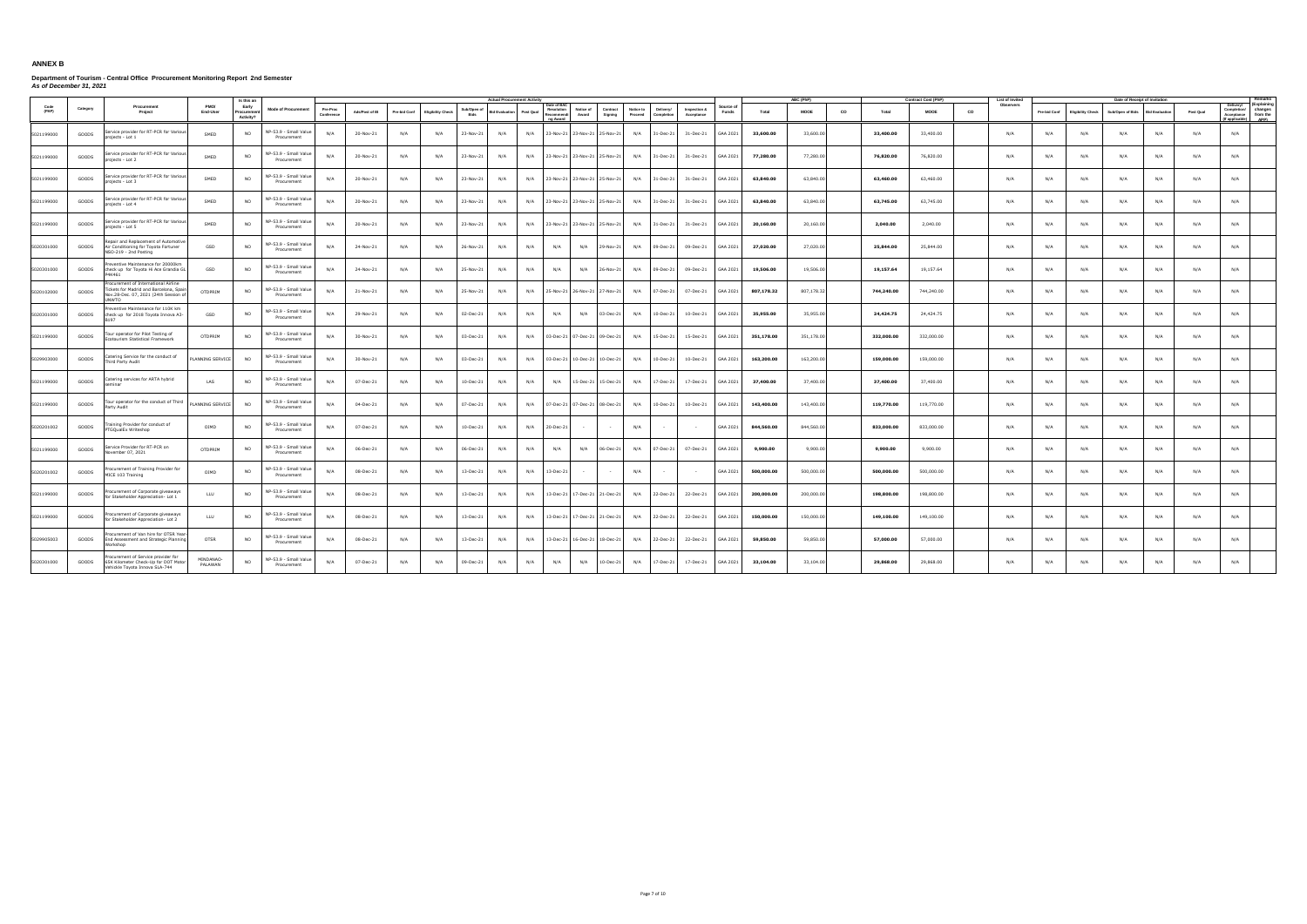|               |          |                                                                                                                                              |                         | Is this an                       |                                      |                       |                |              |                          |                            | <b>Actual Procurement Activity</b> |           |                                                                          |                     |                                                 |                            |                 |                        | ABC (PhP)   |    |            | Contract Cost (PhP) |    | List of Invite |                     |                          | Date of Receipt of Invitati |                      |           |                                                                                                 |
|---------------|----------|----------------------------------------------------------------------------------------------------------------------------------------------|-------------------------|----------------------------------|--------------------------------------|-----------------------|----------------|--------------|--------------------------|----------------------------|------------------------------------|-----------|--------------------------------------------------------------------------|---------------------|-------------------------------------------------|----------------------------|-----------------|------------------------|-------------|----|------------|---------------------|----|----------------|---------------------|--------------------------|-----------------------------|----------------------|-----------|-------------------------------------------------------------------------------------------------|
| Code<br>(PAP) | Category | Procurement<br>Project                                                                                                                       | End-User                | Early<br>Procuremer<br>Activity? | <b>Mode of Procurement</b>           | Pre-Proc<br>Conferent | Ads/Post of IB | Pre-bid Conf | <b>Eligibility Check</b> | Sub/Open of<br><b>Bids</b> | <b>Bid Evaluation</b>              | Post Qual | Date of BAO<br>Resolution<br>Notice of<br>Award<br>Recommend<br>no Award | Contract<br>Signing | Notice to<br>Delivery/<br>Proceed<br>Completion | Inspection &<br>Acceptance | Source<br>Funds | Total                  | <b>MOOE</b> | co | Total      | <b>MOOE</b>         | co | Observers      | <b>Pre-bid Conf</b> | <b>Eligibility Check</b> | Sub/Open of Bids            | <b>Bid Evaluatio</b> | Post Qual | (Explaining<br>Delivery/<br>Completion/ changes<br>Acceptance from the<br>f annlicable)<br>APP) |
| 5021199000    | GOODS    | Service provider for RT-PCR for Various<br>projects - Lot 1                                                                                  | SMED                    | <b>NO</b>                        | NP-53.9 - Small Value<br>Procurement | N/A                   | 20-Nov-21      | N/A          | N/A                      | 23-Nov-21                  | N/A                                | N/A       | 23-Nov-21 23-Nov-21 25-Nov-21                                            |                     | N/A<br>31-Dec-21                                | 31-Dec-21                  |                 | GAA 2021<br>33,600.00  | 33,600.00   |    | 33,400.00  | 33,400.00           |    | N/A            | N/A                 | N/A                      | N/A                         | N/A                  | N/A       | N/A                                                                                             |
| 5021199000    | GOODS    | Service provider for RT-PCR for Various<br>projects - Lot 2                                                                                  | SMED                    | <b>NO</b>                        | NP-53.9 - Small Value<br>Procurement | N/A                   | 20-Nov-21      | N/A          | N/A                      | 23-Nov-21                  | N/A                                | N/A       | 23-Nov-21 23-Nov-21 25-Nov-21                                            |                     | N/A<br>31-Dec-21                                | 31-Dec-21                  |                 | GAA 2021<br>77,280.00  | 77,280.00   |    | 76,820.00  | 76,820.00           |    | N/A            | N/A                 | N/A                      | N/A                         | N/A                  | N/A       | N/A                                                                                             |
| 5021199000    | GOODS    | Service provider for RT-PCR for Variou<br>projects - Lot 3                                                                                   | SMED                    | <b>NO</b>                        | NP-53.9 - Small Value<br>Procurement | N/A                   | 20-Nov-21      | N/A          | N/A                      | 23-Nov-21                  | N/A                                | N/A       | 23-Nov-21 23-Nov-21 25-Nov-21                                            |                     | N/A<br>31-Dec-21                                | 31-Dec-21                  | GAA 2021        | 63,840.00              | 63,840.00   |    | 63,460.00  | 63,460.00           |    | N/A            | N/A                 | N/A                      | N/A                         | N/A                  | N/A       | N/A                                                                                             |
| 5021199000    | GOODS    | Service provider for RT-PCR for Various<br>rojects - Lot 4                                                                                   | SMED                    | <b>NO</b>                        | NP-53.9 - Small Value<br>Procurement | N/A                   | 20-Nov-21      | N/A          | N/A                      | 23-Nov-21                  | N/A                                | N/A       | 23-Nov-21 23-Nov-21 25-Nov-21                                            |                     | N/A<br>31-Dec-21                                | 31-Dec-21                  | GAA 2021        | 63,840.00              | 63,840.00   |    | 63,745.00  | 63,745.00           |    | N/A            | N/A                 | N/A                      | N/A                         | N/A                  | N/A       | N/A                                                                                             |
| 5021199000    | GOODS    | Service provider for RT-PCR for Various<br>rojects - Lot 5                                                                                   | SMED                    | <b>NO</b>                        | NP-53.9 - Small Value<br>Procurement | N/A                   | 20-Nov-21      | N/A          | N/A                      | 23-Nov-21                  | N/A                                | N/A       | 23-Nov-21 23-Nov-21 25-Nov-21                                            |                     | N/A<br>31-Dec-21                                | 31-Dec-21                  | GAA 2021        | 20,160.00              | 20,160.00   |    | 2,040.00   | 2,040.00            |    | N/A            | N/A                 | N/A                      | N/A                         | N/A                  | N/A       | N/A                                                                                             |
| 5020301000    | GOODS    | epair and Replacement of Automotive<br>Air Conditioning for Toyota Fortuner<br>VSO-219 - 2nd Posting                                         | GSD                     | <b>NO</b>                        | NP-53.9 - Small Value<br>Procurement | N/A                   | 24-Nov-21      | N/A          | N/A                      | 26-Nov-21                  | N/A                                | N/A       | N/A<br>N/A                                                               | 29-Nov-21           | N/A<br>09-Dec-21                                | 09-Dec-21                  | GAA 2021        | 27,020.00              | 27,020.00   |    | 25,844.00  | 25,844.00           |    | N/A            | N/A                 | N/A                      | N/A                         | N/A                  | N/A       | N/A                                                                                             |
| 5020301000    | GOODS    | eventive Maintenance for 20000km<br>check up for Toyota Hi Ace Grandia GL<br>P4K461                                                          | GSD                     | <b>NO</b>                        | NP-53.9 - Small Value<br>Procurement | N/A                   | 24-Nov-21      | N/A          | N/A                      | 25-Nov-21                  | N/A                                | N/A       | N/A<br>N/A                                                               | 26-Nov-21           | N/A<br>09-Dec-21                                | 09-Dec-21                  |                 | GAA 2021<br>19,506.00  | 19,506.00   |    | 19,157.64  | 19,157.64           |    | N/A            | N/A                 | N/A                      | N/A                         | N/A                  | N/A       | N/A                                                                                             |
| 5020102000    | GOODS    | rocurement of International Airline<br><b>Tickets for Madrid and Barcelona, Spai</b><br>Nov.28-Dec. 07, 2021 (24th Session of<br><b>NWTO</b> | OTDPRIM                 | <b>NO</b>                        | NP-53.9 - Small Value<br>Procurement | N/A                   | 21-Nov-21      | N/A          | N/A                      | 25-Nov-21                  | N/A                                |           | N/A 25-Nov-21 26-Nov-21 27-Nov-21                                        |                     | N/A<br>07-Dec-21                                | 07-Dec-21                  | GAA 2021        | 807,178.32             | 807,178.32  |    | 744,240.00 | 744,240.00          |    | N/A            | N/A                 | N/A                      | N/A                         | N/A                  | N/A       | N/A                                                                                             |
| 5020301000    | GOODS    | reventive Maintenance for 110K km<br>check up for 2018 Toyota Innova A3                                                                      | GSD                     | NO.                              | NP-53.9 - Small Value<br>Procurement | N/A                   | 29-Nov-21      | N/A          | N/A                      | 02-Dec-21                  | N/A                                | N/A       | N/A<br>N/A                                                               | 03-Dec-21           | N/A<br>$10$ -Dec-21                             | 10-Dec-21                  |                 | GAA 2021<br>35,955.00  | 35,955.00   |    | 24,424.75  | 24,424.75           |    | N/A            | N/A                 | N/A                      | N/A                         | N/A                  | N/A       | N/A                                                                                             |
| 5021199000    | GOODS    | Tour operator for Pilot Testing of<br>cotourism Statistical Framework                                                                        | OTDPRIM                 | <b>NO</b>                        | NP-53.9 - Small Value<br>Procurement | N/A                   | 30-Nov-21      | N/A          | N/A                      | 03-Dec-21                  | N/A                                | N/A       | 03-Dec-21 07-Dec-21 09-Dec-21                                            |                     | N/A<br>15-Dec-21                                | 15-Dec-21                  |                 | 351,178.00<br>GAA 2021 | 351,178.00  |    | 332,000.00 | 332,000.00          |    | N/A            | N/A                 | N/A                      | N/A                         | N/A                  | N/A       | N/A                                                                                             |
| 5029903000    | GOODS    | Catering Service for the conduct of<br><b>Third Party Audit</b>                                                                              | <b>LANNING SERVICE</b>  | <b>NO</b>                        | NP-53.9 - Small Value<br>Procurement | N/A                   | 30-Nov-21      | N/A          | N/A                      | 03-Dec-21                  | N/A                                | N/A       | 03-Dec-21 10-Dec-21 10-Dec-21                                            |                     | N/A<br>10-Dec-21                                | 10-Dec-21                  | GAA 2021        | 163,200.00             | 163,200.00  |    | 159,000.00 | 159,000.00          |    | N/A            | N/A                 | N/A                      | N/A                         | N/A                  | N/A       | N/A                                                                                             |
| 5021199000    | GOODS    | Catering services for ARTA hybrid<br>eminar                                                                                                  | LAS                     | <b>NO</b>                        | P-53.9 - Small Value<br>Procurement  | N/A                   | 07-Dec-21      | N/A          | N/A                      | 10-Dec-21                  | N/A                                | N/A       | N/A                                                                      | 15-Dec-21 15-Dec-21 | N/A<br>17-Dec-21                                | 17-Dec-21                  | GAA 2021        | 37,400.00              | 37,400.00   |    | 37,400.00  | 37,400.00           |    | N/A            | N/A                 | N/A                      | N/A                         | N/A                  | N/A       | N/A                                                                                             |
| 5021199000    | GOODS    | our operator for the conduct of Third<br>Party Audit                                                                                         | <b>I ANNING SERVICE</b> | <b>NO</b>                        | NP-53.9 - Small Value<br>Procurement | N/A                   | 04-Dec-21      | N/A          | N/A                      | $07$ -Dec-21               | N/A                                | N/A       | 07-Dec-21 07-Dec-21                                                      | 08-Dec-21           | N/A<br>10-Dec-21                                | 10-Dec-21                  | GAA 2021        | 143,400.00             | 143,400.00  |    | 119,770.00 | 119,770.00          |    | N/A            | N/A                 | N/A                      | N/A                         | N/A                  | N/A       | N/A                                                                                             |
| 5020201002    | GOODS    | raining Provider for conduct of<br>PTGQualEx Writeshop                                                                                       | OIMD                    | <b>NO</b>                        | NP-53.9 - Small Value<br>Procurement | N/A                   | 07-Dec-21      | N/A          | N/A                      | 10-Dec-21                  | N/A                                | N/A       | 20-Dec-21                                                                |                     | N/A                                             |                            | GAA 2021        | 844,560.00             | 844,560.00  |    | 833,000.00 | 833,000.00          |    | N/A            | N/A                 | N/A                      | N/A                         | N/A                  | N/A       | N/A                                                                                             |
| 5021199000    | GOODS    | Service Provider for RT-PCR on<br>ovember 07, 2021                                                                                           | OTDPRIM                 | <b>NO</b>                        | NP-53.9 - Small Value<br>Procurement | N/A                   | 06-Dec-21      | N/A          | N/A                      | 06-Dec-21                  | N/A                                | N/A       | N/A<br>N/A                                                               | 06-Dec-21           | N/A<br>07-Dec-21                                | 07-Dec-21                  | GAA 2021        | 9,900.00               | 9,900.00    |    | 9,900.00   | 9,900.00            |    | N/A            | N/A                 | N/A                      | N/A                         | N/A                  | N/A       | N/A                                                                                             |
| 5020201002    | GOODS    | ocurement of Training Provider for<br>MICE 103 Training                                                                                      | OIMD                    | <b>NO</b>                        | P-53.9 - Small Value<br>Procurement  | N/A                   | 08-Dec-21      | N/A          | N/A                      | 13-Dec-21                  | N/A                                | N/A       | 13-Dec-21                                                                |                     | N/A                                             |                            | GAA 2021        | 500,000.00             | 500,000.00  |    | 500,000.00 | 500,000.00          |    | N/A            | N/A                 | N/A                      | N/A                         | N/A                  | N/A       | N/A                                                                                             |
| 5021199000    | GOODS    | ocurement of Corporate giveaways<br>or Stakeholder Appreciation- Lot 1                                                                       | LLU                     | <b>NO</b>                        | NP-53.9 - Small Value<br>Procurement | N/A                   | 08-Dec-21      | N/A          | N/A                      | 13-Dec-21                  | N/A                                | N/A       | 13-Dec-21 17-Dec-21 21-Dec-21                                            |                     | N/A<br>22-Dec-21                                | 22-Dec-21                  | GAA 2021        | 200,000.00             | 200,000.00  |    | 198,800.00 | 198,800.00          |    | N/A            | N/A                 | N/A                      | N/A                         | N/A                  | N/A       | N/A                                                                                             |
| 5021199000    | GOODS    | ocurement of Corporate giveaways<br>or Stakeholder Appreciation- Lot 2                                                                       | LLU                     | <b>NO</b>                        | NP-53.9 - Small Value<br>Procurement | N/A                   | 08-Dec-21      | N/A          | N/A                      | 13-Dec-21                  | N/A                                | N/A       | 13-Dec-21 17-Dec-21 21-Dec-21                                            |                     | N/A<br>22-Dec-21                                | 22-Dec-21                  | GAA 2021        | 150,000.00             | 150,000.00  |    | 149,100.00 | 149,100.00          |    | N/A            | N/A                 | N/A                      | N/A                         | N/A                  | N/A       | N/A                                                                                             |
| 5029905003    | GOODS    | ocurement of Van hire for OTSR Year<br>End Assessment and Strategic Planning<br>Workshon                                                     | OTSR                    | <b>NO</b>                        | NP-53.9 - Small Value<br>Procurement | N/A                   | 08-Dec-21      | N/A          | N/A                      | 13-Dec-21                  | N/A                                | N/A       | 13-Dec-21 16-Dec-21 18-Dec-21                                            |                     | N/A<br>22-Dec-21                                | 22-Dec-21                  | GAA 2021        | 59,850.00              | 59,850.00   |    | 57,000.00  | 57,000.00           |    | N/A            | N/A                 | N/A                      | N/A                         | N/A                  | N/A       | N/A                                                                                             |
| 5020301000    | GOODS    | ocurement of Service provider for<br>65K Kilometer Check-Up for DOT Motor<br>Vehickle Toyota Innova SLA-744                                  | MINDANAO-<br>PALAWAN    | <b>NO</b>                        | NP-53.9 - Small Value<br>Procurement | N/A                   | 07-Dec-21      | N/A          | N/A                      | 09-Dec-21                  | N/A                                | N/A       | N/A<br>N/A                                                               | 10-Dec-21           | N/A<br>17-Dec-21                                | 17-Dec-21                  |                 | GAA 2021<br>33,104.00  | 33,104.00   |    | 29,868.00  | 29,868.00           |    | N/A            | N/A                 | N/A                      | N/A                         | N/A                  | N/A       | N/A                                                                                             |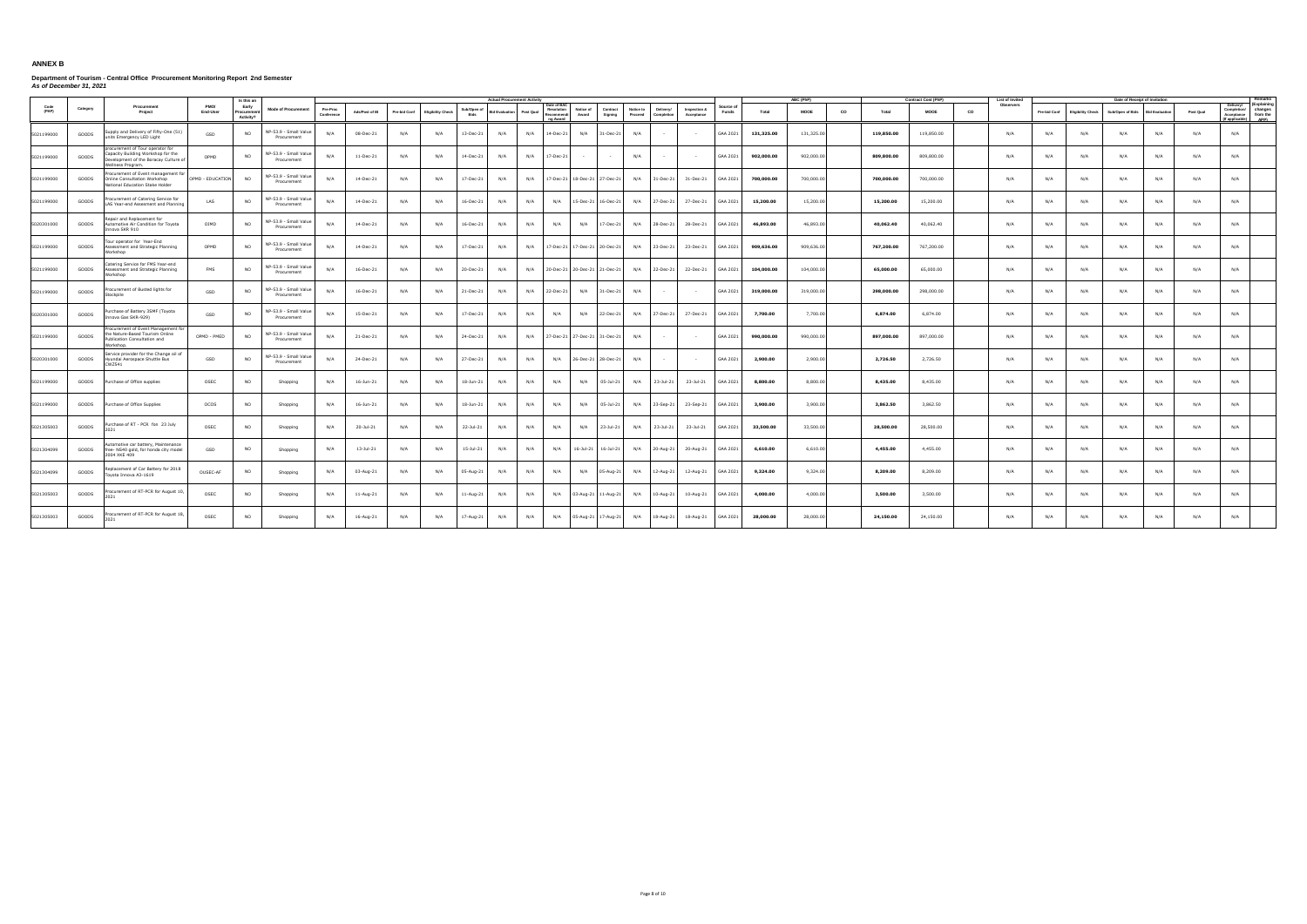|               |          |                                                                                                                                      |                  | Is this an                        |                                      |                        |                |              |                          |                     | <b>Actual Procurement Activity</b> |                                                    |                                   |                     |                                                 |                            |                    |            | ABC (PhP)   |           |            | <b>Contract Cost (PhP)</b> | List of Invite  |              |                          | Date of Receipt of Invitation   |     |           |                                                                                                |
|---------------|----------|--------------------------------------------------------------------------------------------------------------------------------------|------------------|-----------------------------------|--------------------------------------|------------------------|----------------|--------------|--------------------------|---------------------|------------------------------------|----------------------------------------------------|-----------------------------------|---------------------|-------------------------------------------------|----------------------------|--------------------|------------|-------------|-----------|------------|----------------------------|-----------------|--------------|--------------------------|---------------------------------|-----|-----------|------------------------------------------------------------------------------------------------|
| Code<br>(PAP) | Category | Procurement<br>Project                                                                                                               | PMO/<br>End-User | Early<br>Procurement<br>Activity? | <b>Mode of Procurement</b>           | Pre-Proc<br>Conference | Ads/Post of IB | Pre-bid Conf | <b>Eligibility Check</b> | Sub/Open of<br>Bids | <b>Bid Evaluation</b>              | Date of BAC<br>Post Qual<br>Recommendi<br>ng Award | Resolution Notice of<br>Award     | Contract<br>Signing | Notice to<br>Delivery/<br>Proceed<br>Completion | Inspection &<br>Acceptance | Source of<br>Funds | Total      | <b>MOOE</b> | <b>CO</b> | Total      | <b>MOOE</b>                | Observers<br>co | Pre-bid Conf | <b>Eligibility Check</b> | Sub/Open of Bids Bid Evaluation |     | Post Qual | (Explaining<br>Delivery/<br>Completion/ changes<br>Acceptance from the<br>(If applicable) APP) |
| 5021199000    | GOODS    | upply and Delivery of Fifty-One (51)<br>units Emergency LED Light                                                                    | GSD              | NO.                               | NP-53.9 - Small Value<br>Procurement | N/A                    | 08-Dec-21      | N/A          | N/A                      | 13-Dec-21           | N/A                                | N/A<br>14-Dec-21                                   | N/A                               | $31 - Dec-21$       | N/A                                             |                            | GAA 2021           | 131,325.00 | 131,325.00  |           | 119,850.00 | 119,850.00                 | N/A             | N/A          | N/A                      | N/A                             | N/A | N/A       | N/A                                                                                            |
| 5021199000    | GOODS    | procurement of Tour operator for<br>Capacity Building Workshop for the<br>Development of the Boracay Culture of<br>/ellness Program. | OPMD             | <b>NO</b>                         | NP-53.9 - Small Value<br>Procurement | N/A                    | 11-Dec-21      | N/A          | N/A                      | 14-Dec-21           | N/A                                | N/A<br>17-Dec-21                                   | <b>Contract Contract Contract</b> | $\sim$              | N/A<br>$\sim$                                   | $\sim$                     | GAA 2021           | 902,000.00 | 902,000.00  |           | 809,800.00 | 809,800.00                 | N/A             | N/A          | N/A                      | N/A                             | N/A | N/A       | N/A                                                                                            |
| 5021199000    | GOODS    | ocurement of Event management for<br>Online Consultation Workshop<br>lational Education Stake Holder                                 | OPMD - EDUCATION | <b>NO</b>                         | NP-53.9 - Small Value<br>Procurement | N/A                    | 14-Dec-21      | N/A          | N/A                      | 17-Dec-21           | N/A                                | N/A                                                | 17-Dec-21 18-Dec-21 27-Dec-21     |                     | N/A                                             | 31-Dec-21 31-Dec-21        | GAA 2021           | 700,000.00 | 700,000.00  |           | 700,000.00 | 700,000.00                 | N/A             | N/A          | N/A                      | N/A                             | N/A | N/A       | N/A                                                                                            |
| 5021199000    | GOODS    | rocurement of Catering Service for<br>AS Year-end Assesment and Planning                                                             | LAS              | <b>NO</b>                         | NP-53.9 - Small Value<br>Procurement | N/A                    | 14-Dec-21      | N/A          | N/A                      | 16-Dec-21           | N/A                                | N/A<br>N/A                                         |                                   | 15-Dec-21 16-Dec-21 | N/A<br>27-Dec-21                                | 27-Dec-21                  | GAA 2021           | 15,200.00  | 15,200.00   |           | 15,200.00  | 15,200.00                  | N/A             | N/A          | N/A                      | N/A                             | N/A | N/A       | N/A                                                                                            |
| 5020301000    | GOODS    | epair and Replacement for<br>utomotive Air Condition for Toyota<br>nova SKR 910                                                      | OIMD             | <b>NO</b>                         | NP-53.9 - Small Value<br>Procurement | N/A                    | 14-Dec-21      | N/A          | N/A                      | 16-Dec-21           | N/A                                | N/A<br>N/A                                         | N/A                               | 17-Dec-21           | N/A<br>28-Dec-21                                | 28-Dec-21                  | GAA 2021           | 46,893.00  | 46,893.00   |           | 40,062.40  | 40,062.40                  | N/A             | N/A          | N/A                      | N/A                             | N/A | N/A       | N/A                                                                                            |
| 5021199000    | GOODS    | our operator for Year-End<br>Assessment and Strategic Planning<br>orkshon                                                            | OPMD             | <b>NO</b>                         | NP-53.9 - Small Value<br>Procurement | N/A                    | 14-Dec-21      | N/A          | N/A                      | 17-Dec-21           | N/A                                | N/A                                                | 17-Dec-21 17-Dec-21 20-Dec-21     |                     | N/A<br>23-Dec-21                                | 23-Dec-21 GAA 2021         |                    | 909,636.00 | 909,636.00  |           | 767,200.00 | 767,200.00                 | N/A             | N/A          | N/A                      | N/A                             | N/A | N/A       | N/A                                                                                            |
| 5021199000    | GOODS    | Catering Service for FMS Year-end<br>ssessment and Strategic Planning<br>/orkshop                                                    | <b>FMS</b>       | <b>NO</b>                         | IP-53.9 - Small Value<br>Procurement | N/A                    | 16-Dec-21      | N/A          | N/A                      | 20-Dec-21           | N/A                                | N/A                                                | 20-Dec-21 20-Dec-21 21-Dec-21     |                     | N/A<br>22-Dec-21                                | 22-Dec-21                  | GAA 2021           | 104,000.00 | 104,000.00  |           | 65,000.00  | 65,000.00                  | N/A             | N/A          | N/A                      | N/A                             | N/A | N/A       | N/A                                                                                            |
| 5021199000    | GOODS    | ocurement of Busted lights for<br>itocknile                                                                                          | GSD              | NO.                               | NP-53.9 - Small Value<br>Procurement | N/A                    | 16-Dec-21      | N/A          | N/A                      | 21-Dec-21           | N/A                                | N/A<br>22-Dec-21                                   | N/A                               | 31-Dec-21           | N/A                                             |                            | GAA 2021           | 319,000.00 | 319,000.00  |           | 298,000.00 | 298,000.00                 | N/A             | N/A          | N/A                      | N/A                             | N/A | N/A       | N/A                                                                                            |
| 5020301000    | GOODS    | urchase of Battery 3SMF (Toyota<br>nova Gas SKR-929)                                                                                 | GSD              | <b>NO</b>                         | NP-53.9 - Small Value<br>Procurement | N/A                    | 15-Dec-21      | N/A          | N/A                      | 17-Dec-21           | N/A                                | N/A<br>N/A                                         | N/A                               | 22-Dec-21           | N/A<br>27-Dec-21                                | 27-Dec-21                  | GAA 2021           | 7,700.00   | 7,700.00    |           | 6,874.00   | 6,874.00                   | N/A             | N/A          | N/A                      | N/A                             | N/A | N/A       | N/A                                                                                            |
| 5021199000    | GOODS    | rocurement of Event Management fo<br>the Nature-Based Tourism Online<br>ublication Consultation and<br><b>Jorkshop</b>               | OPMD - PMED      | <b>NO</b>                         | NP-53.9 - Small Value<br>Procurement | N/A                    | 21-Dec-21      | N/A          | N/A                      | 24-Dec-21           | N/A                                | N/A                                                | 27-Dec-21 27-Dec-21 31-Dec-21     |                     | N/A                                             |                            | GAA 2021           | 990,000.00 | 990,000.00  |           | 897,000.00 | 897,000.00                 | N/A             | N/A          | N/A                      | N/A                             | N/A | N/A       | N/A                                                                                            |
| 5020301000    | GOODS    | ervice provider for the Change oil of<br>Hyundai Aerospace Shuttle Bus<br>CWZ541                                                     | GSD              | <b>NO</b>                         | NP-53.9 - Small Value<br>Procurement | N/A                    | 24-Dec-21      | N/A          | N/A                      | 27-Dec-21           | N/A                                | N/A<br>N/A                                         |                                   | 26-Dec-21 28-Dec-21 | N/A                                             |                            | GAA 2021           | 2,900.00   | 2,900.00    |           | 2,726.50   | 2,726.50                   | N/A             | N/A          | N/A                      | N/A                             | N/A | N/A       | N/A                                                                                            |
| 5021199000    | GOODS    | Purchase of Office supplies                                                                                                          | OSEC             | <b>NO</b>                         | Shopping                             | N/A                    | 16-Jun-21      | N/A          | N/A                      | 18-Jun-21           | N/A                                | N/A<br>N/A                                         | N/A                               | $05 -$ Jul-21       | N/A<br>23-Jul-21                                | 23-Jul-21                  | GAA 2021           | 8,800.00   | 8,800.00    |           | 8,435.00   | 8,435.00                   | N/A             | N/A          | N/A                      | N/A                             | N/A | N/A       | N/A                                                                                            |
| 5021199000    | GOODS    | Purchase of Office Supplies                                                                                                          | OCOS             | NO                                | Shopping                             | N/A                    | 16-Jun-21      | N/A          | N/A                      | 18-Jun-21           | N/A                                | N/A<br>N/A                                         | N/A                               | 05-Jul-21           | N/A<br>23-Sep-21                                | 23-Sep-21                  | GAA 2021           | 3,900.00   | 3,900.00    |           | 3,862.50   | 3,862.50                   | N/A             | N/A          | N/A                      | N/A                             | N/A | N/A       | N/A                                                                                            |
| 5021305003    | GOODS    | Purchase of RT - PCR fon 23 July                                                                                                     | OSEC             | <b>NO</b>                         | Shopping                             | N/A                    | $20 -$ Jul-21  | N/A          | N/A                      | 22-Jul-21           | N/A                                | N/A<br>N/A                                         | N/A                               | 23-Jul-21           | N/A<br>23-Jul-21                                | 23-Jul-21                  | GAA 2021           | 33,500.00  | 33,500.00   |           | 28,500.00  | 28,500.00                  | N/A             | N/A          | N/A                      | N/A                             | N/A | N/A       | N/A                                                                                            |
| 5021304099    | GOODS    | Itomotive car battery, Maintenance<br>free- NS40 gold, for honda city model<br>2004 XKF 409                                          | GSD              | <b>NO</b>                         | Shopping                             | N/A                    | 13-Jul-21      | N/A          | N/A                      | 15-Jul-21           | N/A                                | N/A<br>N/A                                         |                                   | 16-Jul-21 16-Jul-21 | N/A<br>20-Aug-21                                | 20-Aug-21                  | GAA 2021           | 6,610.00   | 6,610.00    |           | 4,455.00   | 4,455.00                   | N/A             | N/A          | N/A                      | N/A                             | N/A | N/A       | N/A                                                                                            |
| 5021304099    | GOODS    | eplacement of Car Battery for 2018<br>oyota Innova A3-1619                                                                           | OUSEC-AF         | <b>NO</b>                         | Shopping                             | N/A                    | 03-Aug-21      | N/A          | N/A                      | 05-Aug-21           | N/A                                | N/A<br>N/A                                         | N/A                               | 05-Aug-21           | N/A<br>12-Aug-21                                | 12-Aug-21                  | GAA 2021           | 9,324.00   | 9,324.00    |           | 8,209.00   | 8,209.00                   | N/A             | N/A          | N/A                      | N/A                             | N/A | N/A       | N/A                                                                                            |
| 5021305003    | GOODS    | rocurement of RT-PCR for August 10                                                                                                   | OSEC             | <b>NO</b>                         | Shopping                             | N/A                    | 11-Aug-21      | N/A          | N/A                      | 11-Aug-21           | N/A                                | N/A<br>N/A                                         |                                   | 03-Aug-21 11-Aug-21 | N/A<br>10-Aug-21                                | 10-Aug-21                  | GAA 2021           | 4,000.00   | 4,000.00    |           | 3,500.00   | 3,500.00                   | N/A             | N/A          | N/A                      | N/A                             | N/A | N/A       | N/A                                                                                            |
| 5021305003    | GOODS    | ocurement of RT-PCR for August 18                                                                                                    | OSEC             | <b>NO</b>                         | Shopping                             | N/A                    | 16-Aug-21      | N/A          | N/A                      | 17-Aug-21           | N/A                                | N/A<br>N/A                                         | 05-Aug-21 17-Aug-21               |                     | N/A                                             | 18-Aug-21 18-Aug-21        | GAA 2021           | 28,000.00  | 28,000.00   |           | 24.150.00  | 24,150.00                  | N/A             | N/A          | N/A                      | N/A                             | N/A | N/A       | N/A                                                                                            |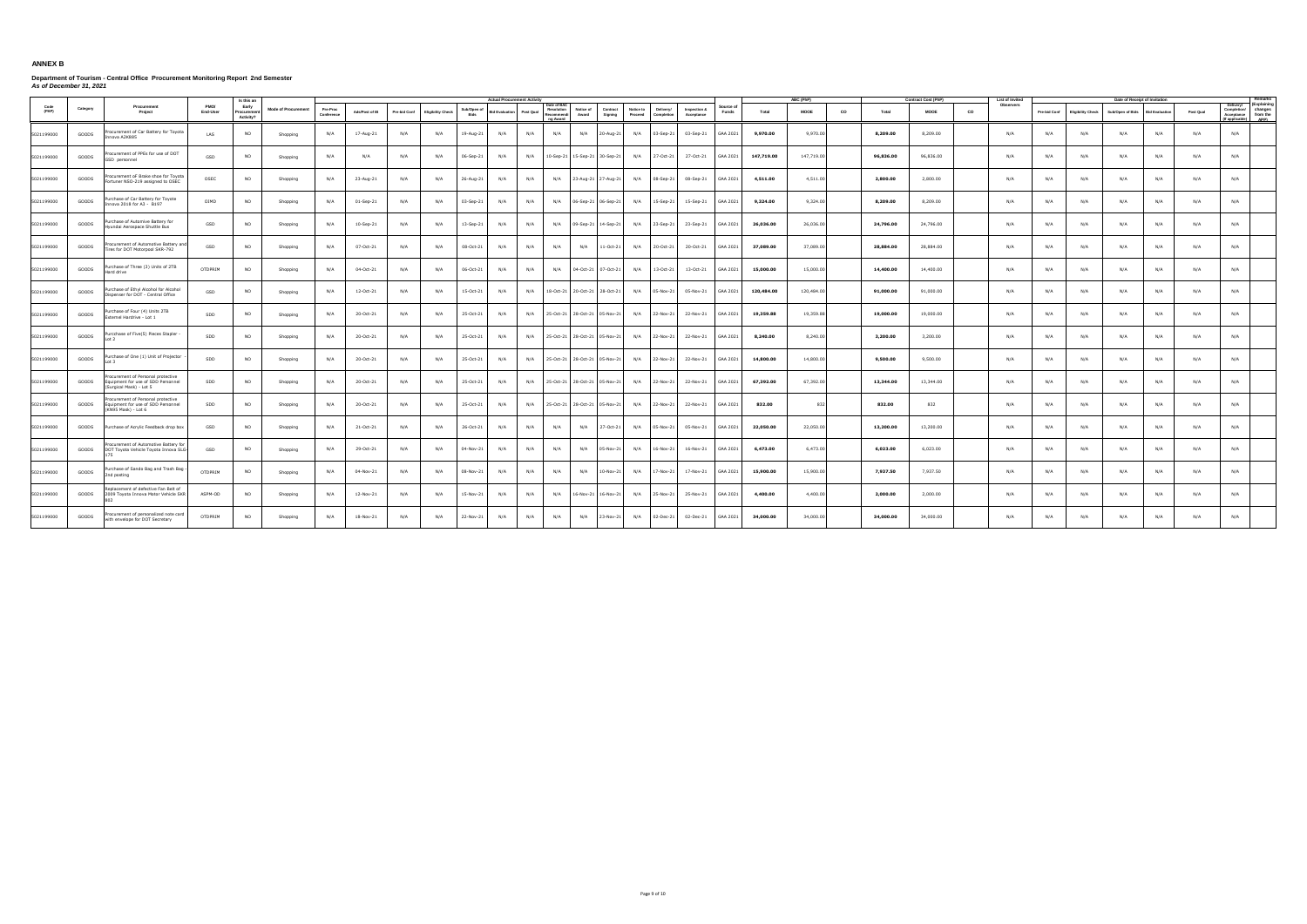|               |          |                                                                                                 |                  | Is this an                        |                            |                        |                |              |                          |                     | <b>Actual Procurement Activity</b> |           |                                                     |                                   |                     |                                                 |                            |                   |            | ABC (PhP)   |           |           | <b>Contract Cost (PhP)</b> |    | List of Invited |              |                          | Date of Receipt of Invitation |                       |           |                                                                                                |
|---------------|----------|-------------------------------------------------------------------------------------------------|------------------|-----------------------------------|----------------------------|------------------------|----------------|--------------|--------------------------|---------------------|------------------------------------|-----------|-----------------------------------------------------|-----------------------------------|---------------------|-------------------------------------------------|----------------------------|-------------------|------------|-------------|-----------|-----------|----------------------------|----|-----------------|--------------|--------------------------|-------------------------------|-----------------------|-----------|------------------------------------------------------------------------------------------------|
| Code<br>(PAP) | Category | Procurement<br>Project                                                                          | PMO/<br>End-User | Early<br>Procurement<br>Activity? | <b>Mode of Procurement</b> | Pre-Proc<br>Conference | Ads/Post of IB | Pre-bid Conf | <b>Eligibility Check</b> | Sub/Open of<br>Bids | <b>Bid Evaluation</b>              | Post Qual | Date of BAC<br>Resolution<br>Recommendi<br>no Award | Notice of<br>Award                | Contract<br>Signing | Notice to<br>Delivery/<br>Proceed<br>Completion | Inspection &<br>Acceptance | Source o<br>Funds | Total      | <b>MOOE</b> | <b>CO</b> | Total     | <b>MOOE</b>                | CO | Observers       | Pre-bid Conf | <b>Eligibility Check</b> | Sub/Open of Bids              | <b>Bid Evaluation</b> | Post Qual | (Explaining<br>Delivery/<br>Completion/ changes<br>Acceptance from the<br>(If applicable) APP) |
| 5021199000    | GOODS    | rocurement of Car Battery for Toyota<br>nova A2K885                                             | LAS              | <b>NO</b>                         | Shopping                   | N/A                    | 17-Aug-21      | N/A          | N/A                      | 19-Aug-21           | N/A                                | N/A       | N/A                                                 | N/A                               | 20-Aug-21           | N/A<br>03-Sep-21                                | 03-Sep-21                  | GAA 2021          | 9,970.00   | 9,970.00    |           | 8,209.00  | 8,209.00                   |    | N/A             | N/A          | N/A                      | N/A                           | N/A                   | N/A       | N/A                                                                                            |
| 5021199000    | GOODS    | rocurement of PPEs for use of DOT<br>GSD personnel                                              | GSD              | <b>NO</b>                         | Shopping                   | N/A                    | N/A            | N/A          | N/A                      | 06-Sep-21           | N/A                                |           |                                                     | N/A 10-Sep-21 15-Sep-21 30-Sep-21 |                     | N/A<br>27-Oct-21                                | 27-Oct-21                  | GAA 2021          | 147,719.00 | 147,719.00  |           | 96,836.00 | 96,836.00                  |    | N/A             | N/A          | N/A                      | N/A                           | N/A                   | N/A       | N/A                                                                                            |
| 5021199000    | GOODS    | rocurement oF Brake shoe for Toyota<br>ortuner NSO-219 assigned to OSEC                         | OSEC             | <b>NO</b>                         | Shopping                   | N/A                    | 23-Aug-21      | N/A          | N/A                      | 26-Aug-21           | N/A                                | N/A       | N/A                                                 | 23-Aug-21 27-Aug-21               |                     | N/A<br>08-Sep-21                                | 08-Sep-21                  | GAA 2021          | 4,511.00   | 4,511.00    |           | 2,800.00  | 2,800.00                   |    | N/A             | N/A          | N/A                      | N/A                           | N/A                   | N/A       | N/A                                                                                            |
| 5021199000    | GOODS    | urchase of Car Battery for Toyote<br>10va 2018 for A3 - B197                                    | OIMD             | <b>NO</b>                         | Shopping                   | N/A                    | 01-Sep-21      | N/A          | N/A                      | 03-Sep-21           | N/A                                | N/A       | N/A                                                 | 06-Sep-21 06-Sep-21               |                     | N/A<br>15-Sep-21                                | 15-Sep-21                  | GAA 2021          | 9,324.00   | 9,324.00    |           | 8,209.00  | 8,209.00                   |    | N/A             | N/A          | N/A                      | N/A                           | N/A                   | N/A       | N/A                                                                                            |
| 5021199000    | GOODS    | Purchase of Automive Battery for<br>yundai Aerospace Shuttle Bus                                | GSD              | <b>NO</b>                         | Shopping                   | N/A                    | 10-Sep-21      | N/A          | N/A                      | 13-Sep-21           | N/A                                | N/A       | N/A                                                 | 09-Sep-21 14-Sep-21               |                     | N/A<br>23-Sep-21                                | 23-Sep-21                  | GAA 2021          | 26,036.00  | 26,036.00   |           | 24,796.00 | 24,796.00                  |    | N/A             | N/A          | N/A                      | N/A                           | N/A                   | N/A       | N/A                                                                                            |
| 5021199000    | GOODS    | rocurement of Automotive Battery and<br>Fires for DOT Motorpool SKR-792                         | GSD              | <b>NO</b>                         | Shopping                   | N/A                    | 07-Oct-21      | N/A          | N/A                      | 08-Oct-21           | N/A                                | N/A       | N/A                                                 | N/A                               | 11-Oct-21           | 20-Oct-21<br>N/A                                | 20-Oct-21                  | GAA 2021          | 37,089.00  | 37,089.00   |           | 28,884.00 | 28,884.00                  |    | N/A             | N/A          | N/A                      | N/A                           | N/A                   | N/A       | N/A                                                                                            |
| 5021199000    | GOODS    | Purchase of Three (3) Units of 2TB<br>ard drive                                                 | OTDPRIM          | <b>NO</b>                         | Shopping                   | N/A                    | 04-Oct-21      | N/A          | N/A                      | 06-Oct-21           | N/A                                | N/A       | N/A                                                 | 04-Oct-21 07-Oct-21               |                     | N/A<br>13-Oct-21                                | 13-Oct-21                  | GAA 2021          | 15,000.00  | 15,000.00   |           | 14,400.00 | 14,400.00                  |    | N/A             | N/A          | N/A                      | N/A                           | N/A                   | N/A       | N/A                                                                                            |
| 5021199000    | GOODS    | urchase of Ethyl Alcohol for Alcohol<br>ispenser for DOT - Central Office                       | GSD              | <b>NO</b>                         | Shopping                   | N/A                    | 12-Oct-21      | N/A          | N/A                      | 15-Oct-21           | N/A                                | N/A       |                                                     | 18-Oct-21 20-Oct-21 28-Oct-21     |                     | N/A<br>05-Nov-21                                | 05-Nov-21                  | GAA 2021          | 120,484.00 | 120,484.00  |           | 91,000.00 | 91,000.00                  |    | N/A             | N/A          | N/A                      | N/A                           | N/A                   | N/A       | N/A                                                                                            |
| 5021199000    | GOODS    | Purchase of Four (4) Units 2TB<br>Externel Hardrive - Lot 1                                     | SDD              | <b>NO</b>                         | Shopping                   | N/A                    | 20-Oct-21      | N/A          | N/A                      | 25-Oct-21           | N/A                                | N/A       |                                                     | 25-Oct-21 28-Oct-21 05-Nov-21     |                     | N/A<br>22-Nov-21                                | 22-Nov-21                  | GAA 2021          | 19,359.88  | 19,359.88   |           | 19,000.00 | 19,000.00                  |    | N/A             | N/A          | N/A                      | N/A                           | N/A                   | N/A       | N/A                                                                                            |
| 5021199000    | GOODS    | Purcchase of Five(5) Pieces Stapler<br>Int 2                                                    | SDD              | <b>NO</b>                         | Shopping                   | N/A                    | 20-Oct-21      | N/A          | N/A                      | 25-Oct-21           | N/A                                | N/A       |                                                     | 25-Oct-21 28-Oct-21 05-Nov-21     |                     | N/A<br>22-Nov-21                                | 22-Nov-21                  | GAA 2021          | 8,240.00   | 8,240.00    |           | 3,200.00  | 3,200.00                   |    | N/A             | N/A          | N/A                      | N/A                           | N/A                   | N/A       | N/A                                                                                            |
| 5021199000    | GOODS    | Purchase of One (1) Unit of Projector<br>$f$ to I                                               | SDD              | <b>NO</b>                         | Shopping                   | N/A                    | 20-Oct-21      | N/A          | N/A                      | 25-Oct-21           | N/A                                | N/A       |                                                     | 25-Oct-21 28-Oct-21 05-Nov-21     |                     | N/A<br>22-Nov-21                                | 22-Nov-21                  | GAA 2021          | 14,800.00  | 14,800.00   |           | 9,500.00  | 9,500.00                   |    | N/A             | N/A          | N/A                      | N/A                           | N/A                   | N/A       | N/A                                                                                            |
| 5021199000    | GOODS    | ocurement of Personal protective<br>quipment for use of SDD Personnel<br>Surgical Mask) - Lot 5 | SDD              | <b>NO</b>                         | Shopping                   | N/A                    | 20-Oct-21      | N/A          | N/A                      | 25-Oct-21           | N/A                                | N/A       |                                                     | 25-Oct-21 28-Oct-21 05-Nov-21     |                     | N/A<br>22-Nov-21                                | 22-Nov-21                  | GAA 2021          | 67,392.00  | 67,392.00   |           | 13,344.00 | 13,344.00                  |    | N/A             | N/A          | N/A                      | N/A                           | N/A                   | N/A       | N/A                                                                                            |
| 5021199000    | GOODS    | Procurement of Personal protective<br>Equipment for use of SDD Personnel<br>(KN95 Mask) - Lot 6 | SDD              | <b>NO</b>                         | Shopping                   | N/A                    | 20-Oct-21      | N/A          | N/A                      | 25-Oct-21           | N/A                                | N/A       |                                                     | 25-Oct-21 28-Oct-21 05-Nov-21     |                     | N/A<br>22-Nov-21                                | 22-Nov-21                  | GAA 2021          | 832.00     | 832         |           | 832.00    | 832                        |    | N/A             | N/A          | N/A                      | N/A                           | N/A                   | N/A       | N/A                                                                                            |
| 5021199000    | GOODS    | Purchase of Acrylic Feedback drop box                                                           | GSD              | <b>NO</b>                         | Shopping                   | N/A                    | 21-Oct-21      | N/A          | N/A                      | 26-Oct-21           | N/A                                | N/A       | N/A                                                 | N/A                               | 27-Oct-21           | N/A<br>05-Nov-21                                | 05-Nov-21                  | GAA 2021          | 22,050.00  | 22.050.00   |           | 13,200.00 | 13,200.00                  |    | N/A             | N/A          | N/A                      | N/A                           | N/A                   | N/A       | N/A                                                                                            |
| 5021199000    | GOODS    | ocurement of Automotive Battery for<br>DOT Toyota Vehicle Toyota Innova SLG-                    | GSD              | <b>NO</b>                         | Shopping                   | N/A                    | 29-Oct-21      | N/A          | N/A                      | 04-Nov-21           | N/A                                | N/A       | N/A                                                 | N/A                               | 05-Nov-21           | N/A<br>16-Nov-21                                | 16-Nov-21                  | GAA 2021          | 6,473.00   | 6,473.00    |           | 6,023.00  | 6,023.00                   |    | N/A             | N/A          | N/A                      | N/A                           | N/A                   | N/A       | N/A                                                                                            |
| 5021199000    | GOODS    | Purchase of Sando Bag and Trash Bag<br>2nd posting                                              | OTDPRIM          | <b>NO</b>                         | Shopping                   | N/A                    | 04-Nov-21      | N/A          | N/A                      | 08-Nov-21           | N/A                                | N/A       | N/A                                                 | N/A                               | $10-Nov-21$         | N/A<br>17-Nov-21                                | 17-Nov-21                  | GAA 2021          | 15,900.00  | 15,900.00   |           | 7,937.50  | 7,937.50                   |    | N/A             | N/A          | N/A                      | N/A                           | N/A                   | N/A       | N/A                                                                                            |
| 5021199000    | GOODS    | Replacement of defective Fan Belt of<br>2009 Toyota Innova Motor Vehicle SKR                    | ASPM-OD          | <b>NO</b>                         | Shopping                   | N/A                    | 12-Nov-21      | N/A          | N/A                      | 15-Nov-21           | N/A                                | N/A       | N/A                                                 | 16-Nov-21 16-Nov-21 N/A           |                     | 25-Nov-21                                       | 25-Nov-21                  | GAA 2021          | 4,400.00   | 4,400.00    |           | 2,000.00  | 2,000.00                   |    | N/A             | N/A          | N/A                      | N/A                           | N/A                   | N/A       | N/A                                                                                            |
| 5021199000    | GOODS    | rocurement of personalized note card<br>with envelope for DOT Secretary                         | OTDPRIM          | <b>NO</b>                         | Shopping                   | N/A                    | 18-Nov-21      | N/A          | N/A                      | 22-Nov-21           | N/A                                | N/A       | N/A                                                 | N/A                               | 23-Nov-21 N/A       | 02-Dec-21                                       | 02-Dec-21                  | GAA 2021          | 34,000.00  | 34,000.00   |           | 34,000.00 | 34,000.00                  |    | N/A             | N/A          | N/A                      | N/A                           | N/A                   | N/A       | N/A                                                                                            |